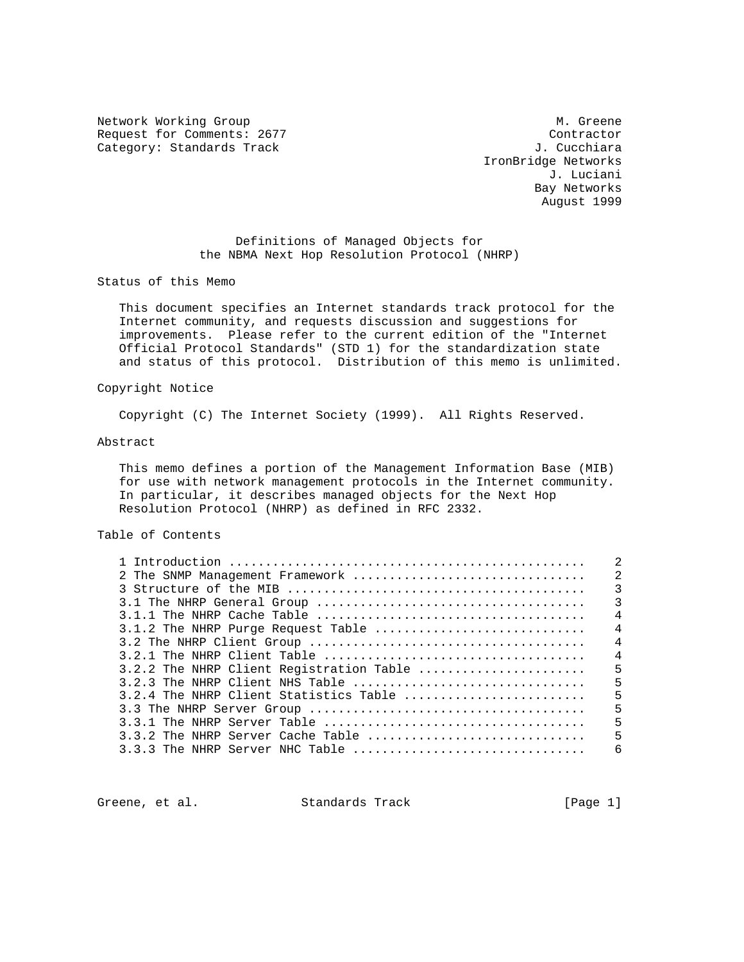Network Working Group and Month Communications of M. Greene Request for Comments: 2677 Contractor Contractor Category: Standards Track Category: Standards Track

 IronBridge Networks J. Luciani Bay Networks August 1999

 Definitions of Managed Objects for the NBMA Next Hop Resolution Protocol (NHRP)

Status of this Memo

 This document specifies an Internet standards track protocol for the Internet community, and requests discussion and suggestions for improvements. Please refer to the current edition of the "Internet Official Protocol Standards" (STD 1) for the standardization state and status of this protocol. Distribution of this memo is unlimited.

### Copyright Notice

Copyright (C) The Internet Society (1999). All Rights Reserved.

### Abstract

 This memo defines a portion of the Management Information Base (MIB) for use with network management protocols in the Internet community. In particular, it describes managed objects for the Next Hop Resolution Protocol (NHRP) as defined in RFC 2332.

### Table of Contents

|  |                                          |  | $\mathfrak{D}$ |
|--|------------------------------------------|--|----------------|
|  |                                          |  |                |
|  |                                          |  | $\overline{3}$ |
|  |                                          |  |                |
|  |                                          |  | $\overline{4}$ |
|  | 3.1.2 The NHRP Purge Request Table       |  | $\overline{4}$ |
|  |                                          |  | $\overline{4}$ |
|  |                                          |  | $\overline{4}$ |
|  | 3.2.2 The NHRP Client Registration Table |  | 5              |
|  |                                          |  |                |
|  | 3.2.4 The NHRP Client Statistics Table   |  | 5              |
|  |                                          |  | 5              |
|  |                                          |  | 5              |
|  |                                          |  | 5              |
|  |                                          |  | $\epsilon$     |

Greene, et al. Standards Track [Page 1]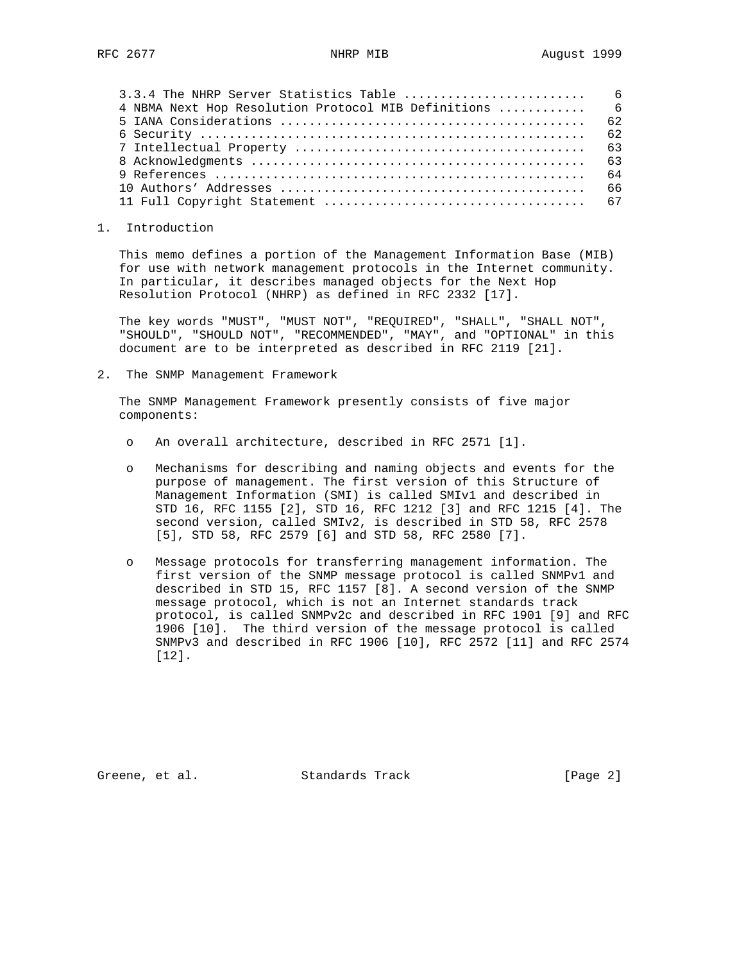| 4 NBMA Next Hop Resolution Protocol MIB Definitions  6 |  |
|--------------------------------------------------------|--|
|                                                        |  |
|                                                        |  |
|                                                        |  |
|                                                        |  |
|                                                        |  |
|                                                        |  |
|                                                        |  |

1. Introduction

 This memo defines a portion of the Management Information Base (MIB) for use with network management protocols in the Internet community. In particular, it describes managed objects for the Next Hop Resolution Protocol (NHRP) as defined in RFC 2332 [17].

 The key words "MUST", "MUST NOT", "REQUIRED", "SHALL", "SHALL NOT", "SHOULD", "SHOULD NOT", "RECOMMENDED", "MAY", and "OPTIONAL" in this document are to be interpreted as described in RFC 2119 [21].

2. The SNMP Management Framework

 The SNMP Management Framework presently consists of five major components:

- o An overall architecture, described in RFC 2571 [1].
- o Mechanisms for describing and naming objects and events for the purpose of management. The first version of this Structure of Management Information (SMI) is called SMIv1 and described in STD 16, RFC 1155 [2], STD 16, RFC 1212 [3] and RFC 1215 [4]. The second version, called SMIv2, is described in STD 58, RFC 2578 [5], STD 58, RFC 2579 [6] and STD 58, RFC 2580 [7].
- o Message protocols for transferring management information. The first version of the SNMP message protocol is called SNMPv1 and described in STD 15, RFC 1157 [8]. A second version of the SNMP message protocol, which is not an Internet standards track protocol, is called SNMPv2c and described in RFC 1901 [9] and RFC 1906 [10]. The third version of the message protocol is called SNMPv3 and described in RFC 1906 [10], RFC 2572 [11] and RFC 2574 [12].

Greene, et al. Standards Track (Page 2)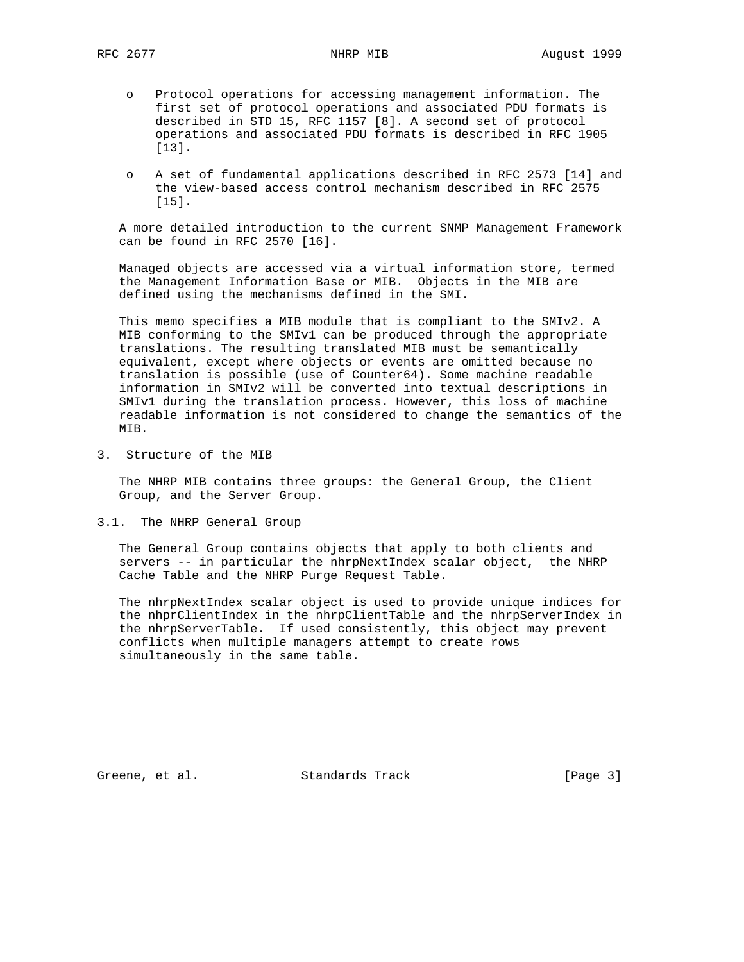- o Protocol operations for accessing management information. The first set of protocol operations and associated PDU formats is described in STD 15, RFC 1157 [8]. A second set of protocol operations and associated PDU formats is described in RFC 1905 [13].
- o A set of fundamental applications described in RFC 2573 [14] and the view-based access control mechanism described in RFC 2575 [15].

 A more detailed introduction to the current SNMP Management Framework can be found in RFC 2570 [16].

 Managed objects are accessed via a virtual information store, termed the Management Information Base or MIB. Objects in the MIB are defined using the mechanisms defined in the SMI.

 This memo specifies a MIB module that is compliant to the SMIv2. A MIB conforming to the SMIv1 can be produced through the appropriate translations. The resulting translated MIB must be semantically equivalent, except where objects or events are omitted because no translation is possible (use of Counter64). Some machine readable information in SMIv2 will be converted into textual descriptions in SMIv1 during the translation process. However, this loss of machine readable information is not considered to change the semantics of the MIB.

3. Structure of the MIB

 The NHRP MIB contains three groups: the General Group, the Client Group, and the Server Group.

3.1. The NHRP General Group

 The General Group contains objects that apply to both clients and servers -- in particular the nhrpNextIndex scalar object, the NHRP Cache Table and the NHRP Purge Request Table.

 The nhrpNextIndex scalar object is used to provide unique indices for the nhprClientIndex in the nhrpClientTable and the nhrpServerIndex in the nhrpServerTable. If used consistently, this object may prevent conflicts when multiple managers attempt to create rows simultaneously in the same table.

Greene, et al. Standards Track (Page 3)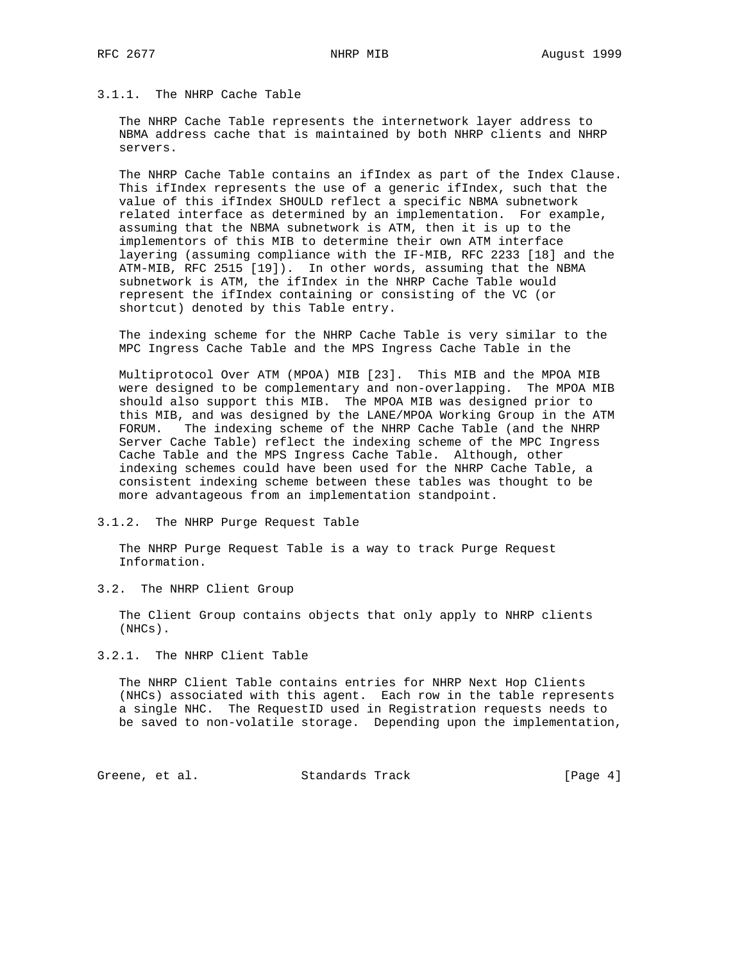# 3.1.1. The NHRP Cache Table

 The NHRP Cache Table represents the internetwork layer address to NBMA address cache that is maintained by both NHRP clients and NHRP servers.

 The NHRP Cache Table contains an ifIndex as part of the Index Clause. This ifIndex represents the use of a generic ifIndex, such that the value of this ifIndex SHOULD reflect a specific NBMA subnetwork related interface as determined by an implementation. For example, assuming that the NBMA subnetwork is ATM, then it is up to the implementors of this MIB to determine their own ATM interface layering (assuming compliance with the IF-MIB, RFC 2233 [18] and the ATM-MIB, RFC 2515 [19]). In other words, assuming that the NBMA subnetwork is ATM, the ifIndex in the NHRP Cache Table would represent the ifIndex containing or consisting of the VC (or shortcut) denoted by this Table entry.

 The indexing scheme for the NHRP Cache Table is very similar to the MPC Ingress Cache Table and the MPS Ingress Cache Table in the

 Multiprotocol Over ATM (MPOA) MIB [23]. This MIB and the MPOA MIB were designed to be complementary and non-overlapping. The MPOA MIB should also support this MIB. The MPOA MIB was designed prior to this MIB, and was designed by the LANE/MPOA Working Group in the ATM FORUM. The indexing scheme of the NHRP Cache Table (and the NHRP Server Cache Table) reflect the indexing scheme of the MPC Ingress Cache Table and the MPS Ingress Cache Table. Although, other indexing schemes could have been used for the NHRP Cache Table, a consistent indexing scheme between these tables was thought to be more advantageous from an implementation standpoint.

3.1.2. The NHRP Purge Request Table

 The NHRP Purge Request Table is a way to track Purge Request Information.

3.2. The NHRP Client Group

 The Client Group contains objects that only apply to NHRP clients (NHCs).

3.2.1. The NHRP Client Table

 The NHRP Client Table contains entries for NHRP Next Hop Clients (NHCs) associated with this agent. Each row in the table represents a single NHC. The RequestID used in Registration requests needs to be saved to non-volatile storage. Depending upon the implementation,

Greene, et al. Standards Track [Page 4]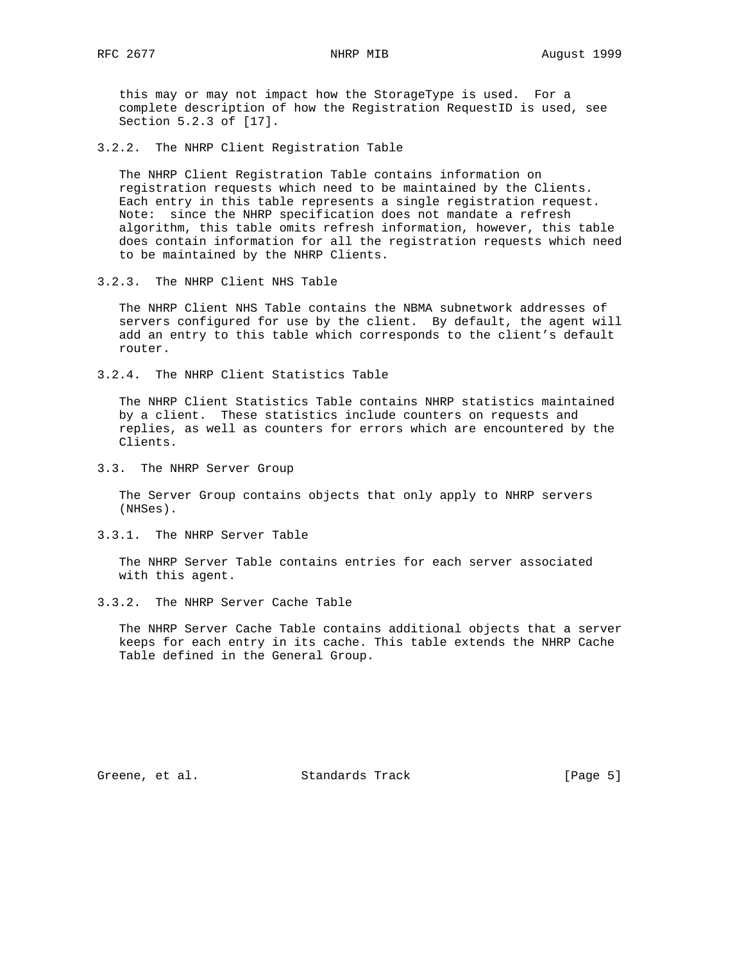this may or may not impact how the StorageType is used. For a complete description of how the Registration RequestID is used, see Section 5.2.3 of [17].

3.2.2. The NHRP Client Registration Table

 The NHRP Client Registration Table contains information on registration requests which need to be maintained by the Clients. Each entry in this table represents a single registration request. Note: since the NHRP specification does not mandate a refresh algorithm, this table omits refresh information, however, this table does contain information for all the registration requests which need to be maintained by the NHRP Clients.

3.2.3. The NHRP Client NHS Table

 The NHRP Client NHS Table contains the NBMA subnetwork addresses of servers configured for use by the client. By default, the agent will add an entry to this table which corresponds to the client's default router.

3.2.4. The NHRP Client Statistics Table

 The NHRP Client Statistics Table contains NHRP statistics maintained by a client. These statistics include counters on requests and replies, as well as counters for errors which are encountered by the Clients.

3.3. The NHRP Server Group

 The Server Group contains objects that only apply to NHRP servers (NHSes).

3.3.1. The NHRP Server Table

 The NHRP Server Table contains entries for each server associated with this agent.

3.3.2. The NHRP Server Cache Table

 The NHRP Server Cache Table contains additional objects that a server keeps for each entry in its cache. This table extends the NHRP Cache Table defined in the General Group.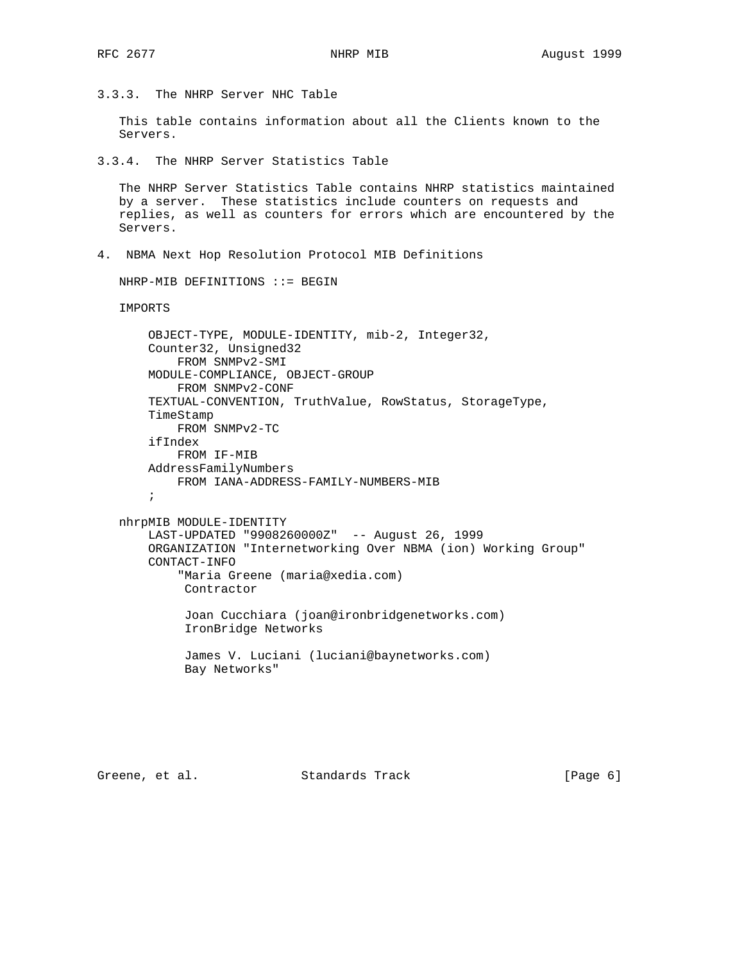3.3.3. The NHRP Server NHC Table

 This table contains information about all the Clients known to the Servers.

3.3.4. The NHRP Server Statistics Table

 The NHRP Server Statistics Table contains NHRP statistics maintained by a server. These statistics include counters on requests and replies, as well as counters for errors which are encountered by the Servers.

4. NBMA Next Hop Resolution Protocol MIB Definitions

NHRP-MIB DEFINITIONS ::= BEGIN

IMPORTS

```
 OBJECT-TYPE, MODULE-IDENTITY, mib-2, Integer32,
 Counter32, Unsigned32
    FROM SNMPv2-SMI
 MODULE-COMPLIANCE, OBJECT-GROUP
     FROM SNMPv2-CONF
 TEXTUAL-CONVENTION, TruthValue, RowStatus, StorageType,
 TimeStamp
     FROM SNMPv2-TC
 ifIndex
     FROM IF-MIB
 AddressFamilyNumbers
    FROM IANA-ADDRESS-FAMILY-NUMBERS-MIB
 ;
```

```
 nhrpMIB MODULE-IDENTITY
     LAST-UPDATED "9908260000Z" -- August 26, 1999
     ORGANIZATION "Internetworking Over NBMA (ion) Working Group"
     CONTACT-INFO
         "Maria Greene (maria@xedia.com)
          Contractor
          Joan Cucchiara (joan@ironbridgenetworks.com)
          IronBridge Networks
```
 James V. Luciani (luciani@baynetworks.com) Bay Networks"

Greene, et al. Standards Track [Page 6]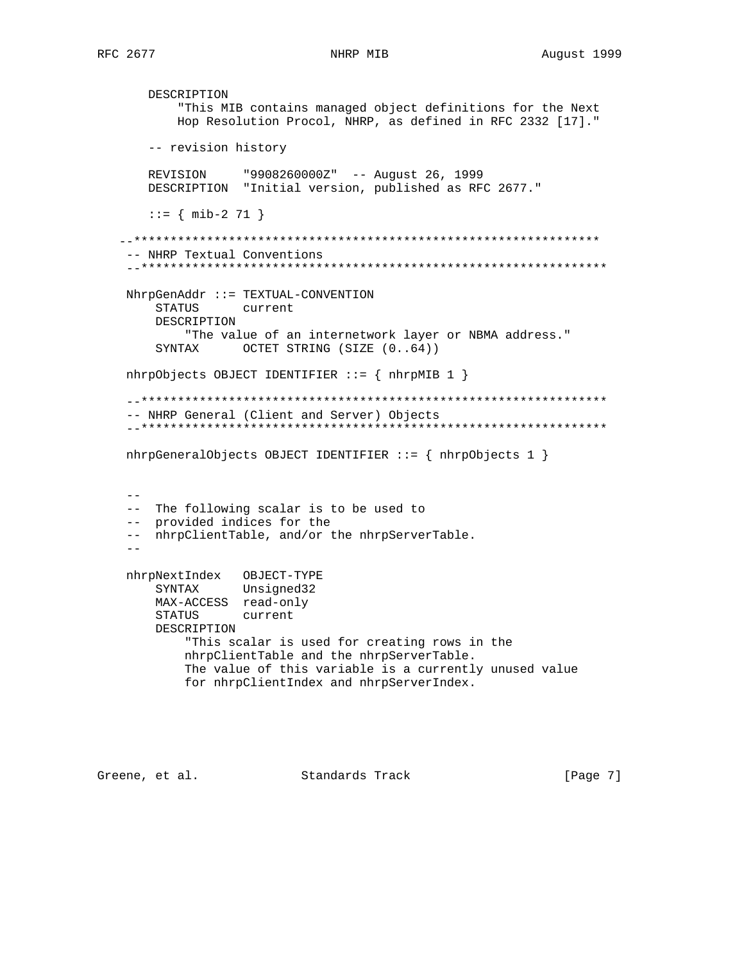DESCRIPTION "This MIB contains managed object definitions for the Next Hop Resolution Procol, NHRP, as defined in RFC 2332 [17]." -- revision history REVISION "9908260000Z" -- August 26, 1999 DESCRIPTION "Initial version, published as RFC 2677." ::= { mib-2 71 } --\*\*\*\*\*\*\*\*\*\*\*\*\*\*\*\*\*\*\*\*\*\*\*\*\*\*\*\*\*\*\*\*\*\*\*\*\*\*\*\*\*\*\*\*\*\*\*\*\*\*\*\*\*\*\*\*\*\*\*\*\*\*\*\* -- NHRP Textual Conventions --\*\*\*\*\*\*\*\*\*\*\*\*\*\*\*\*\*\*\*\*\*\*\*\*\*\*\*\*\*\*\*\*\*\*\*\*\*\*\*\*\*\*\*\*\*\*\*\*\*\*\*\*\*\*\*\*\*\*\*\*\*\*\*\* NhrpGenAddr ::= TEXTUAL-CONVENTION STATUS current DESCRIPTION "The value of an internetwork layer or NBMA address." SYNTAX OCTET STRING (SIZE  $(0..64)$ ) nhrpObjects OBJECT IDENTIFIER ::= { nhrpMIB 1 } --\*\*\*\*\*\*\*\*\*\*\*\*\*\*\*\*\*\*\*\*\*\*\*\*\*\*\*\*\*\*\*\*\*\*\*\*\*\*\*\*\*\*\*\*\*\*\*\*\*\*\*\*\*\*\*\*\*\*\*\*\*\*\*\* -- NHRP General (Client and Server) Objects --\*\*\*\*\*\*\*\*\*\*\*\*\*\*\*\*\*\*\*\*\*\*\*\*\*\*\*\*\*\*\*\*\*\*\*\*\*\*\*\*\*\*\*\*\*\*\*\*\*\*\*\*\*\*\*\*\*\*\*\*\*\*\*\* nhrpGeneralObjects OBJECT IDENTIFIER ::= { nhrpObjects 1 }  $- -$  -- The following scalar is to be used to -- provided indices for the -- nhrpClientTable, and/or the nhrpServerTable. - nhrpNextIndex OBJECT-TYPE SYNTAX Unsigned32 MAX-ACCESS read-only STATUS current DESCRIPTION "This scalar is used for creating rows in the nhrpClientTable and the nhrpServerTable. The value of this variable is a currently unused value for nhrpClientIndex and nhrpServerIndex.

Greene, et al. Standards Track (Page 7)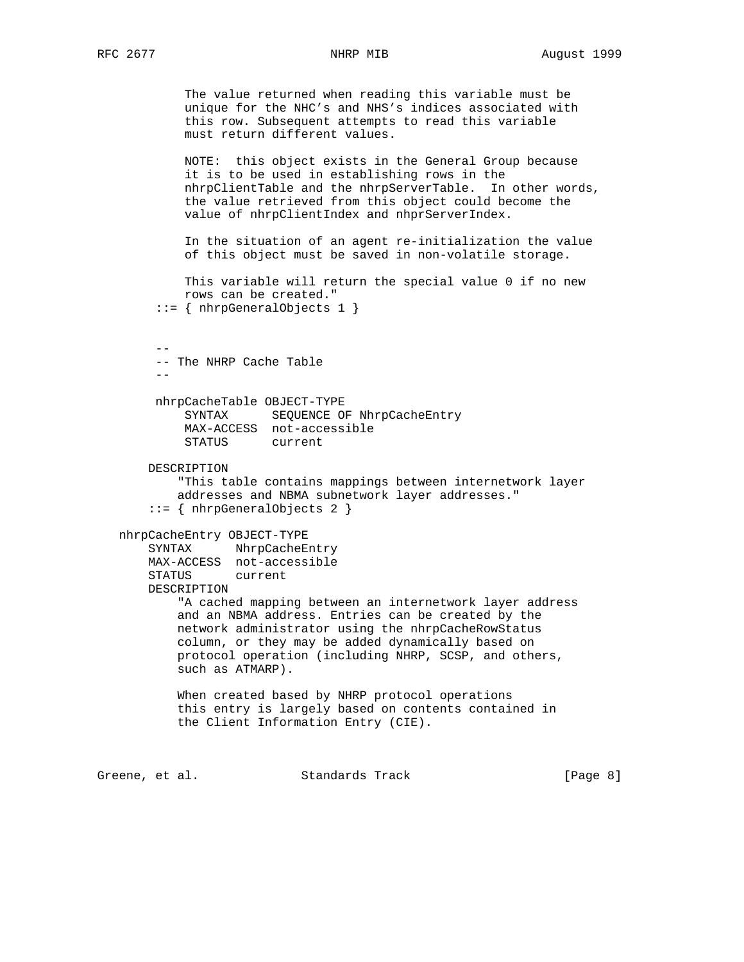The value returned when reading this variable must be unique for the NHC's and NHS's indices associated with this row. Subsequent attempts to read this variable must return different values.

 NOTE: this object exists in the General Group because it is to be used in establishing rows in the nhrpClientTable and the nhrpServerTable. In other words, the value retrieved from this object could become the value of nhrpClientIndex and nhprServerIndex.

 In the situation of an agent re-initialization the value of this object must be saved in non-volatile storage.

```
 This variable will return the special value 0 if no new
    rows can be created."
 ::= { nhrpGeneralObjects 1 }
```
 -- -- The NHRP Cache Table --

> nhrpCacheTable OBJECT-TYPE SYNTAX SEQUENCE OF NhrpCacheEntry MAX-ACCESS not-accessible STATUS current

DESCRIPTION

 "This table contains mappings between internetwork layer addresses and NBMA subnetwork layer addresses." ::= { nhrpGeneralObjects 2 }

```
 nhrpCacheEntry OBJECT-TYPE
```
 SYNTAX NhrpCacheEntry MAX-ACCESS not-accessible STATUS current

DESCRIPTION

 "A cached mapping between an internetwork layer address and an NBMA address. Entries can be created by the network administrator using the nhrpCacheRowStatus column, or they may be added dynamically based on protocol operation (including NHRP, SCSP, and others, such as ATMARP).

 When created based by NHRP protocol operations this entry is largely based on contents contained in the Client Information Entry (CIE).

Greene, et al. Standards Track (Page 8)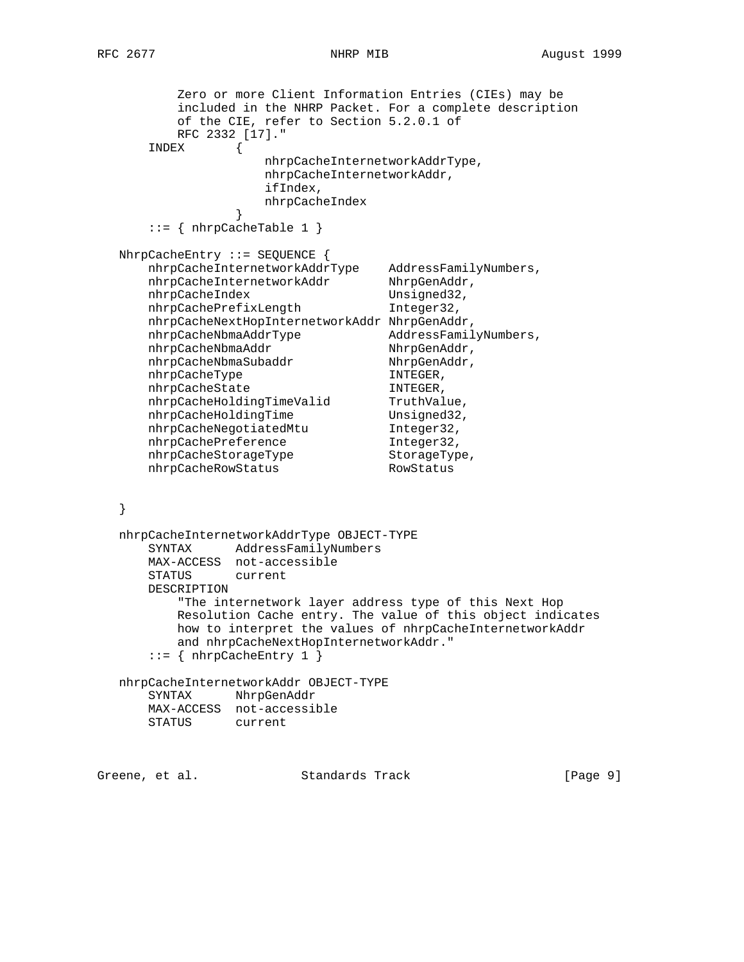```
 Zero or more Client Information Entries (CIEs) may be
          included in the NHRP Packet. For a complete description
         of the CIE, refer to Section 5.2.0.1 of
         RFC 2332 [17]."
      INDEX {
                   nhrpCacheInternetworkAddrType,
                   nhrpCacheInternetworkAddr,
                   ifIndex,
                   nhrpCacheIndex
 }
     ::= \{ nhrpCacheTable 1 \} NhrpCacheEntry ::= SEQUENCE {
 nhrpCacheInternetworkAddrType AddressFamilyNumbers,
nhrpCacheInternetworkAddr NhrpGenAddr,
nhrpCacheIndex Unsigned32,
 nhrpCachePrefixLength Integer32,
      nhrpCacheNextHopInternetworkAddr NhrpGenAddr,
 nhrpCacheNbmaAddrType AddressFamilyNumbers,
nhrpCacheNbmaAddr NhrpGenAddr,
nhrpCacheNbmaSubaddr NhrpGenAddr,
nhrpCacheType INTEGER,
nhrpCacheState INTEGER,
nhrpCacheHoldingTimeValid TruthValue,
nhrpCacheHoldingTime Unsigned32,
 nhrpCacheNegotiatedMtu Integer32,
nhrpCachePreference 1nteger32,
nhrpCacheStorageType StorageType,
nhrpCacheRowStatus RowStatus
   }
   nhrpCacheInternetworkAddrType OBJECT-TYPE
      SYNTAX AddressFamilyNumbers
      MAX-ACCESS not-accessible
      STATUS current
      DESCRIPTION
          "The internetwork layer address type of this Next Hop
         Resolution Cache entry. The value of this object indicates
         how to interpret the values of nhrpCacheInternetworkAddr
         and nhrpCacheNextHopInternetworkAddr."
     ::= { nhrpCacheEntry 1 }
   nhrpCacheInternetworkAddr OBJECT-TYPE
      SYNTAX NhrpGenAddr
      MAX-ACCESS not-accessible
      STATUS current
Greene, et al. Standards Track [Page 9]
```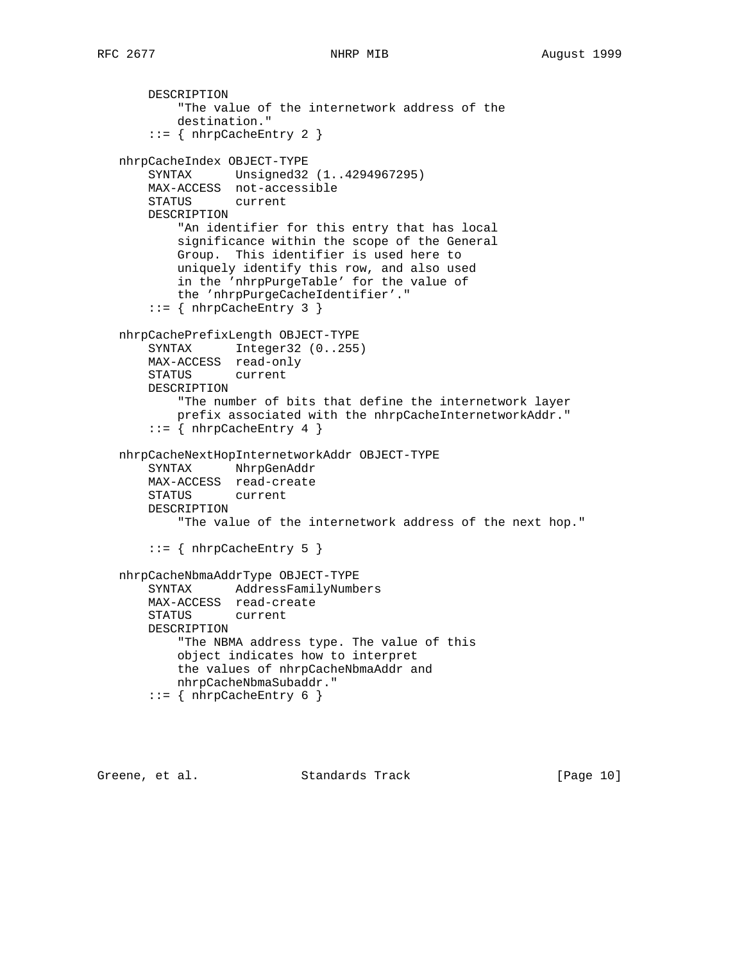DESCRIPTION "The value of the internetwork address of the destination." ::= { nhrpCacheEntry 2 } nhrpCacheIndex OBJECT-TYPE SYNTAX Unsigned32 (1..4294967295) MAX-ACCESS not-accessible STATUS current DESCRIPTION "An identifier for this entry that has local significance within the scope of the General Group. This identifier is used here to uniquely identify this row, and also used in the 'nhrpPurgeTable' for the value of the 'nhrpPurgeCacheIdentifier'."  $::=$  { nhrpCacheEntry 3 } nhrpCachePrefixLength OBJECT-TYPE SYNTAX Integer32 (0..255) MAX-ACCESS read-only STATUS current DESCRIPTION "The number of bits that define the internetwork layer prefix associated with the nhrpCacheInternetworkAddr."  $::=$  { nhrpCacheEntry 4 } nhrpCacheNextHopInternetworkAddr OBJECT-TYPE SYNTAX NhrpGenAddr MAX-ACCESS read-create STATUS current DESCRIPTION "The value of the internetwork address of the next hop." ::= { nhrpCacheEntry 5 } nhrpCacheNbmaAddrType OBJECT-TYPE SYNTAX AddressFamilyNumbers MAX-ACCESS read-create STATUS current DESCRIPTION "The NBMA address type. The value of this object indicates how to interpret the values of nhrpCacheNbmaAddr and nhrpCacheNbmaSubaddr."  $::=$  { nhrpCacheEntry 6 }

Greene, et al. Standards Track [Page 10]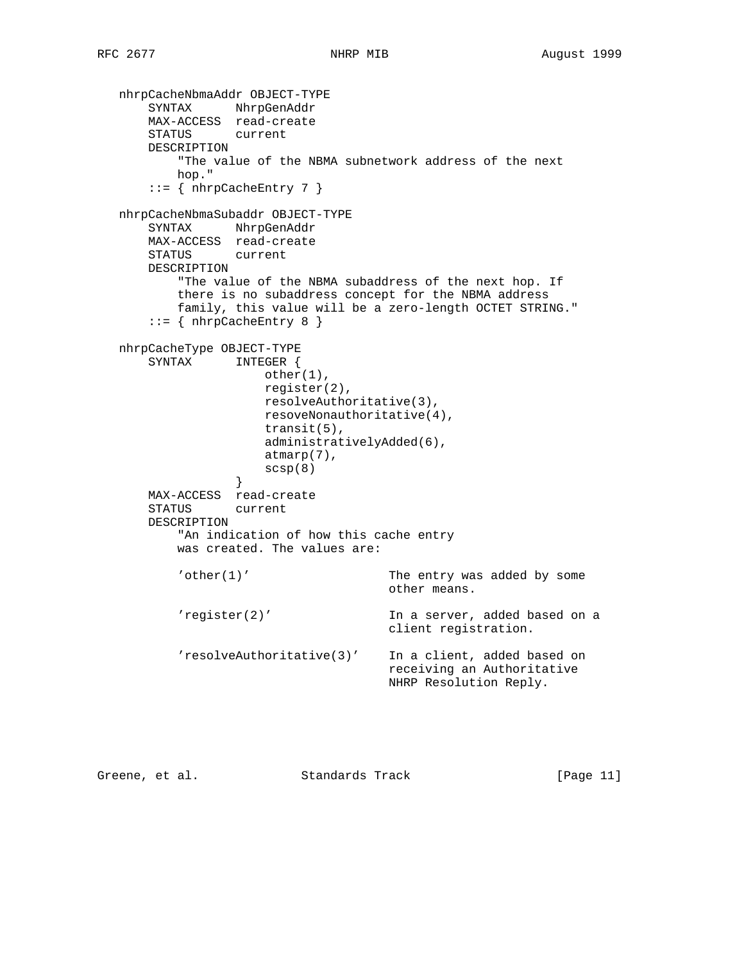```
 nhrpCacheNbmaAddr OBJECT-TYPE
 SYNTAX NhrpGenAddr
 MAX-ACCESS read-create
       STATUS current
       DESCRIPTION
           "The value of the NBMA subnetwork address of the next
           hop."
      ::= { nhrpCacheEntry 7 }
   nhrpCacheNbmaSubaddr OBJECT-TYPE
       SYNTAX NhrpGenAddr
       MAX-ACCESS read-create
       STATUS current
       DESCRIPTION
           "The value of the NBMA subaddress of the next hop. If
           there is no subaddress concept for the NBMA address
           family, this value will be a zero-length OCTET STRING."
       ::= { nhrpCacheEntry 8 }
   nhrpCacheType OBJECT-TYPE
       SYNTAX INTEGER {
                      other(1),
                      register(2),
                      resolveAuthoritative(3),
                      resoveNonauthoritative(4),
                      transit(5),
                      administrativelyAdded(6),
                      atmarp(7),
                      scsp(8)
 }
       MAX-ACCESS read-create
       STATUS current
       DESCRIPTION
           "An indication of how this cache entry
           was created. The values are:
           'other(1)' The entry was added by some
                                      other means.
           'register(2)' In a server, added based on a
                                      client registration.
           'resolveAuthoritative(3)' In a client, added based on
                                      receiving an Authoritative
                                      NHRP Resolution Reply.
```
Greene, et al. Standards Track [Page 11]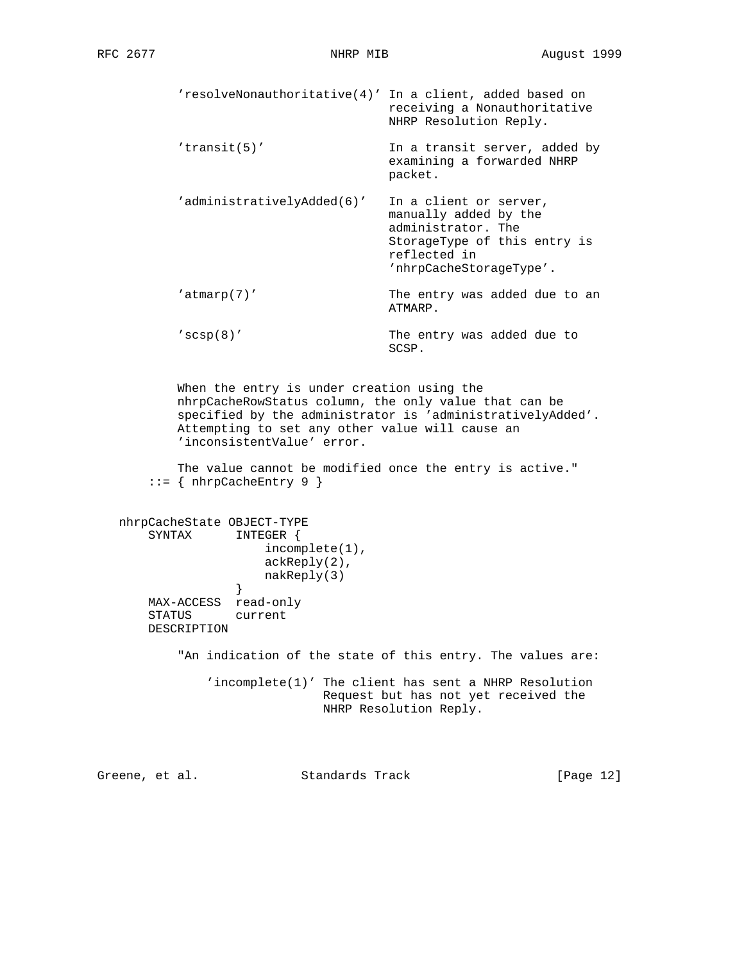'resolveNonauthoritative(4)' In a client, added based on receiving a Nonauthoritative NHRP Resolution Reply. 'transit(5)' In a transit server, added by examining a forwarded NHRP packet. 'administrativelyAdded(6)' In a client or server, manually added by the administrator. The StorageType of this entry is reflected in 'nhrpCacheStorageType'. 'atmarp(7)' The entry was added due to an ATMARP. 'scsp(8)' The entry was added due to SCSP. When the entry is under creation using the nhrpCacheRowStatus column, the only value that can be specified by the administrator is 'administrativelyAdded'. Attempting to set any other value will cause an 'inconsistentValue' error. The value cannot be modified once the entry is active."  $::=$  { nhrpCacheEntry 9 } nhrpCacheState OBJECT-TYPE SYNTAX INTEGER { incomplete(1), ackReply(2), nakReply(3)<br>} } MAX-ACCESS read-only STATUS current DESCRIPTION "An indication of the state of this entry. The values are: 'incomplete(1)' The client has sent a NHRP Resolution Request but has not yet received the NHRP Resolution Reply.

Greene, et al. Standards Track [Page 12]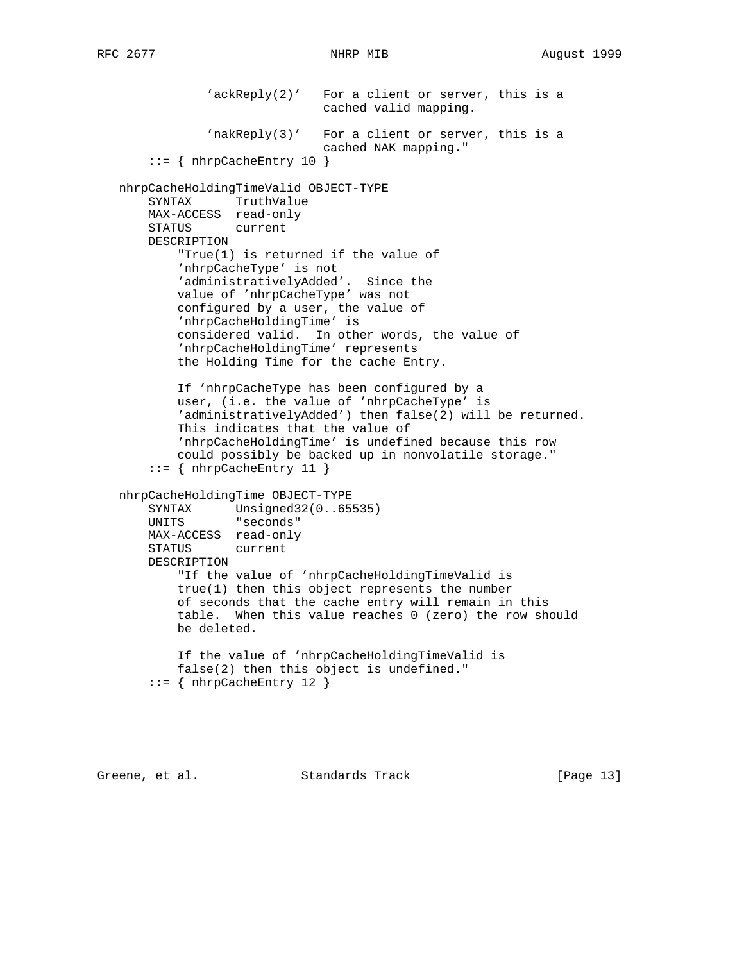'ackReply(2)' For a client or server, this is a cached valid mapping. 'nakReply(3)' For a client or server, this is a cached NAK mapping."  $::=$  { nhrpCacheEntry 10 } nhrpCacheHoldingTimeValid OBJECT-TYPE SYNTAX TruthValue MAX-ACCESS read-only STATUS current DESCRIPTION "True(1) is returned if the value of 'nhrpCacheType' is not 'administrativelyAdded'. Since the value of 'nhrpCacheType' was not configured by a user, the value of 'nhrpCacheHoldingTime' is considered valid. In other words, the value of 'nhrpCacheHoldingTime' represents the Holding Time for the cache Entry. If 'nhrpCacheType has been configured by a user, (i.e. the value of 'nhrpCacheType' is 'administrativelyAdded') then false(2) will be returned. This indicates that the value of 'nhrpCacheHoldingTime' is undefined because this row could possibly be backed up in nonvolatile storage."  $::=$  { nhrpCacheEntry 11 } nhrpCacheHoldingTime OBJECT-TYPE SYNTAX Unsigned32(0..65535) UNITS "seconds" MAX-ACCESS read-only STATUS current DESCRIPTION "If the value of 'nhrpCacheHoldingTimeValid is true(1) then this object represents the number of seconds that the cache entry will remain in this table. When this value reaches 0 (zero) the row should be deleted. If the value of 'nhrpCacheHoldingTimeValid is false(2) then this object is undefined."  $::=$  { nhrpCacheEntry 12 }

Greene, et al. Standards Track [Page 13]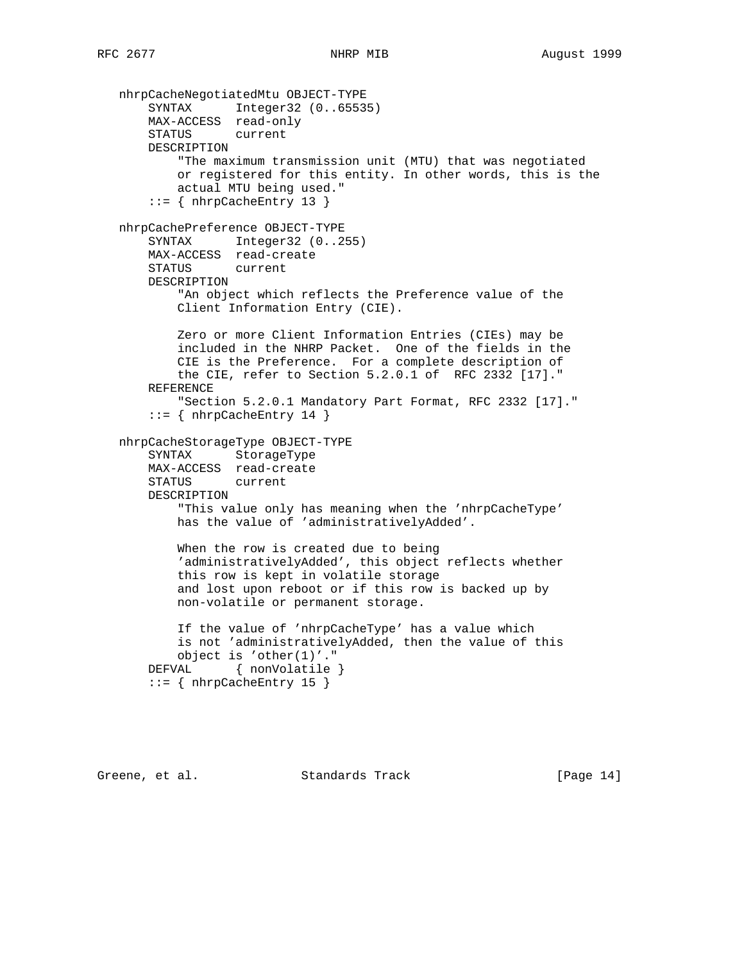nhrpCacheNegotiatedMtu OBJECT-TYPE SYNTAX Integer32 (0..65535) MAX-ACCESS read-only STATUS current DESCRIPTION "The maximum transmission unit (MTU) that was negotiated or registered for this entity. In other words, this is the actual MTU being used."  $::=$  { nhrpCacheEntry 13 } nhrpCachePreference OBJECT-TYPE SYNTAX Integer32 (0..255) MAX-ACCESS read-create STATUS current DESCRIPTION "An object which reflects the Preference value of the Client Information Entry (CIE). Zero or more Client Information Entries (CIEs) may be included in the NHRP Packet. One of the fields in the CIE is the Preference. For a complete description of the CIE, refer to Section 5.2.0.1 of RFC 2332 [17]." REFERENCE "Section 5.2.0.1 Mandatory Part Format, RFC 2332 [17]." ::= { nhrpCacheEntry 14 } nhrpCacheStorageType OBJECT-TYPE SYNTAX StorageType MAX-ACCESS read-create STATUS current DESCRIPTION "This value only has meaning when the 'nhrpCacheType' has the value of 'administrativelyAdded'. When the row is created due to being 'administrativelyAdded', this object reflects whether this row is kept in volatile storage and lost upon reboot or if this row is backed up by non-volatile or permanent storage. If the value of 'nhrpCacheType' has a value which is not 'administrativelyAdded, then the value of this object is 'other(1)'." DEFVAL { nonVolatile }  $::=$  { nhrpCacheEntry 15 }

Greene, et al. Standards Track [Page 14]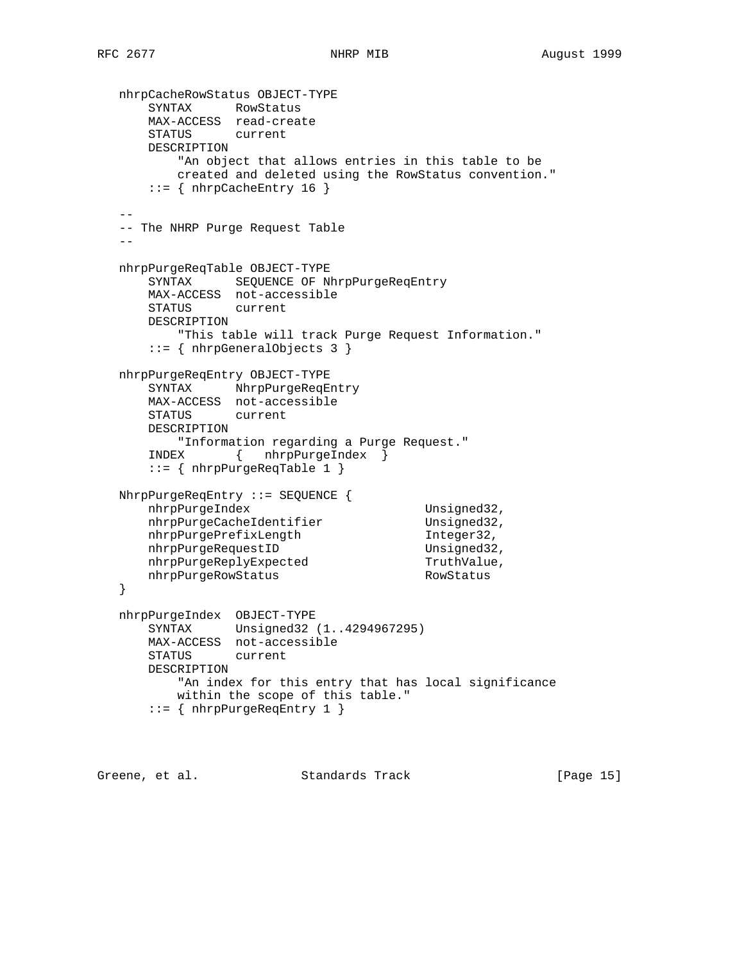```
 nhrpCacheRowStatus OBJECT-TYPE
 SYNTAX RowStatus
 MAX-ACCESS read-create
      STATUS current
      DESCRIPTION
          "An object that allows entries in this table to be
          created and deleted using the RowStatus convention."
     ::= { nhrpCacheEntry 16 }
 --
   -- The NHRP Purge Request Table
- nhrpPurgeReqTable OBJECT-TYPE
     SYNTAX SEQUENCE OF NhrpPurgeReqEntry
      MAX-ACCESS not-accessible
      STATUS current
      DESCRIPTION
         "This table will track Purge Request Information."
      ::= { nhrpGeneralObjects 3 }
   nhrpPurgeReqEntry OBJECT-TYPE
      SYNTAX NhrpPurgeReqEntry
      MAX-ACCESS not-accessible
      STATUS current
      DESCRIPTION
          "Information regarding a Purge Request."
      INDEX { nhrpPurgeIndex }
       ::= { nhrpPurgeReqTable 1 }
   NhrpPurgeReqEntry ::= SEQUENCE {
nhrpPurgeIndex Unsigned32,
nhrpPurgeCacheIdentifier Unsigned32,
nhrpPurgePrefixLength 1nteger32,
nhrpPurgeRequestID Unsigned32,
nhrpPurgeReplyExpected TruthValue,
nhrpPurgeRowStatus RowStatus
   }
   nhrpPurgeIndex OBJECT-TYPE
      SYNTAX Unsigned32 (1..4294967295)
      MAX-ACCESS not-accessible
      STATUS current
      DESCRIPTION
          "An index for this entry that has local significance
          within the scope of this table."
       ::= { nhrpPurgeReqEntry 1 }
```
Greene, et al. Standards Track [Page 15]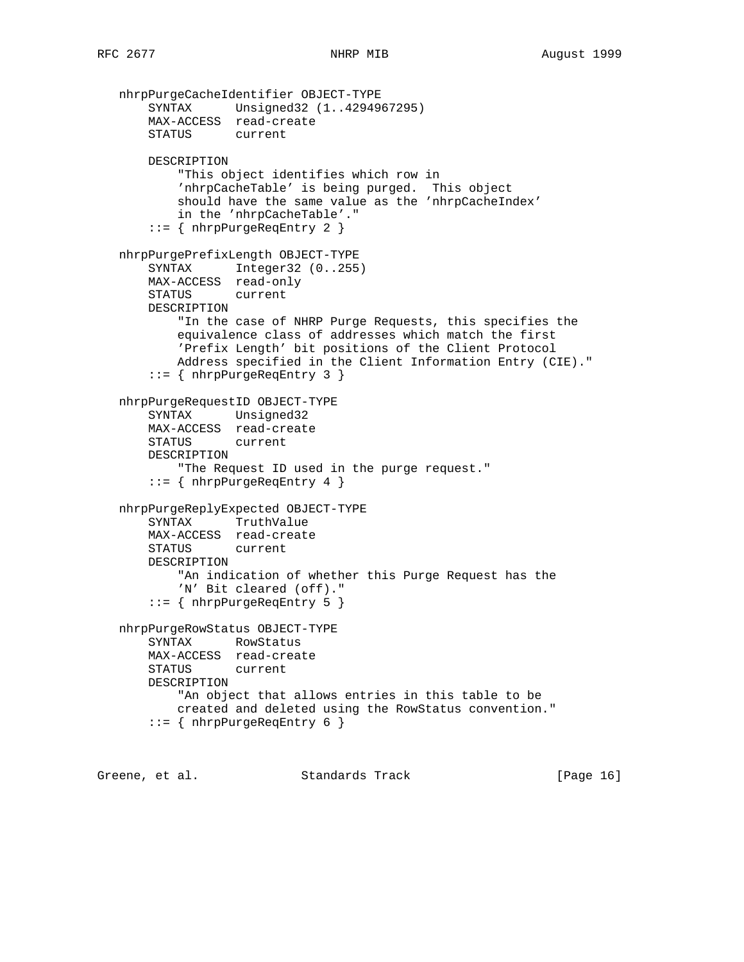```
 nhrpPurgeCacheIdentifier OBJECT-TYPE
     SYNTAX Unsigned32 (1..4294967295)
     MAX-ACCESS read-create
     STATUS current
    DESCRIPTION
         "This object identifies which row in
         'nhrpCacheTable' is being purged. This object
         should have the same value as the 'nhrpCacheIndex'
         in the 'nhrpCacheTable'."
     ::= { nhrpPurgeReqEntry 2 }
 nhrpPurgePrefixLength OBJECT-TYPE
     SYNTAX Integer32 (0..255)
     MAX-ACCESS read-only
     STATUS current
     DESCRIPTION
         "In the case of NHRP Purge Requests, this specifies the
         equivalence class of addresses which match the first
         'Prefix Length' bit positions of the Client Protocol
         Address specified in the Client Information Entry (CIE)."
     ::= { nhrpPurgeReqEntry 3 }
 nhrpPurgeRequestID OBJECT-TYPE
     SYNTAX Unsigned32
    MAX-ACCESS read-create
    STATUS current
    DESCRIPTION
         "The Request ID used in the purge request."
     ::= { nhrpPurgeReqEntry 4 }
 nhrpPurgeReplyExpected OBJECT-TYPE
     SYNTAX TruthValue
    MAX-ACCESS read-create
    STATUS current
    DESCRIPTION
         "An indication of whether this Purge Request has the
         'N' Bit cleared (off)."
     ::= { nhrpPurgeReqEntry 5 }
 nhrpPurgeRowStatus OBJECT-TYPE
    SYNTAX RowStatus
    MAX-ACCESS read-create
    STATUS current
    DESCRIPTION
         "An object that allows entries in this table to be
        created and deleted using the RowStatus convention."
     ::= { nhrpPurgeReqEntry 6 }
```
Greene, et al. Standards Track [Page 16]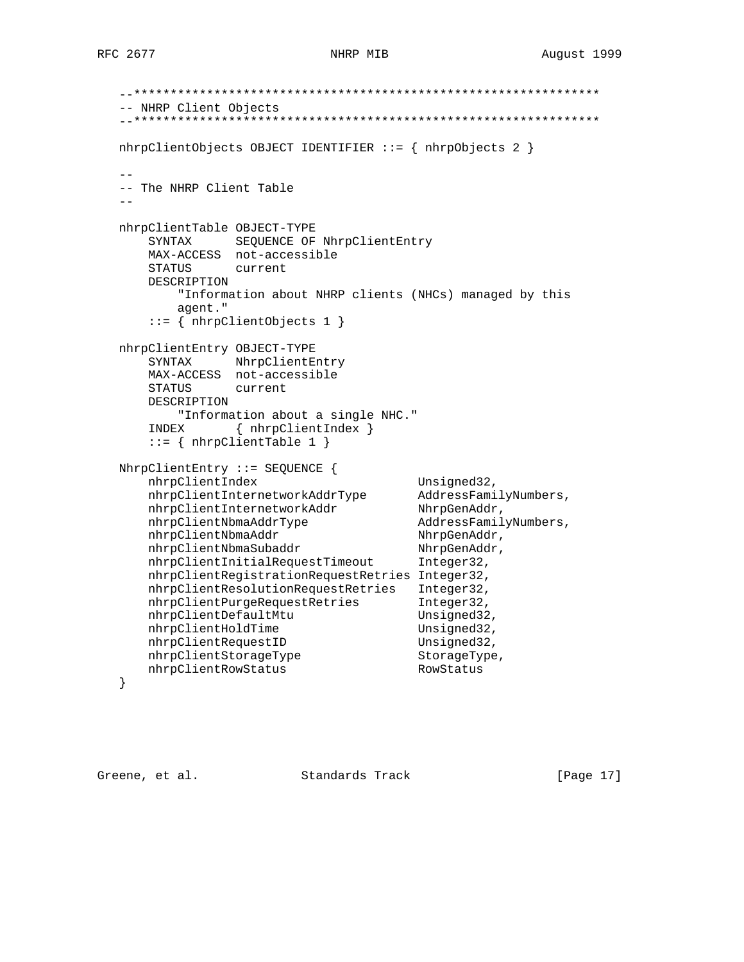```
 --****************************************************************
   -- NHRP Client Objects
   --****************************************************************
   nhrpClientObjects OBJECT IDENTIFIER ::= { nhrpObjects 2 }
 --
   -- The NHRP Client Table
- nhrpClientTable OBJECT-TYPE
       SYNTAX SEQUENCE OF NhrpClientEntry
       MAX-ACCESS not-accessible
       STATUS current
       DESCRIPTION
          "Information about NHRP clients (NHCs) managed by this
          agent."
       ::= { nhrpClientObjects 1 }
   nhrpClientEntry OBJECT-TYPE
       SYNTAX NhrpClientEntry
       MAX-ACCESS not-accessible
       STATUS current
       DESCRIPTION
          "Information about a single NHC."
       INDEX { nhrpClientIndex }
       ::= { nhrpClientTable 1 }
   NhrpClientEntry ::= SEQUENCE {
      nhrpClientIndex Unsigned32,
       nhrpClientInternetworkAddrType AddressFamilyNumbers,
      nhrpClientInternetworkAddr NhrpGenAddr,
       nhrpClientNbmaAddrType AddressFamilyNumbers,
      nhrpClientNbmaAddr NhrpGenAddr,
nhrpClientNbmaSubaddr NhrpGenAddr,
 nhrpClientInitialRequestTimeout Integer32,
       nhrpClientRegistrationRequestRetries Integer32,
       nhrpClientResolutionRequestRetries Integer32,
      nhrpClientPurgeRequestRetries Integer32,
      nhrpClientDefaultMtu Unsigned32,
      nhrpClientHoldTime Unsigned32,
     nhrpClientRequestID Unsigned32,<br>hhrpClientRequestID Unsigned32,
     nhrpClientStorageType StorageType,<br>nhrpClientPowStatus PowStatus
      nhrpClientRowStatus RowStatus
   }
```
Greene, et al. Standards Track [Page 17]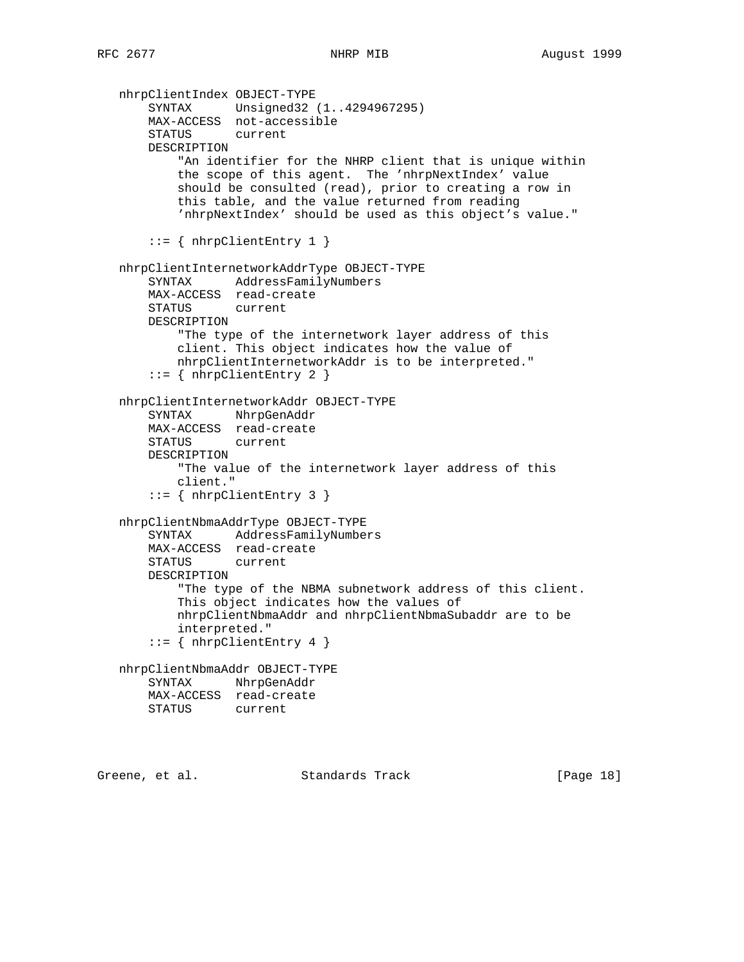```
 nhrpClientIndex OBJECT-TYPE
     SYNTAX Unsigned32 (1..4294967295)
    MAX-ACCESS not-accessible
    STATUS current
    DESCRIPTION
         "An identifier for the NHRP client that is unique within
         the scope of this agent. The 'nhrpNextIndex' value
         should be consulted (read), prior to creating a row in
         this table, and the value returned from reading
         'nhrpNextIndex' should be used as this object's value."
    ::= { nhrpClientEntry 1 }
 nhrpClientInternetworkAddrType OBJECT-TYPE
     SYNTAX AddressFamilyNumbers
    MAX-ACCESS read-create
    STATUS current
    DESCRIPTION
         "The type of the internetwork layer address of this
        client. This object indicates how the value of
        nhrpClientInternetworkAddr is to be interpreted."
     ::= { nhrpClientEntry 2 }
 nhrpClientInternetworkAddr OBJECT-TYPE
    SYNTAX NhrpGenAddr
    MAX-ACCESS read-create
    STATUS current
    DESCRIPTION
         "The value of the internetwork layer address of this
        client."
     ::= { nhrpClientEntry 3 }
 nhrpClientNbmaAddrType OBJECT-TYPE
    SYNTAX AddressFamilyNumbers
    MAX-ACCESS read-create
    STATUS current
    DESCRIPTION
         "The type of the NBMA subnetwork address of this client.
         This object indicates how the values of
        nhrpClientNbmaAddr and nhrpClientNbmaSubaddr are to be
        interpreted."
    ::= { nhrpClientEntry 4 }
 nhrpClientNbmaAddr OBJECT-TYPE
    SYNTAX NhrpGenAddr
    MAX-ACCESS read-create
    STATUS current
```
Greene, et al. Standards Track [Page 18]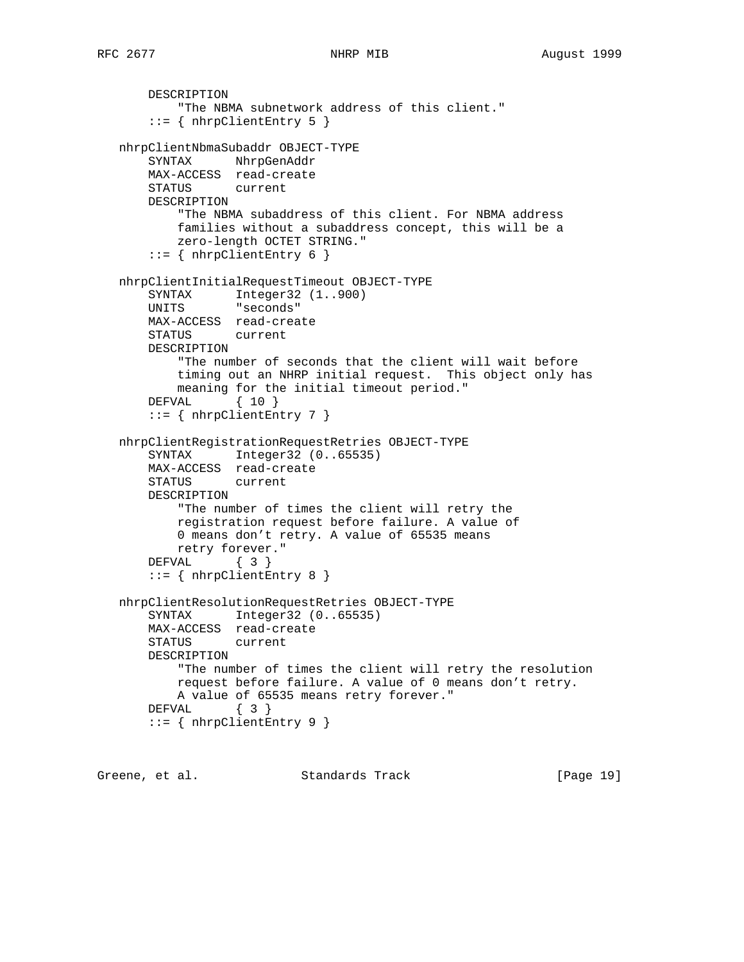```
 DESCRIPTION
         "The NBMA subnetwork address of this client."
    ::= { nhrpClientEntry 5 }
 nhrpClientNbmaSubaddr OBJECT-TYPE
    SYNTAX NhrpGenAddr
    MAX-ACCESS read-create
    STATUS current
    DESCRIPTION
         "The NBMA subaddress of this client. For NBMA address
        families without a subaddress concept, this will be a
        zero-length OCTET STRING."
     ::= { nhrpClientEntry 6 }
 nhrpClientInitialRequestTimeout OBJECT-TYPE
   SYNTAX Integer32 (1..900)
    UNITS "seconds"
    MAX-ACCESS read-create
    STATUS current
    DESCRIPTION
         "The number of seconds that the client will wait before
        timing out an NHRP initial request. This object only has
        meaning for the initial timeout period."
    DEFVAL { 10 }
     ::= { nhrpClientEntry 7 }
 nhrpClientRegistrationRequestRetries OBJECT-TYPE
     SYNTAX Integer32 (0..65535)
    MAX-ACCESS read-create
    STATUS current
    DESCRIPTION
         "The number of times the client will retry the
        registration request before failure. A value of
        0 means don't retry. A value of 65535 means
        retry forever."
    DEFVAL { 3 }
     ::= { nhrpClientEntry 8 }
 nhrpClientResolutionRequestRetries OBJECT-TYPE
    SYNTAX Integer32 (0..65535)
    MAX-ACCESS read-create
    STATUS current
    DESCRIPTION
         "The number of times the client will retry the resolution
        request before failure. A value of 0 means don't retry.
        A value of 65535 means retry forever."
    DEFVAL { 3 }
     ::= { nhrpClientEntry 9 }
```
Greene, et al. Standards Track [Page 19]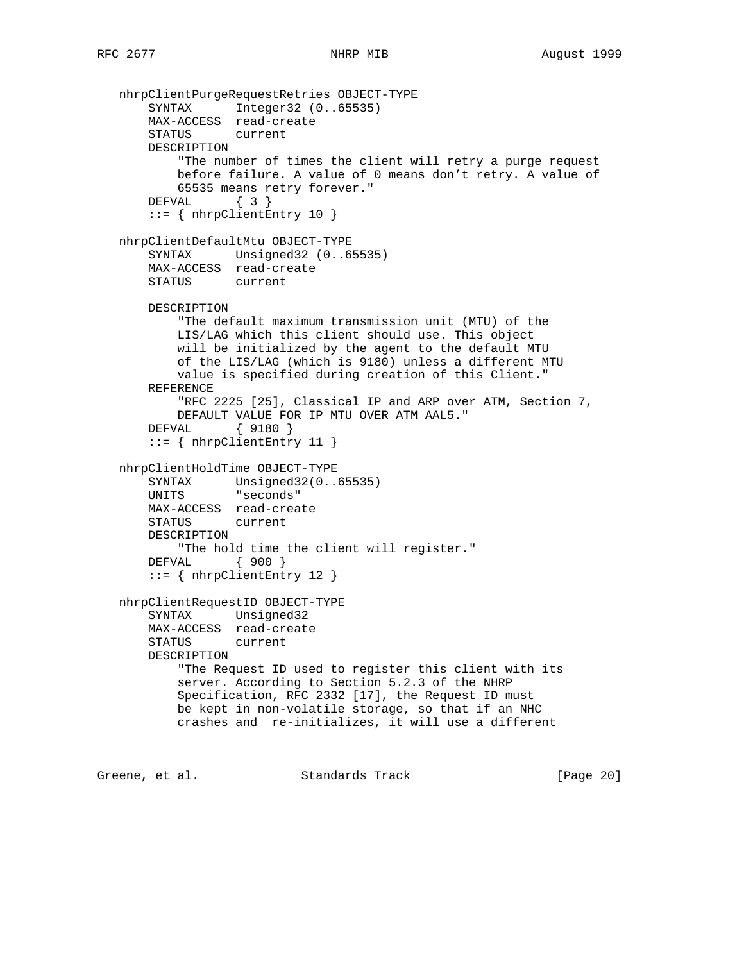```
 nhrpClientPurgeRequestRetries OBJECT-TYPE
       SYNTAX Integer32 (0..65535)
       MAX-ACCESS read-create
       STATUS current
       DESCRIPTION
           "The number of times the client will retry a purge request
           before failure. A value of 0 means don't retry. A value of
           65535 means retry forever."
       DEFVAL { 3 }
       ::= { nhrpClientEntry 10 }
   nhrpClientDefaultMtu OBJECT-TYPE
       SYNTAX Unsigned32 (0..65535)
       MAX-ACCESS read-create
       STATUS current
       DESCRIPTION
           "The default maximum transmission unit (MTU) of the
           LIS/LAG which this client should use. This object
           will be initialized by the agent to the default MTU
           of the LIS/LAG (which is 9180) unless a different MTU
           value is specified during creation of this Client."
       REFERENCE
           "RFC 2225 [25], Classical IP and ARP over ATM, Section 7,
           DEFAULT VALUE FOR IP MTU OVER ATM AAL5."
       DEFVAL { 9180 }
       ::= { nhrpClientEntry 11 }
   nhrpClientHoldTime OBJECT-TYPE
      SYNTAX Unsigned32(0..65535)
       UNITS "seconds"
       MAX-ACCESS read-create
       STATUS current
       DESCRIPTION
           "The hold time the client will register."
       DEFVAL { 900 }
       ::= { nhrpClientEntry 12 }
   nhrpClientRequestID OBJECT-TYPE
       SYNTAX Unsigned32
       MAX-ACCESS read-create
       STATUS current
       DESCRIPTION
           "The Request ID used to register this client with its
           server. According to Section 5.2.3 of the NHRP
           Specification, RFC 2332 [17], the Request ID must
           be kept in non-volatile storage, so that if an NHC
           crashes and re-initializes, it will use a different
Greene, et al. Standards Track [Page 20]
```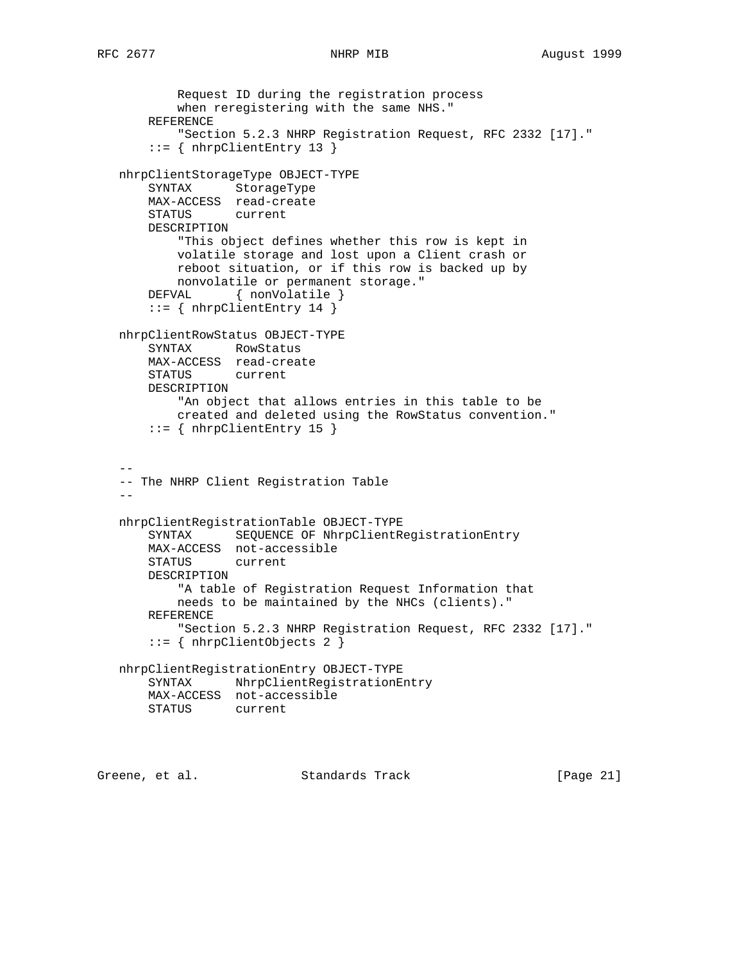```
 Request ID during the registration process
           when reregistering with the same NHS."
       REFERENCE
           "Section 5.2.3 NHRP Registration Request, RFC 2332 [17]."
       ::= { nhrpClientEntry 13 }
   nhrpClientStorageType OBJECT-TYPE
       SYNTAX StorageType
       MAX-ACCESS read-create
       STATUS current
       DESCRIPTION
           "This object defines whether this row is kept in
           volatile storage and lost upon a Client crash or
           reboot situation, or if this row is backed up by
           nonvolatile or permanent storage."
      DEFVAL { nonVolatile }
       ::= { nhrpClientEntry 14 }
   nhrpClientRowStatus OBJECT-TYPE
       SYNTAX RowStatus
       MAX-ACCESS read-create
       STATUS current
       DESCRIPTION
           "An object that allows entries in this table to be
           created and deleted using the RowStatus convention."
      ::= { nhrpClientEntry 15 }
 --
   -- The NHRP Client Registration Table
  - - nhrpClientRegistrationTable OBJECT-TYPE
       SYNTAX SEQUENCE OF NhrpClientRegistrationEntry
       MAX-ACCESS not-accessible
       STATUS current
       DESCRIPTION
           "A table of Registration Request Information that
           needs to be maintained by the NHCs (clients)."
       REFERENCE
           "Section 5.2.3 NHRP Registration Request, RFC 2332 [17]."
       ::= { nhrpClientObjects 2 }
   nhrpClientRegistrationEntry OBJECT-TYPE
       SYNTAX NhrpClientRegistrationEntry
       MAX-ACCESS not-accessible
       STATUS current
```
Greene, et al. Standards Track [Page 21]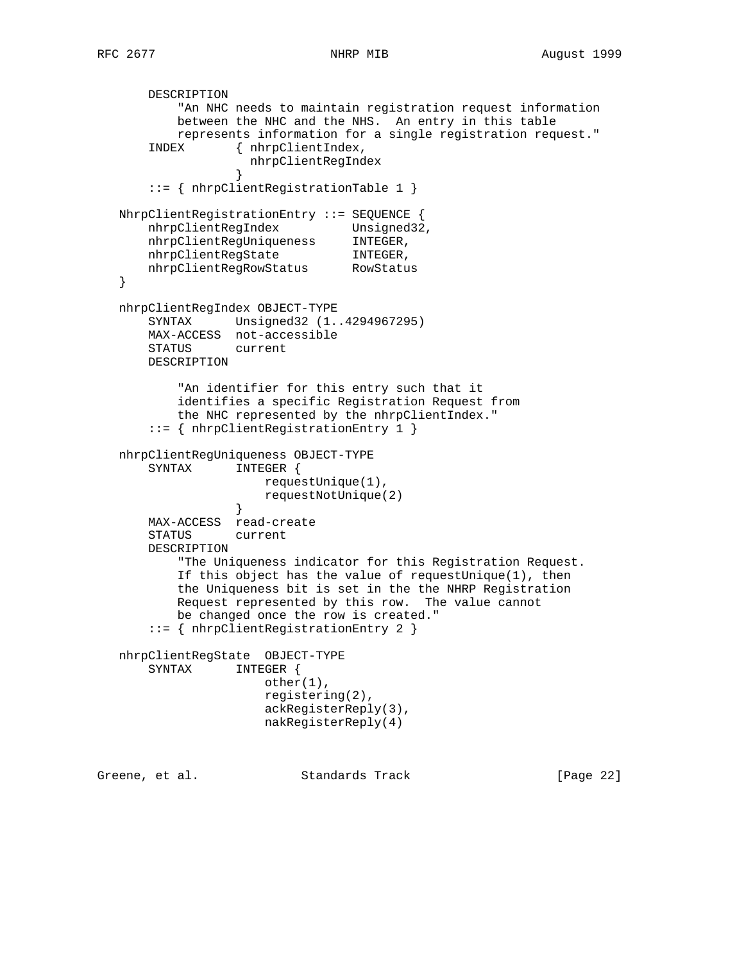```
 DESCRIPTION
           "An NHC needs to maintain registration request information
           between the NHC and the NHS. An entry in this table
           represents information for a single registration request."
       INDEX { nhrpClientIndex,
                    nhrpClientRegIndex
 }
       ::= { nhrpClientRegistrationTable 1 }
   NhrpClientRegistrationEntry ::= SEQUENCE {
nhrpClientRegIndex Unsigned32,
 nhrpClientRegUniqueness INTEGER,
 nhrpClientRegState INTEGER,
 nhrpClientRegRowStatus RowStatus
   }
   nhrpClientRegIndex OBJECT-TYPE
       SYNTAX Unsigned32 (1..4294967295)
       MAX-ACCESS not-accessible
       STATUS current
       DESCRIPTION
           "An identifier for this entry such that it
           identifies a specific Registration Request from
           the NHC represented by the nhrpClientIndex."
       ::= { nhrpClientRegistrationEntry 1 }
   nhrpClientRegUniqueness OBJECT-TYPE
       SYNTAX INTEGER {
                    requestUnique(1),
                      requestNotUnique(2)
 }
       MAX-ACCESS read-create
       STATUS current
       DESCRIPTION
           "The Uniqueness indicator for this Registration Request.
           If this object has the value of requestUnique(1), then
           the Uniqueness bit is set in the the NHRP Registration
           Request represented by this row. The value cannot
           be changed once the row is created."
       ::= { nhrpClientRegistrationEntry 2 }
   nhrpClientRegState OBJECT-TYPE
       SYNTAX INTEGER {
                      other(1),
                      registering(2),
                      ackRegisterReply(3),
                      nakRegisterReply(4)
Greene, et al. Standards Track [Page 22]
```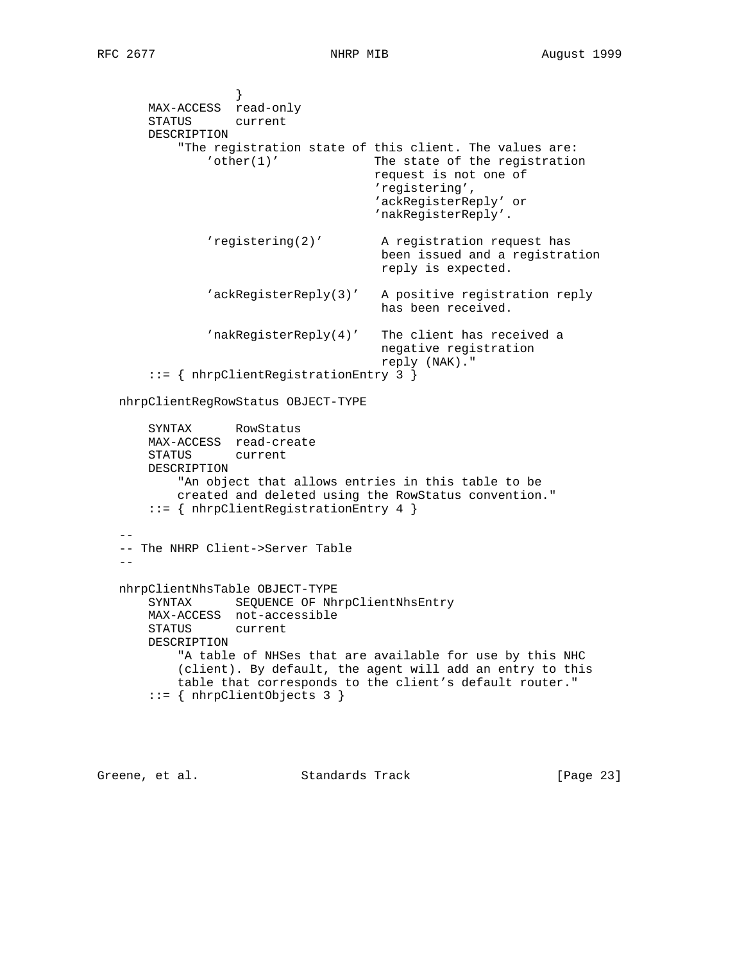```
 }
       MAX-ACCESS read-only
       STATUS current
       DESCRIPTION
           "The registration state of this client. The values are:
               'other(1)' The state of the registration
                                     request is not one of
                                     'registering',
                                      'ackRegisterReply' or
                                      'nakRegisterReply'.
               'registering(2)' A registration request has
                                      been issued and a registration
                                      reply is expected.
               'ackRegisterReply(3)' A positive registration reply
                                      has been received.
               'nakRegisterReply(4)' The client has received a
                                      negative registration
                                      reply (NAK)."
       ::= { nhrpClientRegistrationEntry 3 }
   nhrpClientRegRowStatus OBJECT-TYPE
       SYNTAX RowStatus
       MAX-ACCESS read-create
       STATUS current
       DESCRIPTION
           "An object that allows entries in this table to be
           created and deleted using the RowStatus convention."
       ::= { nhrpClientRegistrationEntry 4 }
 --
   -- The NHRP Client->Server Table
- nhrpClientNhsTable OBJECT-TYPE
      SYNTAX SEQUENCE OF NhrpClientNhsEntry
       MAX-ACCESS not-accessible
       STATUS current
       DESCRIPTION
           "A table of NHSes that are available for use by this NHC
           (client). By default, the agent will add an entry to this
           table that corresponds to the client's default router."
       ::= { nhrpClientObjects 3 }
```
Greene, et al. Standards Track [Page 23]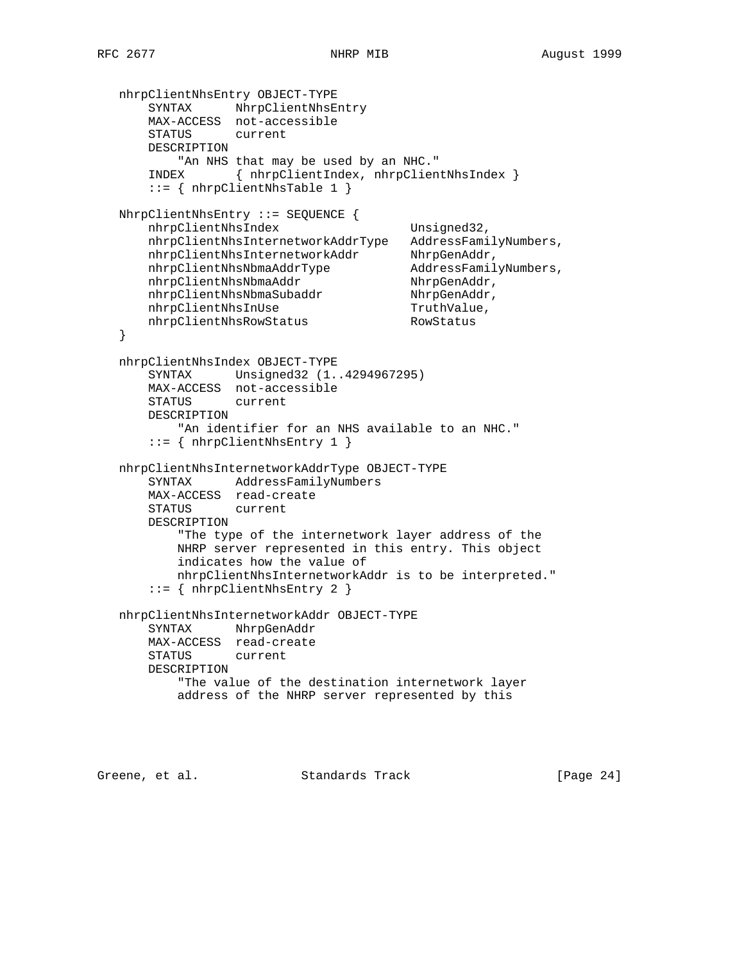```
 nhrpClientNhsEntry OBJECT-TYPE
 SYNTAX NhrpClientNhsEntry
 MAX-ACCESS not-accessible
       STATUS current
      DESCRIPTION
         "An NHS that may be used by an NHC."
       INDEX { nhrpClientIndex, nhrpClientNhsIndex }
       ::= { nhrpClientNhsTable 1 }
   NhrpClientNhsEntry ::= SEQUENCE {
     nhrpClientNhsIndex Unsigned32,
      nhrpClientNhsInternetworkAddrType AddressFamilyNumbers,
nhrpClientNhsInternetworkAddr NhrpGenAddr,
 nhrpClientNhsNbmaAddrType AddressFamilyNumbers,
nhrpClientNhsNbmaAddr NhrpGenAddr,
nhrpClientNhsNbmaSubaddr NhrpGenAddr,
nhrpClientNhsInUse TruthValue,
nhrpClientNhsRowStatus RowStatus
   }
   nhrpClientNhsIndex OBJECT-TYPE
       SYNTAX Unsigned32 (1..4294967295)
      MAX-ACCESS not-accessible
      STATUS current
      DESCRIPTION
         "An identifier for an NHS available to an NHC."
       ::= { nhrpClientNhsEntry 1 }
   nhrpClientNhsInternetworkAddrType OBJECT-TYPE
       SYNTAX AddressFamilyNumbers
      MAX-ACCESS read-create
      STATUS current
      DESCRIPTION
          "The type of the internetwork layer address of the
          NHRP server represented in this entry. This object
          indicates how the value of
          nhrpClientNhsInternetworkAddr is to be interpreted."
       ::= { nhrpClientNhsEntry 2 }
   nhrpClientNhsInternetworkAddr OBJECT-TYPE
       SYNTAX NhrpGenAddr
       MAX-ACCESS read-create
       STATUS current
       DESCRIPTION
          "The value of the destination internetwork layer
          address of the NHRP server represented by this
```
Greene, et al. Standards Track [Page 24]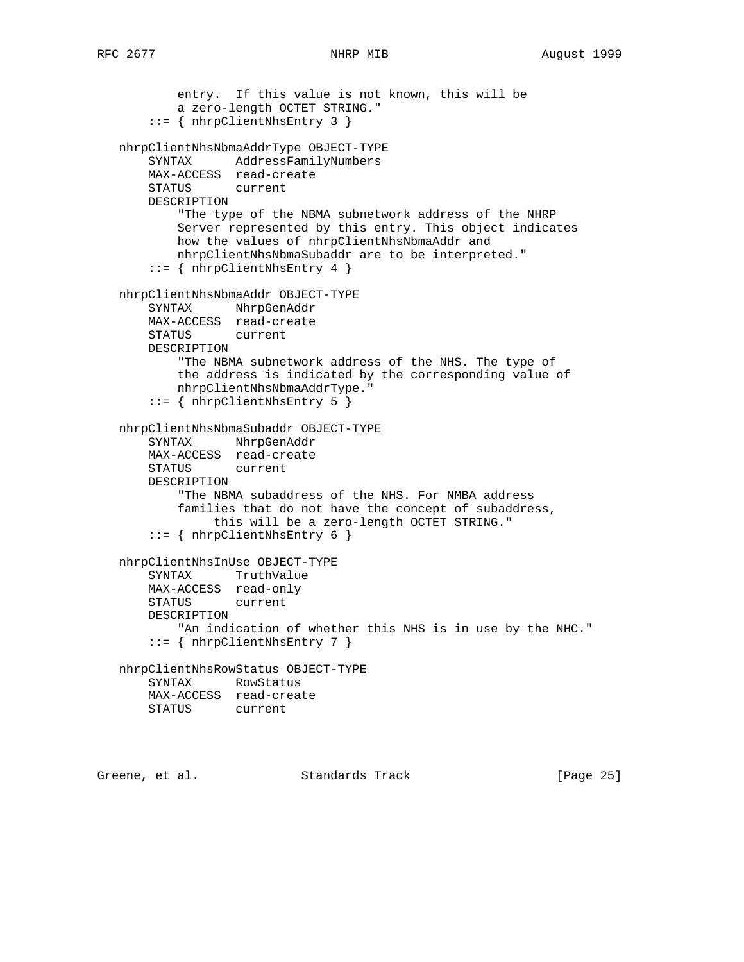```
 entry. If this value is not known, this will be
         a zero-length OCTET STRING."
     ::= { nhrpClientNhsEntry 3 }
 nhrpClientNhsNbmaAddrType OBJECT-TYPE
     SYNTAX AddressFamilyNumbers
    MAX-ACCESS read-create
    STATUS current
    DESCRIPTION
         "The type of the NBMA subnetwork address of the NHRP
         Server represented by this entry. This object indicates
         how the values of nhrpClientNhsNbmaAddr and
         nhrpClientNhsNbmaSubaddr are to be interpreted."
     ::= { nhrpClientNhsEntry 4 }
 nhrpClientNhsNbmaAddr OBJECT-TYPE
     SYNTAX NhrpGenAddr
    MAX-ACCESS read-create
    STATUS current
    DESCRIPTION
         "The NBMA subnetwork address of the NHS. The type of
         the address is indicated by the corresponding value of
        nhrpClientNhsNbmaAddrType."
     ::= { nhrpClientNhsEntry 5 }
 nhrpClientNhsNbmaSubaddr OBJECT-TYPE
     SYNTAX NhrpGenAddr
    MAX-ACCESS read-create
    STATUS current
    DESCRIPTION
         "The NBMA subaddress of the NHS. For NMBA address
         families that do not have the concept of subaddress,
              this will be a zero-length OCTET STRING."
    ::= { nhrpClientNhsEntry 6 }
 nhrpClientNhsInUse OBJECT-TYPE
     SYNTAX TruthValue
     MAX-ACCESS read-only
     STATUS current
     DESCRIPTION
       "An indication of whether this NHS is in use by the NHC."
     ::= { nhrpClientNhsEntry 7 }
 nhrpClientNhsRowStatus OBJECT-TYPE
     SYNTAX RowStatus
    MAX-ACCESS read-create
    STATUS current
```
Greene, et al. Standards Track [Page 25]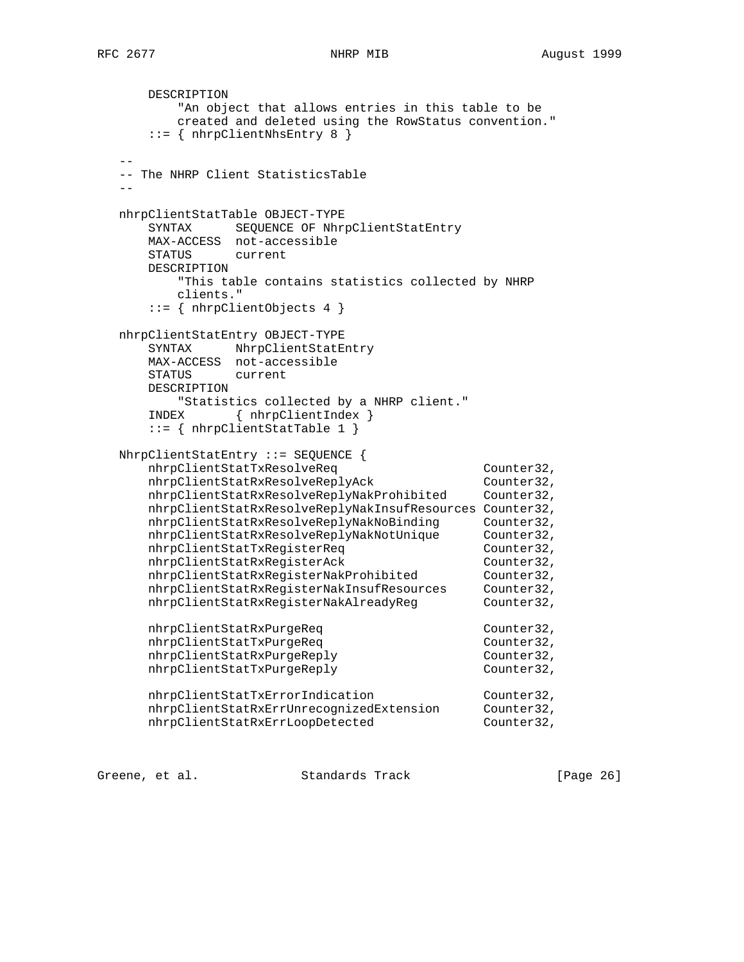```
 DESCRIPTION
          "An object that allows entries in this table to be
          created and deleted using the RowStatus convention."
      ::= { nhrpClientNhsEntry 8 }
- -- The NHRP Client StatisticsTable
 --
   nhrpClientStatTable OBJECT-TYPE
      SYNTAX SEQUENCE OF NhrpClientStatEntry
      MAX-ACCESS not-accessible
      STATUS current
      DESCRIPTION
         "This table contains statistics collected by NHRP
         clients."
      ::= { nhrpClientObjects 4 }
   nhrpClientStatEntry OBJECT-TYPE
      SYNTAX NhrpClientStatEntry
      MAX-ACCESS not-accessible
      STATUS current
      DESCRIPTION
         "Statistics collected by a NHRP client."
      INDEX { nhrpClientIndex }
      ::= { nhrpClientStatTable 1 }
   NhrpClientStatEntry ::= SEQUENCE {
     nhrpClientStatTxResolveReq counter32,
nhrpClientStatRxResolveReplyAck Counter32,
 nhrpClientStatRxResolveReplyNakProhibited Counter32,
      nhrpClientStatRxResolveReplyNakInsufResources Counter32,
 nhrpClientStatRxResolveReplyNakNoBinding Counter32,
 nhrpClientStatRxResolveReplyNakNotUnique Counter32,
nhrpClientStatTxRegisterReq counter32,
nhrpClientStatRxRegisterAck Counter32,
 nhrpClientStatRxRegisterNakProhibited Counter32,
 nhrpClientStatRxRegisterNakInsufResources Counter32,
 nhrpClientStatRxRegisterNakAlreadyReg Counter32,
     nhrpClientStatRxPurgeReq Counter32,
     nhrpClientStatTxPurgeReq Counter32,
      nhrpClientStatRxPurgeReply Counter32,
      nhrpClientStatTxPurgeReply Counter32,
nhrpClientStatTxErrorIndication Counter32,
 nhrpClientStatRxErrUnrecognizedExtension Counter32,
nhrpClientStatRxErrLoopDetected Counter32,
```
Greene, et al. Standards Track [Page 26]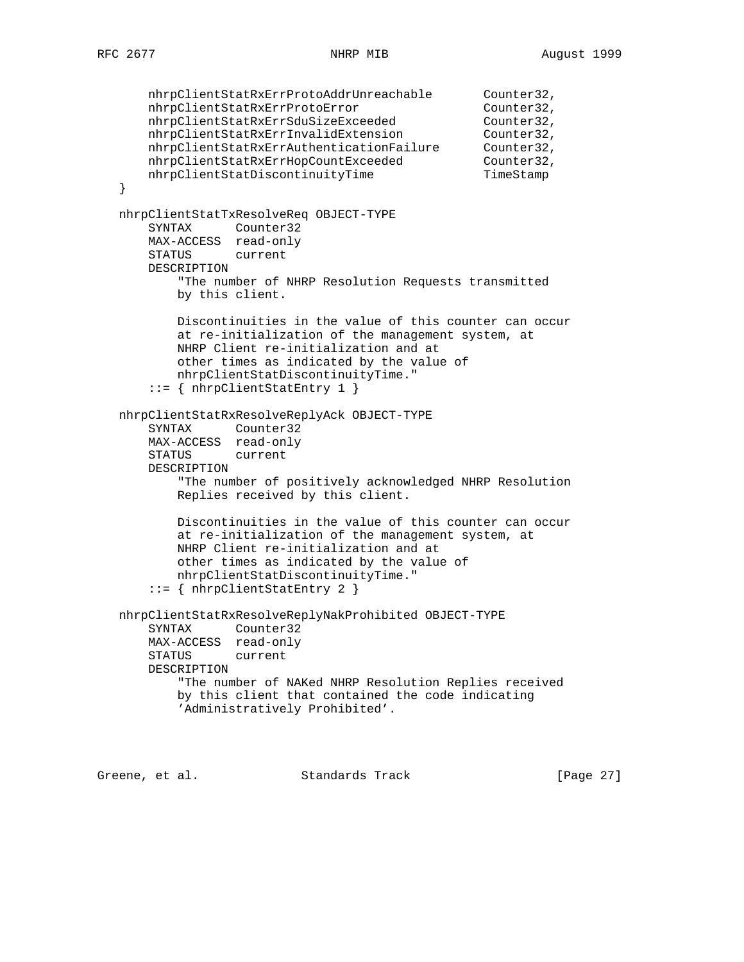```
 nhrpClientStatRxErrProtoAddrUnreachable Counter32,
nhrpClientStatRxErrProtoError Counter32,
 nhrpClientStatRxErrSduSizeExceeded Counter32,
 nhrpClientStatRxErrInvalidExtension Counter32,
 nhrpClientStatRxErrAuthenticationFailure Counter32,
 nhrpClientStatRxErrHopCountExceeded Counter32,
nhrpClientStatDiscontinuityTime TimeStamp
   }
   nhrpClientStatTxResolveReq OBJECT-TYPE
       SYNTAX Counter32
       MAX-ACCESS read-only
       STATUS current
       DESCRIPTION
           "The number of NHRP Resolution Requests transmitted
          by this client.
           Discontinuities in the value of this counter can occur
           at re-initialization of the management system, at
          NHRP Client re-initialization and at
           other times as indicated by the value of
          nhrpClientStatDiscontinuityTime."
       ::= { nhrpClientStatEntry 1 }
   nhrpClientStatRxResolveReplyAck OBJECT-TYPE
 SYNTAX Counter32
 MAX-ACCESS read-only
       STATUS current
       DESCRIPTION
           "The number of positively acknowledged NHRP Resolution
           Replies received by this client.
           Discontinuities in the value of this counter can occur
           at re-initialization of the management system, at
           NHRP Client re-initialization and at
           other times as indicated by the value of
          nhrpClientStatDiscontinuityTime."
       ::= { nhrpClientStatEntry 2 }
   nhrpClientStatRxResolveReplyNakProhibited OBJECT-TYPE
       SYNTAX Counter32
       MAX-ACCESS read-only
       STATUS current
       DESCRIPTION
           "The number of NAKed NHRP Resolution Replies received
           by this client that contained the code indicating
           'Administratively Prohibited'.
```
Greene, et al. Standards Track [Page 27]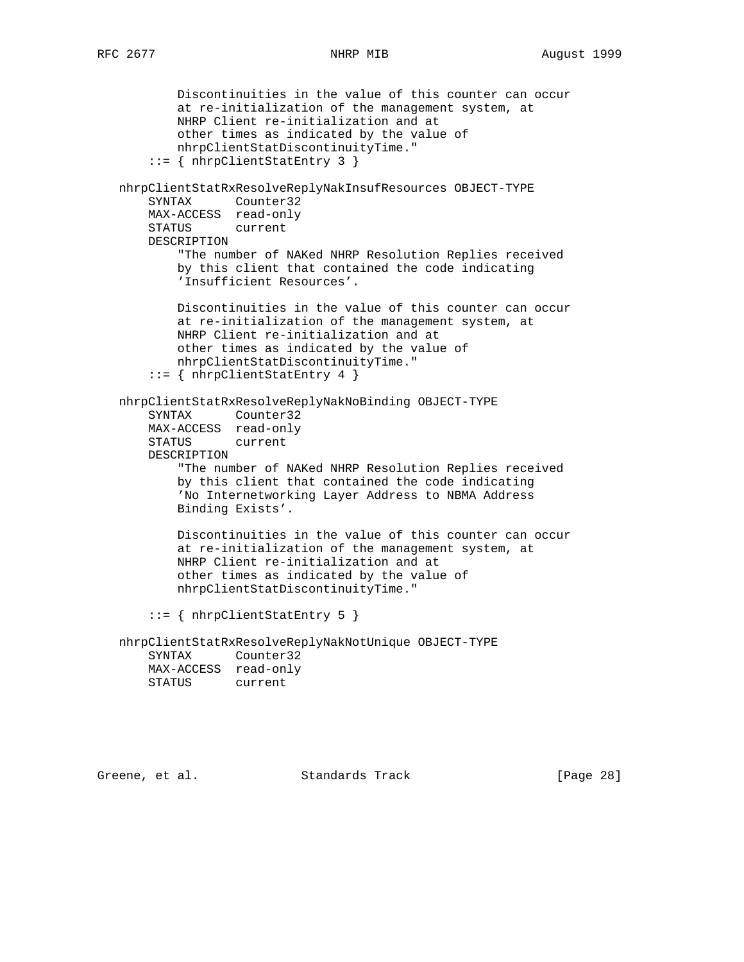```
 Discontinuities in the value of this counter can occur
         at re-initialization of the management system, at
         NHRP Client re-initialization and at
         other times as indicated by the value of
         nhrpClientStatDiscontinuityTime."
     ::= { nhrpClientStatEntry 3 }
 nhrpClientStatRxResolveReplyNakInsufResources OBJECT-TYPE
     SYNTAX Counter32
    MAX-ACCESS read-only
    STATUS current
    DESCRIPTION
         "The number of NAKed NHRP Resolution Replies received
         by this client that contained the code indicating
         'Insufficient Resources'.
         Discontinuities in the value of this counter can occur
         at re-initialization of the management system, at
         NHRP Client re-initialization and at
         other times as indicated by the value of
         nhrpClientStatDiscontinuityTime."
     ::= { nhrpClientStatEntry 4 }
 nhrpClientStatRxResolveReplyNakNoBinding OBJECT-TYPE
     SYNTAX Counter32
    MAX-ACCESS read-only
    STATUS current
     DESCRIPTION
         "The number of NAKed NHRP Resolution Replies received
         by this client that contained the code indicating
         'No Internetworking Layer Address to NBMA Address
         Binding Exists'.
         Discontinuities in the value of this counter can occur
         at re-initialization of the management system, at
         NHRP Client re-initialization and at
         other times as indicated by the value of
         nhrpClientStatDiscontinuityTime."
     ::= { nhrpClientStatEntry 5 }
 nhrpClientStatRxResolveReplyNakNotUnique OBJECT-TYPE
     SYNTAX Counter32
    MAX-ACCESS read-only
    STATUS current
```
Greene, et al. Standards Track [Page 28]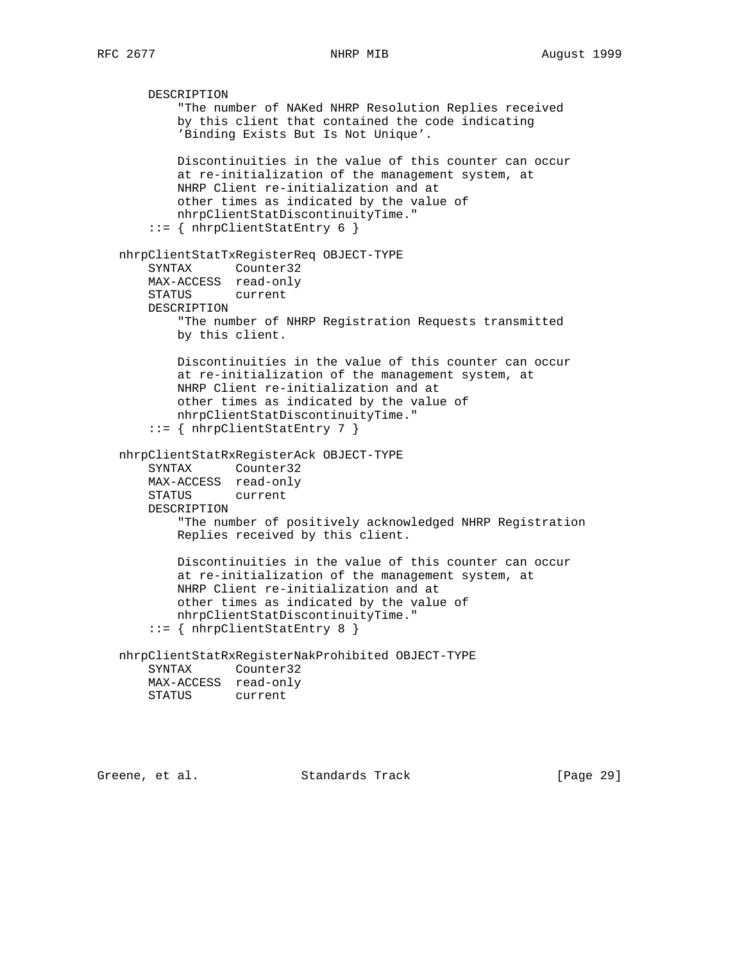```
 DESCRIPTION
           "The number of NAKed NHRP Resolution Replies received
           by this client that contained the code indicating
           'Binding Exists But Is Not Unique'.
           Discontinuities in the value of this counter can occur
           at re-initialization of the management system, at
           NHRP Client re-initialization and at
           other times as indicated by the value of
           nhrpClientStatDiscontinuityTime."
       ::= { nhrpClientStatEntry 6 }
   nhrpClientStatTxRegisterReq OBJECT-TYPE
       SYNTAX Counter32
       MAX-ACCESS read-only
       STATUS current
       DESCRIPTION
           "The number of NHRP Registration Requests transmitted
           by this client.
           Discontinuities in the value of this counter can occur
           at re-initialization of the management system, at
           NHRP Client re-initialization and at
           other times as indicated by the value of
           nhrpClientStatDiscontinuityTime."
       ::= { nhrpClientStatEntry 7 }
   nhrpClientStatRxRegisterAck OBJECT-TYPE
 SYNTAX Counter32
 MAX-ACCESS read-only
       STATUS current
       DESCRIPTION
           "The number of positively acknowledged NHRP Registration
           Replies received by this client.
           Discontinuities in the value of this counter can occur
           at re-initialization of the management system, at
           NHRP Client re-initialization and at
           other times as indicated by the value of
           nhrpClientStatDiscontinuityTime."
       ::= { nhrpClientStatEntry 8 }
   nhrpClientStatRxRegisterNakProhibited OBJECT-TYPE
       SYNTAX Counter32
       MAX-ACCESS read-only
       STATUS current
```
Greene, et al. Standards Track [Page 29]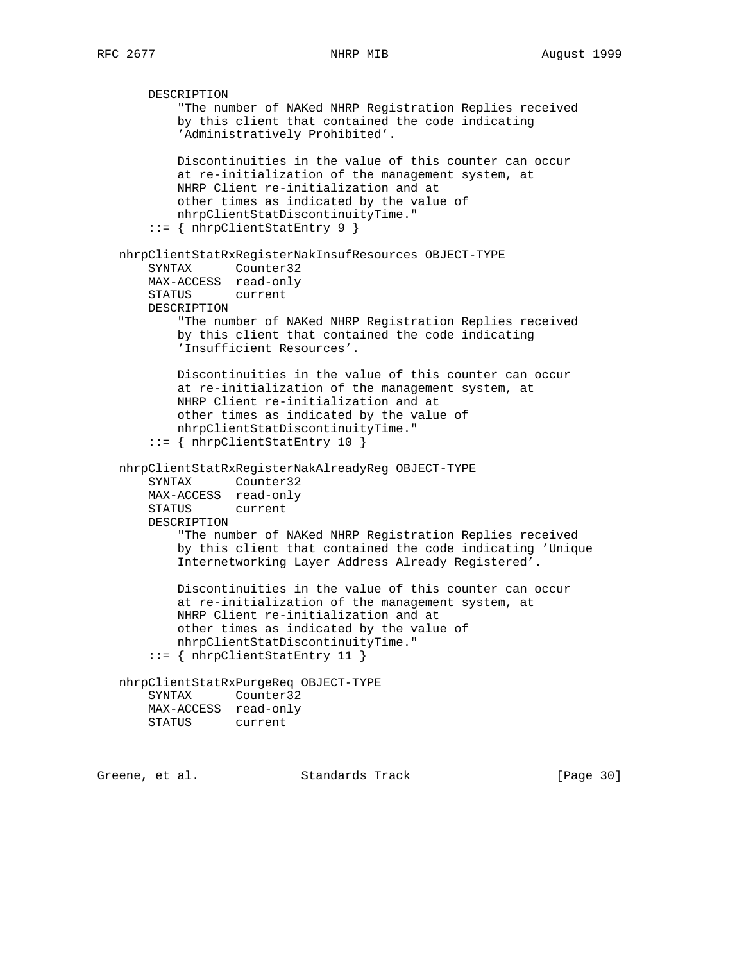DESCRIPTION "The number of NAKed NHRP Registration Replies received by this client that contained the code indicating 'Administratively Prohibited'. Discontinuities in the value of this counter can occur at re-initialization of the management system, at NHRP Client re-initialization and at other times as indicated by the value of nhrpClientStatDiscontinuityTime." ::= { nhrpClientStatEntry 9 } nhrpClientStatRxRegisterNakInsufResources OBJECT-TYPE SYNTAX Counter32 MAX-ACCESS read-only STATUS current DESCRIPTION "The number of NAKed NHRP Registration Replies received by this client that contained the code indicating 'Insufficient Resources'. Discontinuities in the value of this counter can occur at re-initialization of the management system, at NHRP Client re-initialization and at other times as indicated by the value of nhrpClientStatDiscontinuityTime." ::= { nhrpClientStatEntry 10 } nhrpClientStatRxRegisterNakAlreadyReg OBJECT-TYPE SYNTAX Counter32 MAX-ACCESS read-only STATUS current DESCRIPTION "The number of NAKed NHRP Registration Replies received by this client that contained the code indicating 'Unique Internetworking Layer Address Already Registered'. Discontinuities in the value of this counter can occur at re-initialization of the management system, at NHRP Client re-initialization and at other times as indicated by the value of nhrpClientStatDiscontinuityTime." ::= { nhrpClientStatEntry 11 } nhrpClientStatRxPurgeReq OBJECT-TYPE SYNTAX Counter32 MAX-ACCESS read-only STATUS current

Greene, et al. Standards Track [Page 30]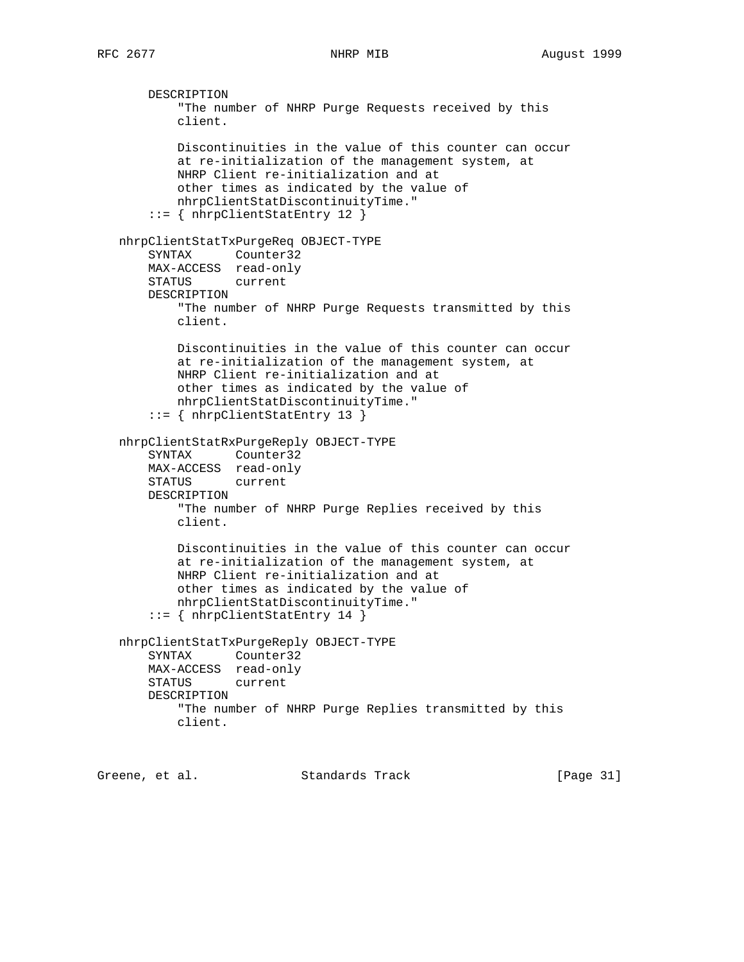DESCRIPTION "The number of NHRP Purge Requests received by this client. Discontinuities in the value of this counter can occur at re-initialization of the management system, at NHRP Client re-initialization and at other times as indicated by the value of nhrpClientStatDiscontinuityTime." ::= { nhrpClientStatEntry 12 } nhrpClientStatTxPurgeReq OBJECT-TYPE SYNTAX Counter32 MAX-ACCESS read-only STATUS current DESCRIPTION "The number of NHRP Purge Requests transmitted by this client. Discontinuities in the value of this counter can occur at re-initialization of the management system, at NHRP Client re-initialization and at other times as indicated by the value of nhrpClientStatDiscontinuityTime." ::= { nhrpClientStatEntry 13 } nhrpClientStatRxPurgeReply OBJECT-TYPE SYNTAX Counter32 MAX-ACCESS read-only STATUS current DESCRIPTION "The number of NHRP Purge Replies received by this client. Discontinuities in the value of this counter can occur at re-initialization of the management system, at NHRP Client re-initialization and at other times as indicated by the value of nhrpClientStatDiscontinuityTime." ::= { nhrpClientStatEntry 14 } nhrpClientStatTxPurgeReply OBJECT-TYPE SYNTAX Counter32 MAX-ACCESS read-only STATUS current DESCRIPTION "The number of NHRP Purge Replies transmitted by this client.

Greene, et al. Standards Track [Page 31]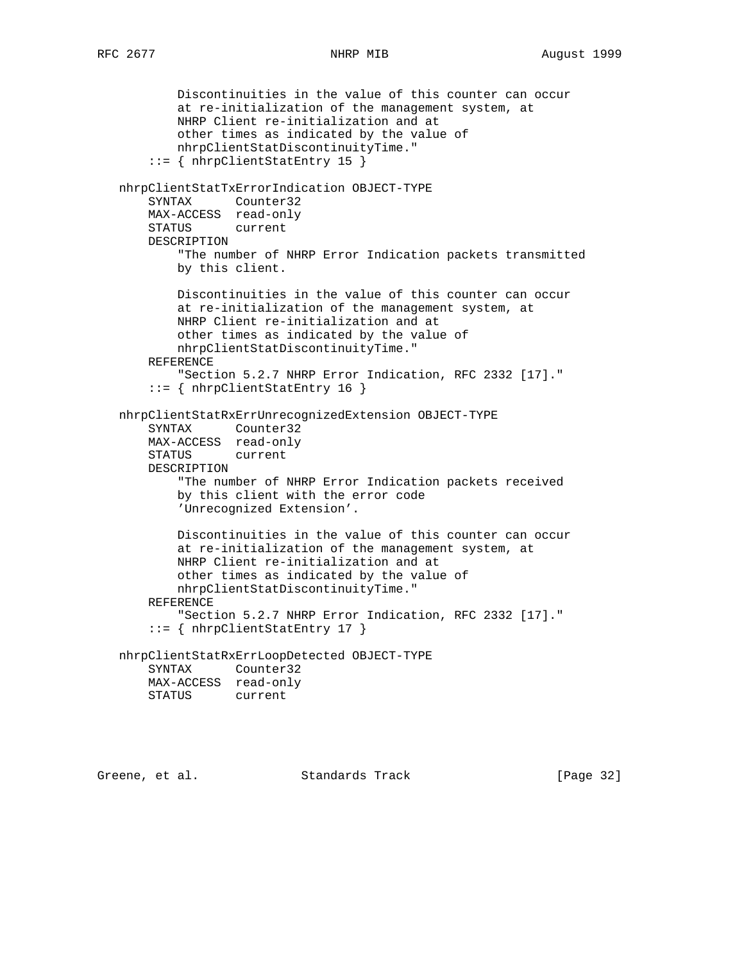```
 Discontinuities in the value of this counter can occur
           at re-initialization of the management system, at
           NHRP Client re-initialization and at
           other times as indicated by the value of
           nhrpClientStatDiscontinuityTime."
       ::= { nhrpClientStatEntry 15 }
   nhrpClientStatTxErrorIndication OBJECT-TYPE
       SYNTAX Counter32
       MAX-ACCESS read-only
       STATUS current
       DESCRIPTION
           "The number of NHRP Error Indication packets transmitted
           by this client.
           Discontinuities in the value of this counter can occur
           at re-initialization of the management system, at
           NHRP Client re-initialization and at
           other times as indicated by the value of
           nhrpClientStatDiscontinuityTime."
       REFERENCE
           "Section 5.2.7 NHRP Error Indication, RFC 2332 [17]."
       ::= { nhrpClientStatEntry 16 }
   nhrpClientStatRxErrUnrecognizedExtension OBJECT-TYPE
 SYNTAX Counter32
 MAX-ACCESS read-only
       STATUS current
       DESCRIPTION
           "The number of NHRP Error Indication packets received
           by this client with the error code
           'Unrecognized Extension'.
           Discontinuities in the value of this counter can occur
           at re-initialization of the management system, at
           NHRP Client re-initialization and at
           other times as indicated by the value of
           nhrpClientStatDiscontinuityTime."
       REFERENCE
           "Section 5.2.7 NHRP Error Indication, RFC 2332 [17]."
       ::= { nhrpClientStatEntry 17 }
   nhrpClientStatRxErrLoopDetected OBJECT-TYPE
       SYNTAX Counter32
       MAX-ACCESS read-only
       STATUS current
```
Greene, et al. Standards Track [Page 32]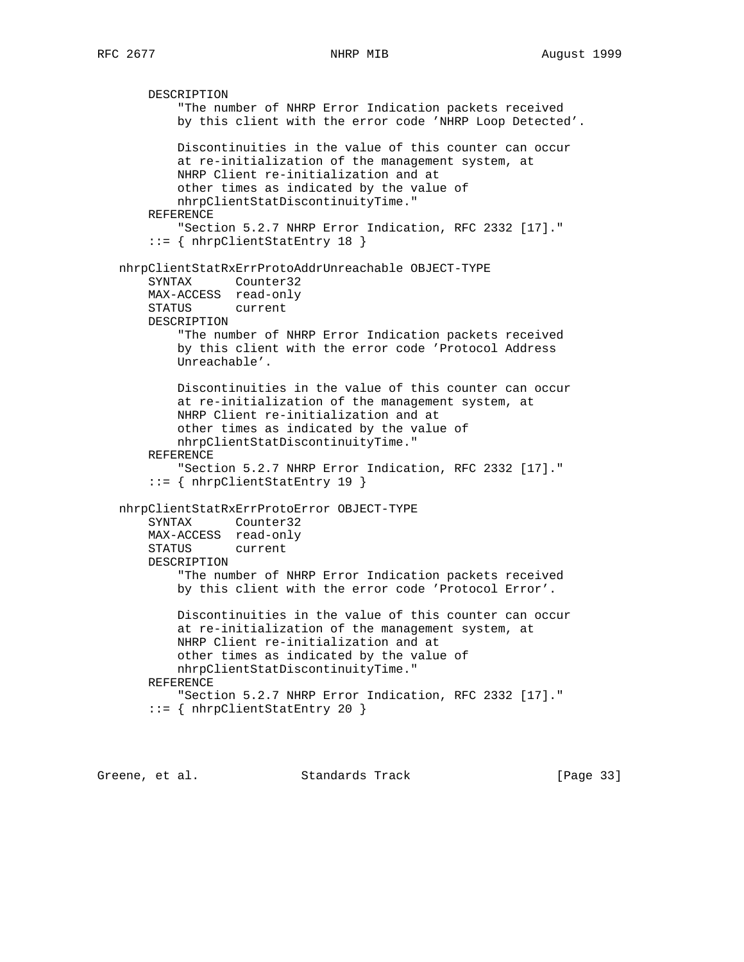DESCRIPTION "The number of NHRP Error Indication packets received by this client with the error code 'NHRP Loop Detected'. Discontinuities in the value of this counter can occur at re-initialization of the management system, at NHRP Client re-initialization and at other times as indicated by the value of nhrpClientStatDiscontinuityTime." REFERENCE "Section 5.2.7 NHRP Error Indication, RFC 2332 [17]." ::= { nhrpClientStatEntry 18 } nhrpClientStatRxErrProtoAddrUnreachable OBJECT-TYPE SYNTAX Counter32 MAX-ACCESS read-only STATUS current DESCRIPTION "The number of NHRP Error Indication packets received by this client with the error code 'Protocol Address Unreachable'. Discontinuities in the value of this counter can occur at re-initialization of the management system, at NHRP Client re-initialization and at other times as indicated by the value of nhrpClientStatDiscontinuityTime." REFERENCE "Section 5.2.7 NHRP Error Indication, RFC 2332 [17]." ::= { nhrpClientStatEntry 19 } nhrpClientStatRxErrProtoError OBJECT-TYPE SYNTAX Counter32 MAX-ACCESS read-only STATUS current DESCRIPTION "The number of NHRP Error Indication packets received by this client with the error code 'Protocol Error'. Discontinuities in the value of this counter can occur at re-initialization of the management system, at NHRP Client re-initialization and at other times as indicated by the value of nhrpClientStatDiscontinuityTime." REFERENCE "Section 5.2.7 NHRP Error Indication, RFC 2332 [17]." ::= { nhrpClientStatEntry 20 }

Greene, et al. Standards Track [Page 33]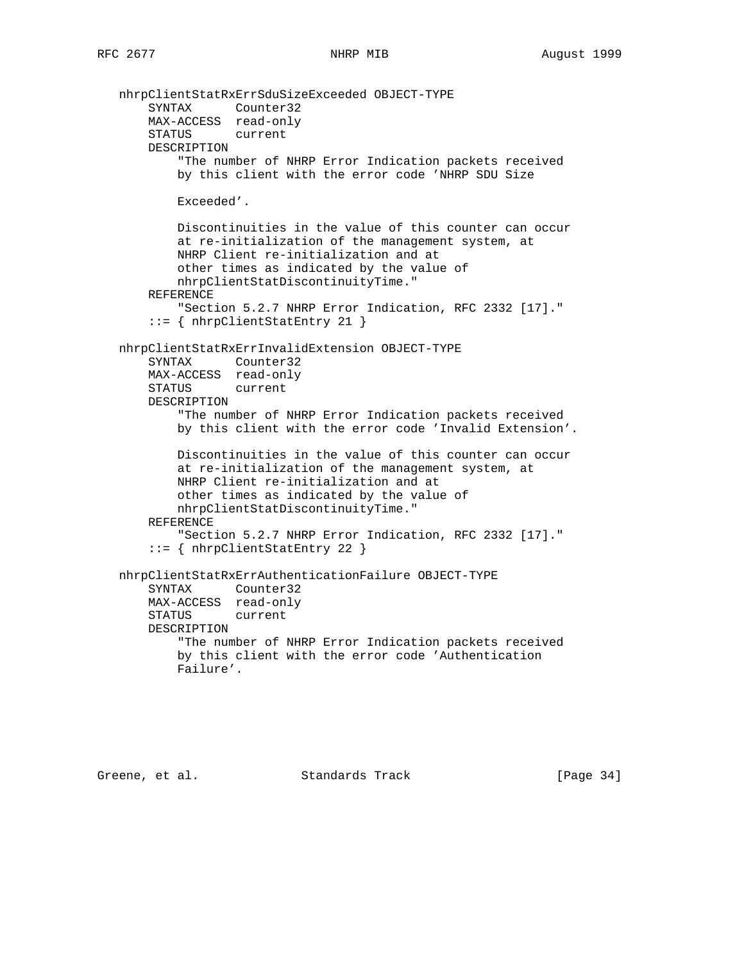```
 nhrpClientStatRxErrSduSizeExceeded OBJECT-TYPE
 SYNTAX Counter32
 MAX-ACCESS read-only
       STATUS current
       DESCRIPTION
           "The number of NHRP Error Indication packets received
           by this client with the error code 'NHRP SDU Size
           Exceeded'.
           Discontinuities in the value of this counter can occur
           at re-initialization of the management system, at
           NHRP Client re-initialization and at
           other times as indicated by the value of
           nhrpClientStatDiscontinuityTime."
       REFERENCE
           "Section 5.2.7 NHRP Error Indication, RFC 2332 [17]."
       ::= { nhrpClientStatEntry 21 }
   nhrpClientStatRxErrInvalidExtension OBJECT-TYPE
       SYNTAX Counter32
       MAX-ACCESS read-only
       STATUS current
       DESCRIPTION
           "The number of NHRP Error Indication packets received
           by this client with the error code 'Invalid Extension'.
           Discontinuities in the value of this counter can occur
           at re-initialization of the management system, at
           NHRP Client re-initialization and at
           other times as indicated by the value of
           nhrpClientStatDiscontinuityTime."
       REFERENCE
           "Section 5.2.7 NHRP Error Indication, RFC 2332 [17]."
       ::= { nhrpClientStatEntry 22 }
   nhrpClientStatRxErrAuthenticationFailure OBJECT-TYPE
       SYNTAX Counter32
       MAX-ACCESS read-only
       STATUS current
       DESCRIPTION
           "The number of NHRP Error Indication packets received
           by this client with the error code 'Authentication
           Failure'.
```
Greene, et al. Standards Track [Page 34]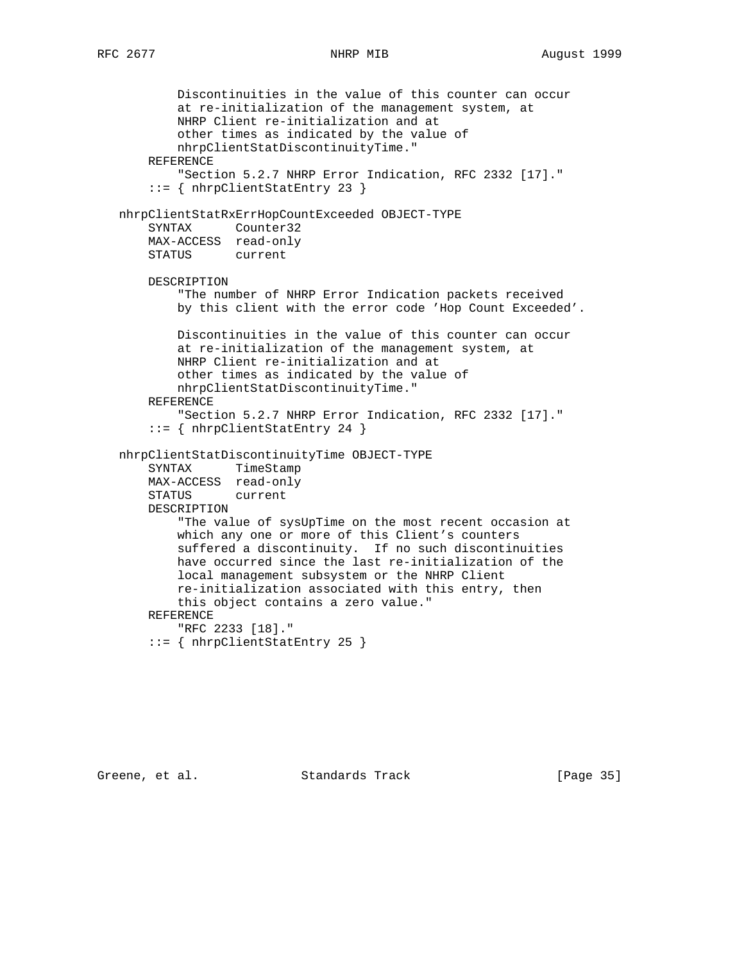```
 Discontinuities in the value of this counter can occur
         at re-initialization of the management system, at
         NHRP Client re-initialization and at
         other times as indicated by the value of
         nhrpClientStatDiscontinuityTime."
     REFERENCE
         "Section 5.2.7 NHRP Error Indication, RFC 2332 [17]."
     ::= { nhrpClientStatEntry 23 }
 nhrpClientStatRxErrHopCountExceeded OBJECT-TYPE
     SYNTAX Counter32
     MAX-ACCESS read-only
     STATUS current
     DESCRIPTION
         "The number of NHRP Error Indication packets received
         by this client with the error code 'Hop Count Exceeded'.
         Discontinuities in the value of this counter can occur
         at re-initialization of the management system, at
         NHRP Client re-initialization and at
         other times as indicated by the value of
         nhrpClientStatDiscontinuityTime."
     REFERENCE
         "Section 5.2.7 NHRP Error Indication, RFC 2332 [17]."
     ::= { nhrpClientStatEntry 24 }
 nhrpClientStatDiscontinuityTime OBJECT-TYPE
     SYNTAX TimeStamp
     MAX-ACCESS read-only
     STATUS current
     DESCRIPTION
         "The value of sysUpTime on the most recent occasion at
         which any one or more of this Client's counters
         suffered a discontinuity. If no such discontinuities
         have occurred since the last re-initialization of the
         local management subsystem or the NHRP Client
         re-initialization associated with this entry, then
         this object contains a zero value."
     REFERENCE
         "RFC 2233 [18]."
     ::= { nhrpClientStatEntry 25 }
```
Greene, et al. Standards Track [Page 35]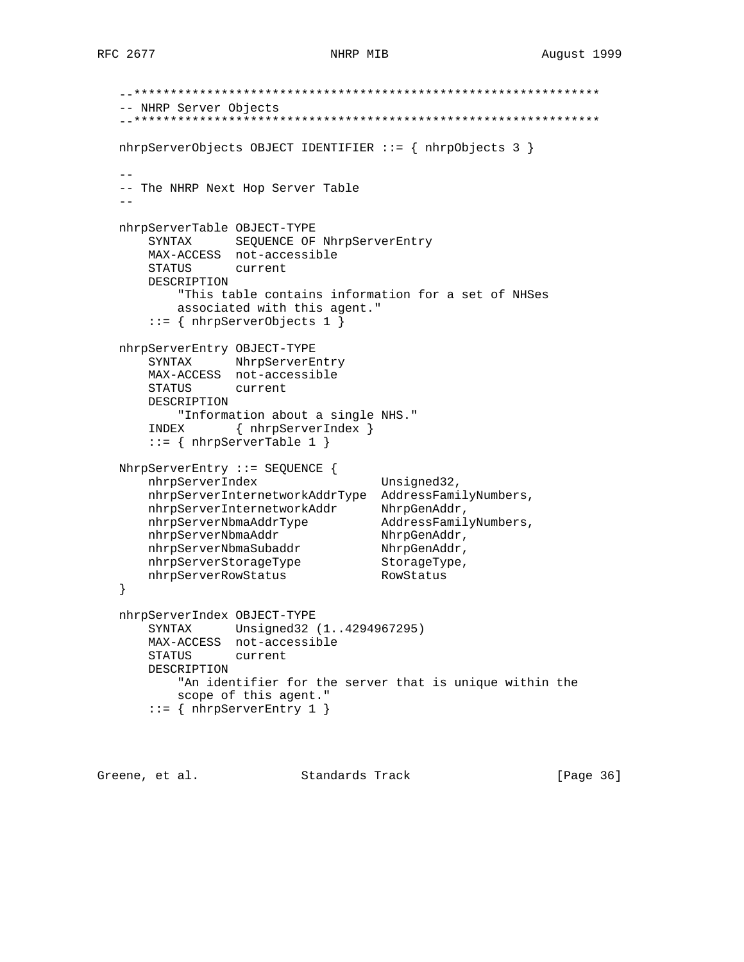```
 --****************************************************************
   -- NHRP Server Objects
   --****************************************************************
   nhrpServerObjects OBJECT IDENTIFIER ::= { nhrpObjects 3 }
 --
   -- The NHRP Next Hop Server Table
- nhrpServerTable OBJECT-TYPE
      SYNTAX SEQUENCE OF NhrpServerEntry
      MAX-ACCESS not-accessible
      STATUS current
      DESCRIPTION
          "This table contains information for a set of NHSes
          associated with this agent."
       ::= { nhrpServerObjects 1 }
   nhrpServerEntry OBJECT-TYPE
      SYNTAX NhrpServerEntry
      MAX-ACCESS not-accessible
      STATUS current
      DESCRIPTION
          "Information about a single NHS."
       INDEX { nhrpServerIndex }
      ::= { nhrpServerTable 1 }
   NhrpServerEntry ::= SEQUENCE {
     nhrpServerIndex Unsigned32,
      nhrpServerInternetworkAddrType AddressFamilyNumbers,
nhrpServerInternetworkAddr NhrpGenAddr,
 nhrpServerNbmaAddrType AddressFamilyNumbers,
nhrpServerNbmaAddr NhrpGenAddr,
nhrpServerNbmaSubaddr NhrpGenAddr,
nhrpServerStorageType StorageType,
nhrpServerRowStatus RowStatus
   }
   nhrpServerIndex OBJECT-TYPE
       SYNTAX Unsigned32 (1..4294967295)
      MAX-ACCESS not-accessible
      STATUS current
      DESCRIPTION
          "An identifier for the server that is unique within the
          scope of this agent."
      ::= { nhrpServerEntry 1 }
```
Greene, et al. Standards Track [Page 36]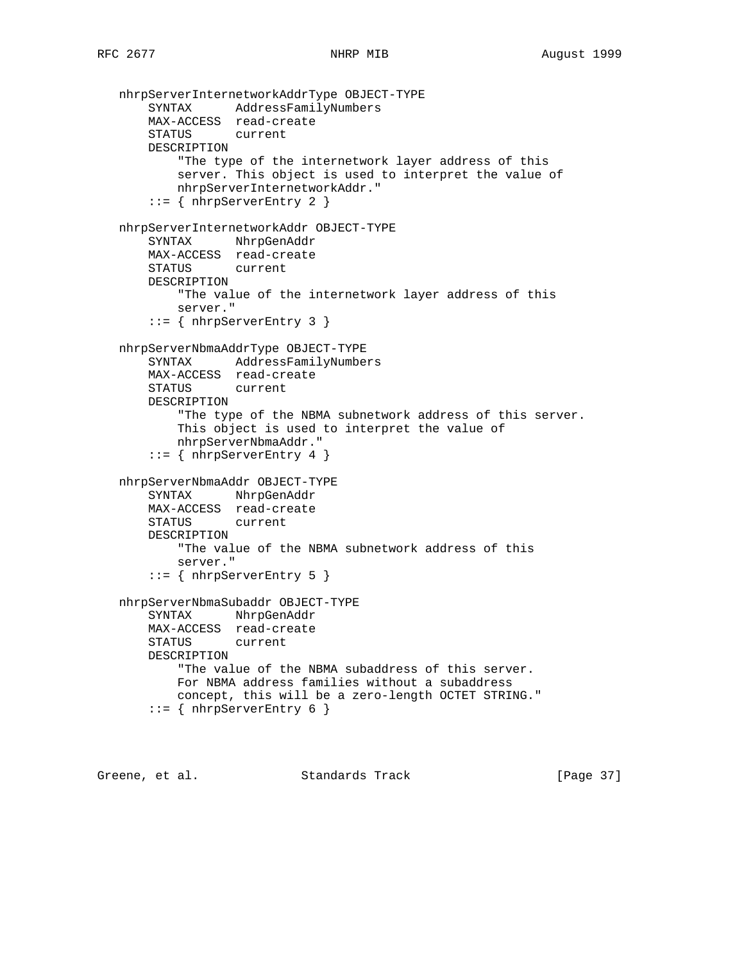```
 nhrpServerInternetworkAddrType OBJECT-TYPE
     SYNTAX AddressFamilyNumbers
     MAX-ACCESS read-create
     STATUS current
    DESCRIPTION
         "The type of the internetwork layer address of this
         server. This object is used to interpret the value of
        nhrpServerInternetworkAddr."
    ::= { nhrpServerEntry 2 }
 nhrpServerInternetworkAddr OBJECT-TYPE
    SYNTAX NhrpGenAddr
    MAX-ACCESS read-create
     STATUS current
    DESCRIPTION
        "The value of the internetwork layer address of this
        server."
     ::= { nhrpServerEntry 3 }
 nhrpServerNbmaAddrType OBJECT-TYPE
    SYNTAX AddressFamilyNumbers
    MAX-ACCESS read-create
    STATUS current
    DESCRIPTION
         "The type of the NBMA subnetwork address of this server.
         This object is used to interpret the value of
        nhrpServerNbmaAddr."
    ::= { nhrpServerEntry 4 }
 nhrpServerNbmaAddr OBJECT-TYPE
    SYNTAX NhrpGenAddr
    MAX-ACCESS read-create
    STATUS current
     DESCRIPTION
         "The value of the NBMA subnetwork address of this
        server."
     ::= { nhrpServerEntry 5 }
 nhrpServerNbmaSubaddr OBJECT-TYPE
     SYNTAX NhrpGenAddr
    MAX-ACCESS read-create
    STATUS current
    DESCRIPTION
         "The value of the NBMA subaddress of this server.
         For NBMA address families without a subaddress
        concept, this will be a zero-length OCTET STRING."
    ::= { nhrpServerEntry 6 }
```
Greene, et al. Standards Track [Page 37]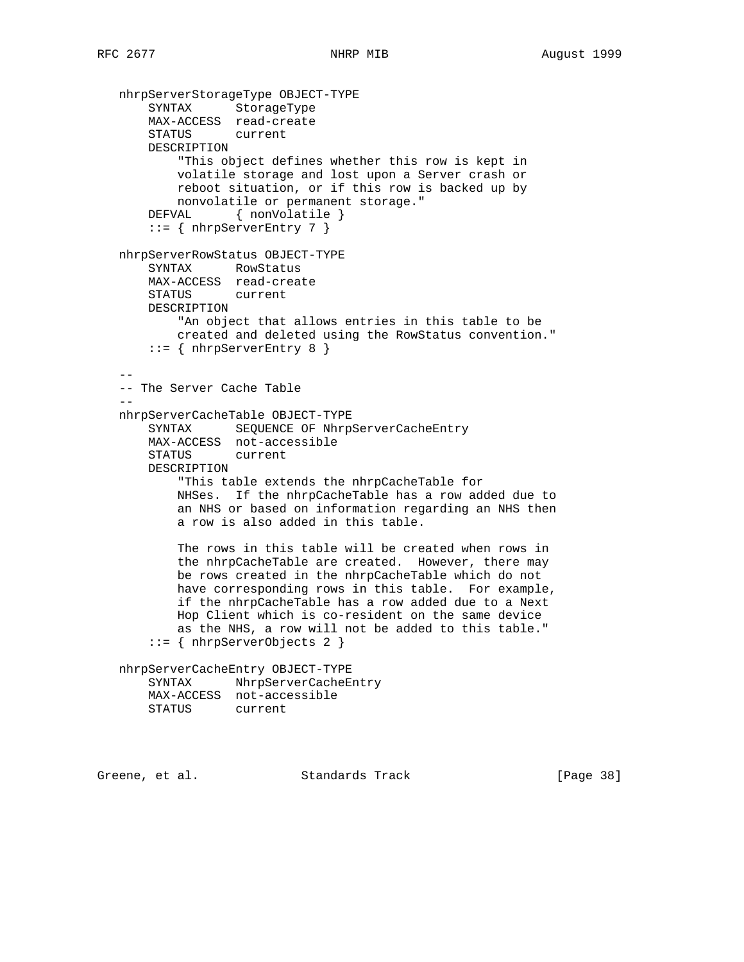```
 nhrpServerStorageType OBJECT-TYPE
       SYNTAX StorageType
       MAX-ACCESS read-create
       STATUS current
       DESCRIPTION
           "This object defines whether this row is kept in
           volatile storage and lost upon a Server crash or
           reboot situation, or if this row is backed up by
           nonvolatile or permanent storage."
      DEFVAL { nonVolatile }
      ::= { nhrpServerEntry 7 }
   nhrpServerRowStatus OBJECT-TYPE
       SYNTAX RowStatus
       MAX-ACCESS read-create
       STATUS current
       DESCRIPTION
           "An object that allows entries in this table to be
           created and deleted using the RowStatus convention."
      ::= { nhrpServerEntry 8 }
 --
   -- The Server Cache Table
- nhrpServerCacheTable OBJECT-TYPE
       SYNTAX SEQUENCE OF NhrpServerCacheEntry
       MAX-ACCESS not-accessible
       STATUS current
       DESCRIPTION
           "This table extends the nhrpCacheTable for
           NHSes. If the nhrpCacheTable has a row added due to
           an NHS or based on information regarding an NHS then
           a row is also added in this table.
           The rows in this table will be created when rows in
           the nhrpCacheTable are created. However, there may
           be rows created in the nhrpCacheTable which do not
           have corresponding rows in this table. For example,
           if the nhrpCacheTable has a row added due to a Next
           Hop Client which is co-resident on the same device
           as the NHS, a row will not be added to this table."
       ::= { nhrpServerObjects 2 }
   nhrpServerCacheEntry OBJECT-TYPE
       SYNTAX NhrpServerCacheEntry
       MAX-ACCESS not-accessible
       STATUS current
Greene, et al. Standards Track [Page 38]
```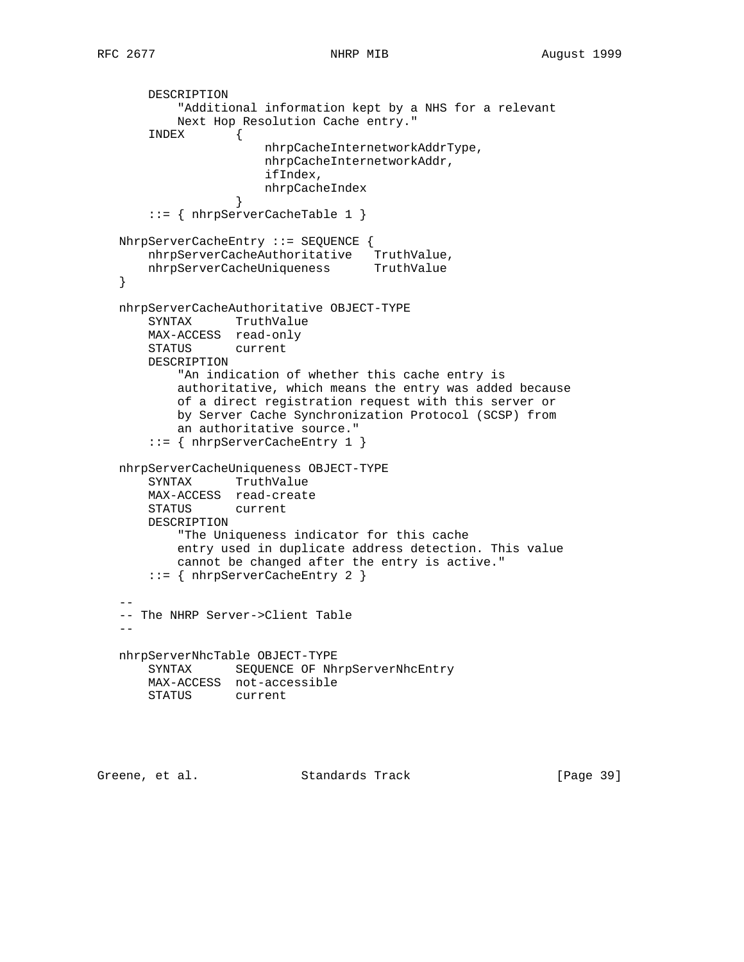```
 DESCRIPTION
           "Additional information kept by a NHS for a relevant
           Next Hop Resolution Cache entry."
       INDEX {
                      nhrpCacheInternetworkAddrType,
                      nhrpCacheInternetworkAddr,
                      ifIndex,
                       nhrpCacheIndex
 }
       ::= { nhrpServerCacheTable 1 }
   NhrpServerCacheEntry ::= SEQUENCE {
 nhrpServerCacheAuthoritative TruthValue,
nhrpServerCacheUniqueness TruthValue
   }
   nhrpServerCacheAuthoritative OBJECT-TYPE
       SYNTAX TruthValue
       MAX-ACCESS read-only
       STATUS current
       DESCRIPTION
           "An indication of whether this cache entry is
           authoritative, which means the entry was added because
           of a direct registration request with this server or
           by Server Cache Synchronization Protocol (SCSP) from
           an authoritative source."
       ::= { nhrpServerCacheEntry 1 }
   nhrpServerCacheUniqueness OBJECT-TYPE
       SYNTAX TruthValue
       MAX-ACCESS read-create
       STATUS current
       DESCRIPTION
           "The Uniqueness indicator for this cache
           entry used in duplicate address detection. This value
           cannot be changed after the entry is active."
       ::= { nhrpServerCacheEntry 2 }
- -- The NHRP Server->Client Table
 --
   nhrpServerNhcTable OBJECT-TYPE
       SYNTAX SEQUENCE OF NhrpServerNhcEntry
       MAX-ACCESS not-accessible
       STATUS current
```
Greene, et al. Standards Track [Page 39]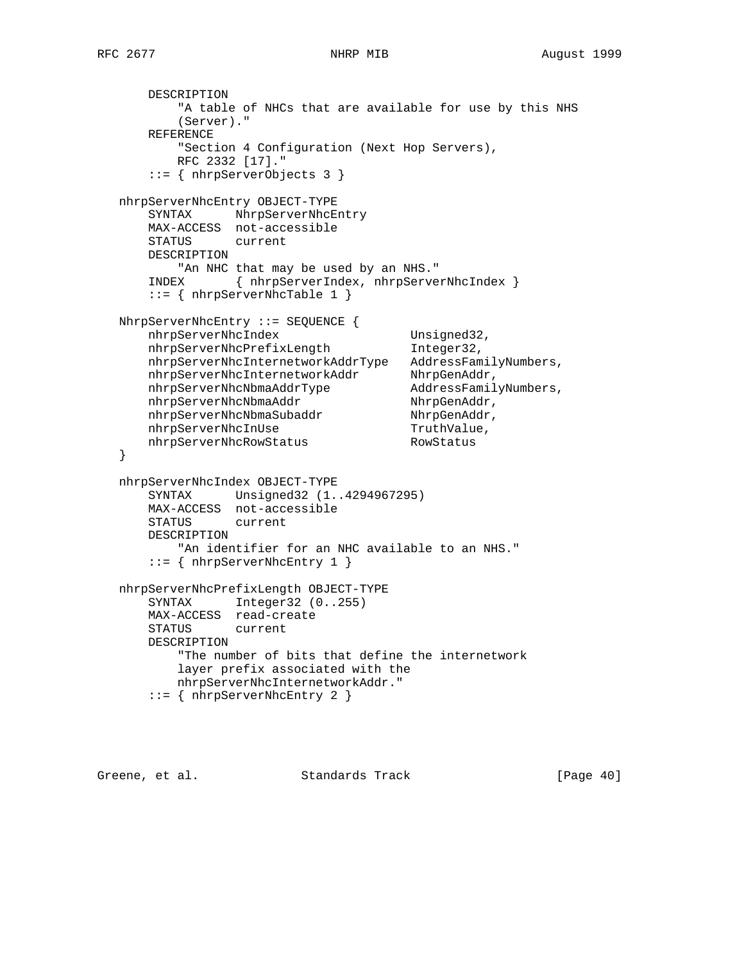```
 DESCRIPTION
            "A table of NHCs that are available for use by this NHS
            (Server)."
        REFERENCE
            "Section 4 Configuration (Next Hop Servers),
            RFC 2332 [17]."
        ::= { nhrpServerObjects 3 }
   nhrpServerNhcEntry OBJECT-TYPE
      SYNTAX NhrpServerNhcEntry
       MAX-ACCESS not-accessible
       STATUS current
       DESCRIPTION
           "An NHC that may be used by an NHS."
        INDEX { nhrpServerIndex, nhrpServerNhcIndex }
        ::= { nhrpServerNhcTable 1 }
   NhrpServerNhcEntry ::= SEQUENCE {
      nhrpServerNhcIndex Unsigned32,<br>
nhrpServerNhcPrefixLength Integer32,
      nhrpServerNhcPrefixLength
       nhrpServerNhcInternetworkAddrType AddressFamilyNumbers,
nhrpServerNhcInternetworkAddr NhrpGenAddr,
 nhrpServerNhcNbmaAddrType AddressFamilyNumbers,
nhrpServerNhcNbmaAddr NhrpGenAddr,
nhrpServerNhcNbmaSubaddr NhrpGenAddr,
nhrpServerNhcInUse metals of TruthValue,
      nhrpServerNhcInUse                                     TruthValue nhrpServerNhcRowStatus                             RowStatus
   }
   nhrpServerNhcIndex OBJECT-TYPE
       SYNTAX Unsigned32 (1..4294967295)
       MAX-ACCESS not-accessible
       STATUS current
       DESCRIPTION
           "An identifier for an NHC available to an NHS."
        ::= { nhrpServerNhcEntry 1 }
   nhrpServerNhcPrefixLength OBJECT-TYPE
       SYNTAX Integer32 (0..255)
      MAX-ACCESS read-create<br>STATUS current
      STATUS
       DESCRIPTION
            "The number of bits that define the internetwork
            layer prefix associated with the
           nhrpServerNhcInternetworkAddr."
        ::= { nhrpServerNhcEntry 2 }
```
Greene, et al. Standards Track [Page 40]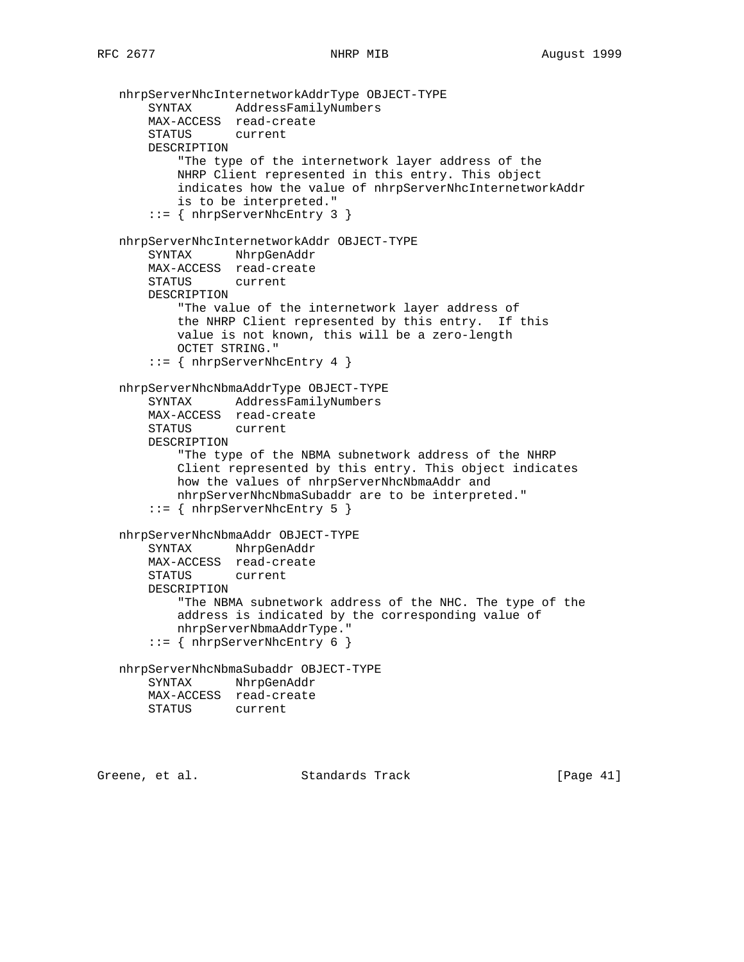```
 nhrpServerNhcInternetworkAddrType OBJECT-TYPE
     SYNTAX AddressFamilyNumbers
     MAX-ACCESS read-create
     STATUS current
    DESCRIPTION
         "The type of the internetwork layer address of the
         NHRP Client represented in this entry. This object
         indicates how the value of nhrpServerNhcInternetworkAddr
         is to be interpreted."
     ::= { nhrpServerNhcEntry 3 }
 nhrpServerNhcInternetworkAddr OBJECT-TYPE
     SYNTAX NhrpGenAddr
    MAX-ACCESS read-create
     STATUS current
     DESCRIPTION
         "The value of the internetwork layer address of
         the NHRP Client represented by this entry. If this
         value is not known, this will be a zero-length
         OCTET STRING."
     ::= { nhrpServerNhcEntry 4 }
 nhrpServerNhcNbmaAddrType OBJECT-TYPE
     SYNTAX AddressFamilyNumbers
    MAX-ACCESS read-create
    STATUS current
     DESCRIPTION
         "The type of the NBMA subnetwork address of the NHRP
         Client represented by this entry. This object indicates
         how the values of nhrpServerNhcNbmaAddr and
         nhrpServerNhcNbmaSubaddr are to be interpreted."
     ::= { nhrpServerNhcEntry 5 }
 nhrpServerNhcNbmaAddr OBJECT-TYPE
    SYNTAX NhrpGenAddr
    MAX-ACCESS read-create
    STATUS current
     DESCRIPTION
         "The NBMA subnetwork address of the NHC. The type of the
         address is indicated by the corresponding value of
        nhrpServerNbmaAddrType."
     ::= { nhrpServerNhcEntry 6 }
 nhrpServerNhcNbmaSubaddr OBJECT-TYPE
     SYNTAX NhrpGenAddr
    MAX-ACCESS read-create
    STATUS current
```
Greene, et al. Standards Track [Page 41]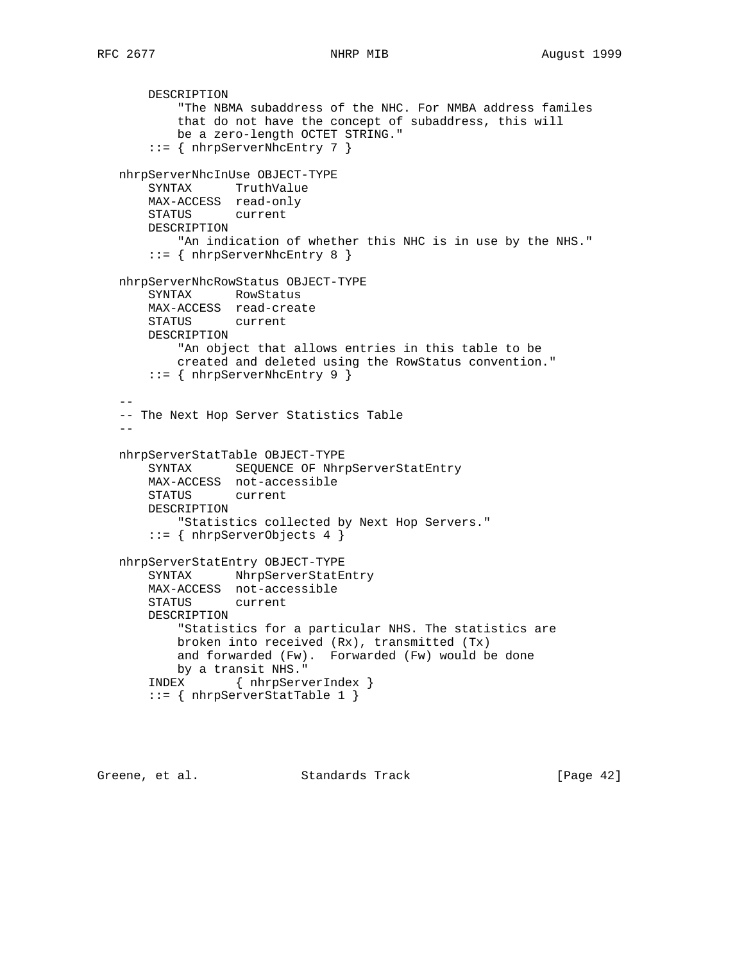```
 DESCRIPTION
           "The NBMA subaddress of the NHC. For NMBA address familes
           that do not have the concept of subaddress, this will
           be a zero-length OCTET STRING."
       ::= { nhrpServerNhcEntry 7 }
   nhrpServerNhcInUse OBJECT-TYPE
       SYNTAX TruthValue
       MAX-ACCESS read-only
       STATUS current
       DESCRIPTION
           "An indication of whether this NHC is in use by the NHS."
       ::= { nhrpServerNhcEntry 8 }
   nhrpServerNhcRowStatus OBJECT-TYPE
       SYNTAX RowStatus
       MAX-ACCESS read-create
       STATUS current
       DESCRIPTION
           "An object that allows entries in this table to be
           created and deleted using the RowStatus convention."
       ::= { nhrpServerNhcEntry 9 }
- -- The Next Hop Server Statistics Table
 --
   nhrpServerStatTable OBJECT-TYPE
       SYNTAX SEQUENCE OF NhrpServerStatEntry
       MAX-ACCESS not-accessible
       STATUS current
       DESCRIPTION
           "Statistics collected by Next Hop Servers."
       ::= { nhrpServerObjects 4 }
   nhrpServerStatEntry OBJECT-TYPE
       SYNTAX NhrpServerStatEntry
       MAX-ACCESS not-accessible
       STATUS current
       DESCRIPTION
           "Statistics for a particular NHS. The statistics are
           broken into received (Rx), transmitted (Tx)
           and forwarded (Fw). Forwarded (Fw) would be done
           by a transit NHS."
       INDEX { nhrpServerIndex }
       ::= { nhrpServerStatTable 1 }
```
Greene, et al. Standards Track [Page 42]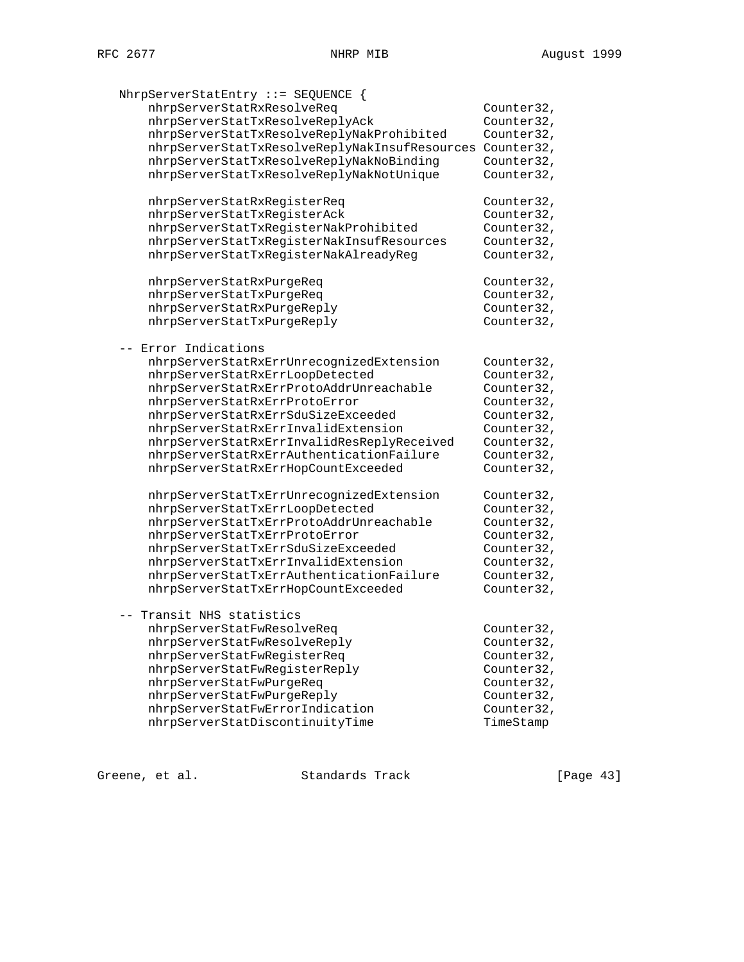| NhrpServerStatEntry ::= SEQUENCE {            |            |
|-----------------------------------------------|------------|
| nhrpServerStatRxResolveReq                    | Counter32, |
| nhrpServerStatTxResolveReplyAck               | Counter32, |
| nhrpServerStatTxResolveReplyNakProhibited     | Counter32, |
| nhrpServerStatTxResolveReplyNakInsufResources | Counter32, |
| nhrpServerStatTxResolveReplyNakNoBinding      | Counter32, |
| nhrpServerStatTxResolveReplyNakNotUnique      | Counter32, |
|                                               |            |
| nhrpServerStatRxRegisterReq                   | Counter32, |
| nhrpServerStatTxRegisterAck                   | Counter32, |
| nhrpServerStatTxRegisterNakProhibited         | Counter32, |
| nhrpServerStatTxRegisterNakInsufResources     | Counter32, |
| nhrpServerStatTxRegisterNakAlreadyReg         | Counter32, |
|                                               |            |
| nhrpServerStatRxPurgeReq                      | Counter32, |
| nhrpServerStatTxPurgeReq                      | Counter32, |
| nhrpServerStatRxPurgeReply                    | Counter32, |
| nhrpServerStatTxPurgeReply                    | Counter32, |
| -- Error Indications                          |            |
| nhrpServerStatRxErrUnrecognizedExtension      | Counter32, |
| nhrpServerStatRxErrLoopDetected               | Counter32, |
| nhrpServerStatRxErrProtoAddrUnreachable       | Counter32, |
| nhrpServerStatRxErrProtoError                 | Counter32, |
| nhrpServerStatRxErrSduSizeExceeded            | Counter32, |
| nhrpServerStatRxErrInvalidExtension           | Counter32, |
| nhrpServerStatRxErrInvalidResReplyReceived    | Counter32, |
| nhrpServerStatRxErrAuthenticationFailure      | Counter32, |
| nhrpServerStatRxErrHopCountExceeded           | Counter32, |
|                                               |            |
| nhrpServerStatTxErrUnrecognizedExtension      | Counter32, |
| nhrpServerStatTxErrLoopDetected               | Counter32, |
| nhrpServerStatTxErrProtoAddrUnreachable       | Counter32, |
| nhrpServerStatTxErrProtoError                 | Counter32, |
| nhrpServerStatTxErrSduSizeExceeded            | Counter32, |
| nhrpServerStatTxErrInvalidExtension           | Counter32, |
| nhrpServerStatTxErrAuthenticationFailure      | Counter32, |
| nhrpServerStatTxErrHopCountExceeded           | Counter32, |
| Transit NHS statistics                        |            |
| nhrpServerStatFwResolveReq                    | Counter32, |
| nhrpServerStatFwResolveReply                  |            |
|                                               | Counter32, |
| nhrpServerStatFwRegisterReq                   | Counter32, |
| nhrpServerStatFwRegisterReply                 | Counter32, |
| nhrpServerStatFwPurgeReq                      | Counter32, |
| nhrpServerStatFwPurgeReply                    | Counter32, |
| nhrpServerStatFwErrorIndication               | Counter32, |
| nhrpServerStatDiscontinuityTime               | TimeStamp  |

Greene, et al. Standards Track [Page 43]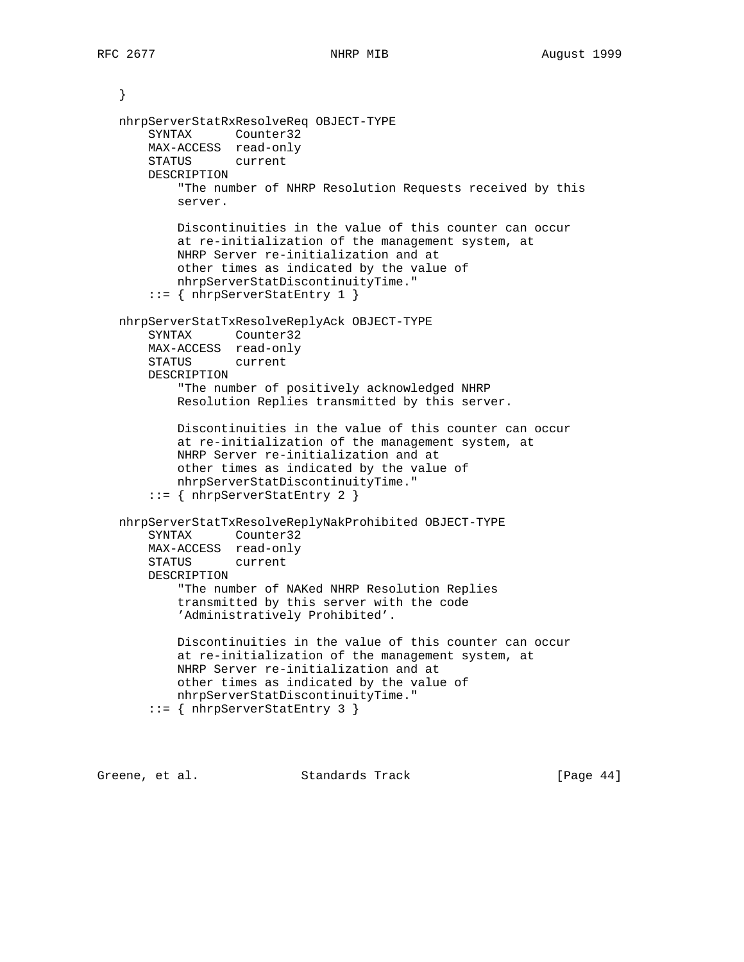```
 }
 nhrpServerStatRxResolveReq OBJECT-TYPE
     SYNTAX Counter32
    MAX-ACCESS read-only
    STATUS current
    DESCRIPTION
         "The number of NHRP Resolution Requests received by this
         server.
         Discontinuities in the value of this counter can occur
         at re-initialization of the management system, at
         NHRP Server re-initialization and at
         other times as indicated by the value of
         nhrpServerStatDiscontinuityTime."
     ::= { nhrpServerStatEntry 1 }
 nhrpServerStatTxResolveReplyAck OBJECT-TYPE
    SYNTAX Counter32
    MAX-ACCESS read-only
    STATUS current
    DESCRIPTION
         "The number of positively acknowledged NHRP
         Resolution Replies transmitted by this server.
         Discontinuities in the value of this counter can occur
         at re-initialization of the management system, at
         NHRP Server re-initialization and at
         other times as indicated by the value of
         nhrpServerStatDiscontinuityTime."
     ::= { nhrpServerStatEntry 2 }
 nhrpServerStatTxResolveReplyNakProhibited OBJECT-TYPE
     SYNTAX Counter32
    MAX-ACCESS read-only
    STATUS current
    DESCRIPTION
         "The number of NAKed NHRP Resolution Replies
         transmitted by this server with the code
         'Administratively Prohibited'.
         Discontinuities in the value of this counter can occur
         at re-initialization of the management system, at
         NHRP Server re-initialization and at
         other times as indicated by the value of
         nhrpServerStatDiscontinuityTime."
     ::= { nhrpServerStatEntry 3 }
```
Greene, et al. Standards Track [Page 44]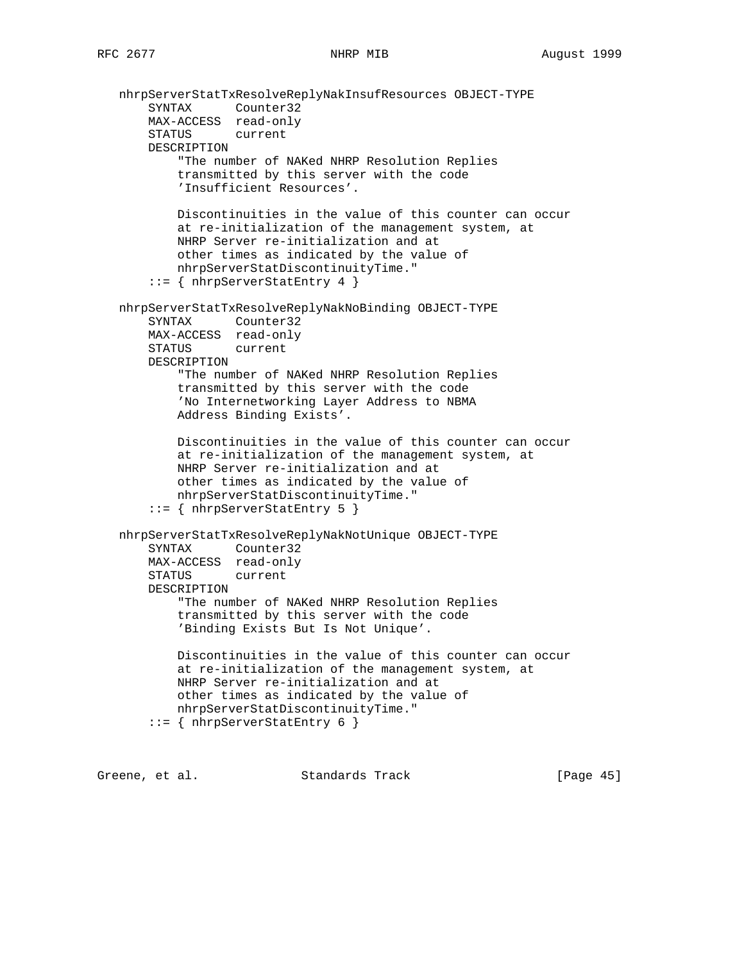```
 nhrpServerStatTxResolveReplyNakInsufResources OBJECT-TYPE
 SYNTAX Counter32
 MAX-ACCESS read-only
       STATUS current
       DESCRIPTION
            "The number of NAKed NHRP Resolution Replies
           transmitted by this server with the code
           'Insufficient Resources'.
           Discontinuities in the value of this counter can occur
           at re-initialization of the management system, at
           NHRP Server re-initialization and at
           other times as indicated by the value of
           nhrpServerStatDiscontinuityTime."
       ::= { nhrpServerStatEntry 4 }
   nhrpServerStatTxResolveReplyNakNoBinding OBJECT-TYPE
       SYNTAX Counter32
       MAX-ACCESS read-only
       STATUS current
       DESCRIPTION
           "The number of NAKed NHRP Resolution Replies
           transmitted by this server with the code
           'No Internetworking Layer Address to NBMA
           Address Binding Exists'.
           Discontinuities in the value of this counter can occur
           at re-initialization of the management system, at
           NHRP Server re-initialization and at
           other times as indicated by the value of
           nhrpServerStatDiscontinuityTime."
       ::= { nhrpServerStatEntry 5 }
   nhrpServerStatTxResolveReplyNakNotUnique OBJECT-TYPE
       SYNTAX Counter32
       MAX-ACCESS read-only
       STATUS current
       DESCRIPTION
           "The number of NAKed NHRP Resolution Replies
           transmitted by this server with the code
           'Binding Exists But Is Not Unique'.
           Discontinuities in the value of this counter can occur
           at re-initialization of the management system, at
           NHRP Server re-initialization and at
           other times as indicated by the value of
           nhrpServerStatDiscontinuityTime."
       ::= { nhrpServerStatEntry 6 }
```
Greene, et al. Standards Track [Page 45]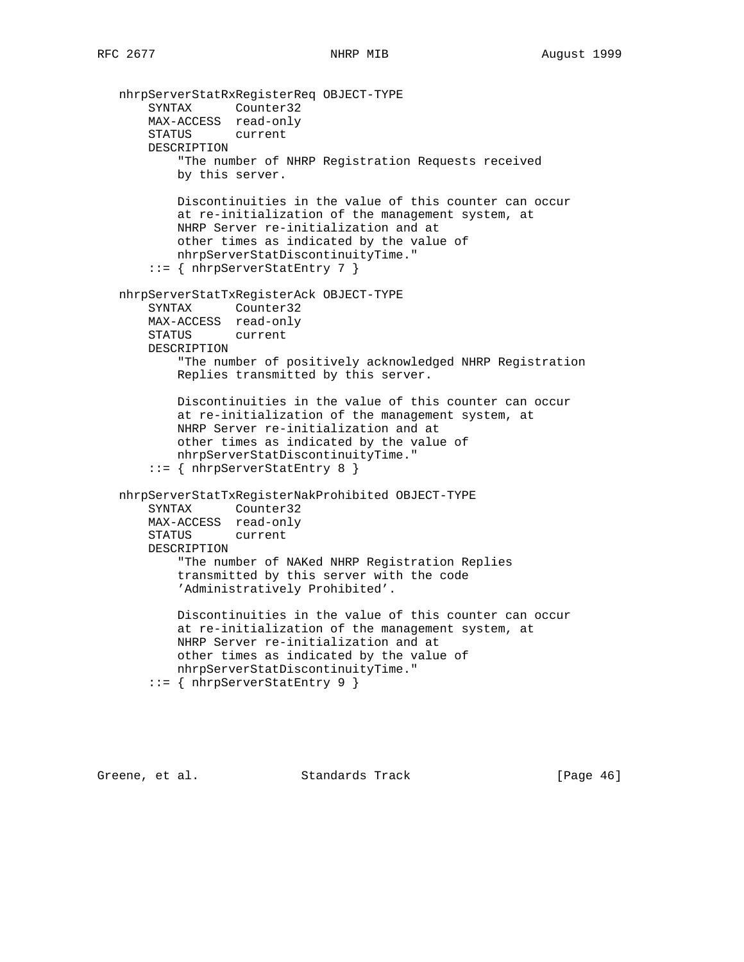```
 nhrpServerStatRxRegisterReq OBJECT-TYPE
 SYNTAX Counter32
 MAX-ACCESS read-only
       STATUS current
       DESCRIPTION
           "The number of NHRP Registration Requests received
           by this server.
           Discontinuities in the value of this counter can occur
           at re-initialization of the management system, at
           NHRP Server re-initialization and at
           other times as indicated by the value of
           nhrpServerStatDiscontinuityTime."
       ::= { nhrpServerStatEntry 7 }
   nhrpServerStatTxRegisterAck OBJECT-TYPE
       SYNTAX Counter32
       MAX-ACCESS read-only
       STATUS current
       DESCRIPTION
           "The number of positively acknowledged NHRP Registration
           Replies transmitted by this server.
           Discontinuities in the value of this counter can occur
           at re-initialization of the management system, at
           NHRP Server re-initialization and at
           other times as indicated by the value of
           nhrpServerStatDiscontinuityTime."
       ::= { nhrpServerStatEntry 8 }
   nhrpServerStatTxRegisterNakProhibited OBJECT-TYPE
       SYNTAX Counter32
       MAX-ACCESS read-only
       STATUS current
       DESCRIPTION
           "The number of NAKed NHRP Registration Replies
           transmitted by this server with the code
           'Administratively Prohibited'.
           Discontinuities in the value of this counter can occur
           at re-initialization of the management system, at
           NHRP Server re-initialization and at
           other times as indicated by the value of
           nhrpServerStatDiscontinuityTime."
       ::= { nhrpServerStatEntry 9 }
```
Greene, et al. Standards Track [Page 46]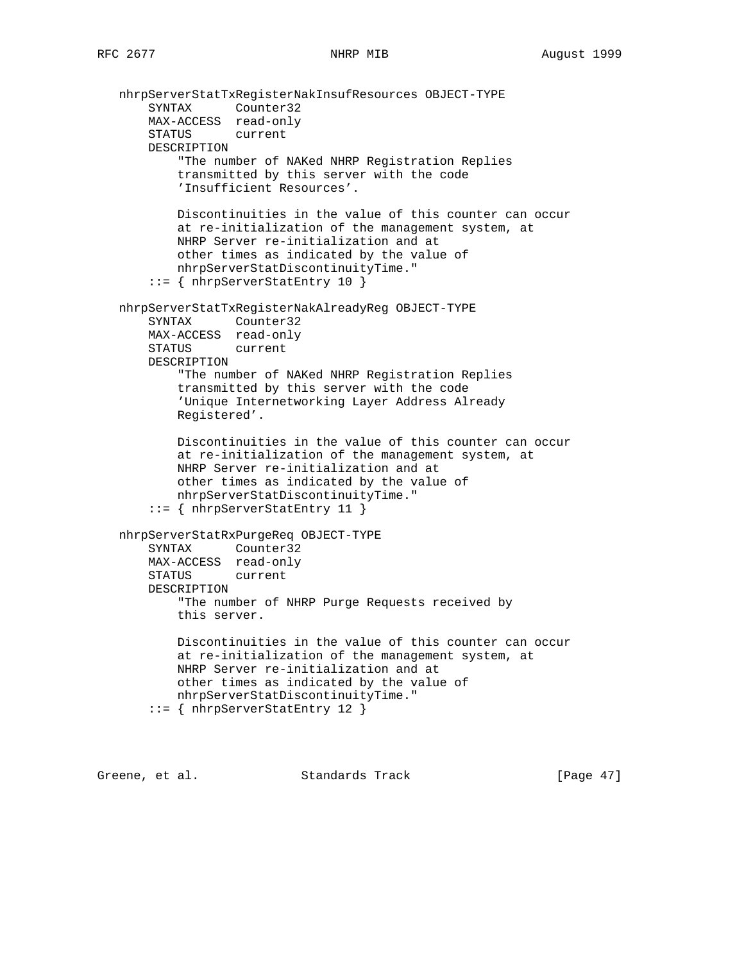```
 nhrpServerStatTxRegisterNakInsufResources OBJECT-TYPE
 SYNTAX Counter32
 MAX-ACCESS read-only
       STATUS current
       DESCRIPTION
            "The number of NAKed NHRP Registration Replies
           transmitted by this server with the code
           'Insufficient Resources'.
           Discontinuities in the value of this counter can occur
           at re-initialization of the management system, at
           NHRP Server re-initialization and at
           other times as indicated by the value of
           nhrpServerStatDiscontinuityTime."
       ::= { nhrpServerStatEntry 10 }
   nhrpServerStatTxRegisterNakAlreadyReg OBJECT-TYPE
       SYNTAX Counter32
       MAX-ACCESS read-only
       STATUS current
       DESCRIPTION
           "The number of NAKed NHRP Registration Replies
           transmitted by this server with the code
           'Unique Internetworking Layer Address Already
           Registered'.
           Discontinuities in the value of this counter can occur
           at re-initialization of the management system, at
           NHRP Server re-initialization and at
           other times as indicated by the value of
           nhrpServerStatDiscontinuityTime."
       ::= { nhrpServerStatEntry 11 }
   nhrpServerStatRxPurgeReq OBJECT-TYPE
       SYNTAX Counter32
       MAX-ACCESS read-only
       STATUS current
       DESCRIPTION
           "The number of NHRP Purge Requests received by
           this server.
           Discontinuities in the value of this counter can occur
           at re-initialization of the management system, at
           NHRP Server re-initialization and at
           other times as indicated by the value of
           nhrpServerStatDiscontinuityTime."
       ::= { nhrpServerStatEntry 12 }
```
Greene, et al. Standards Track [Page 47]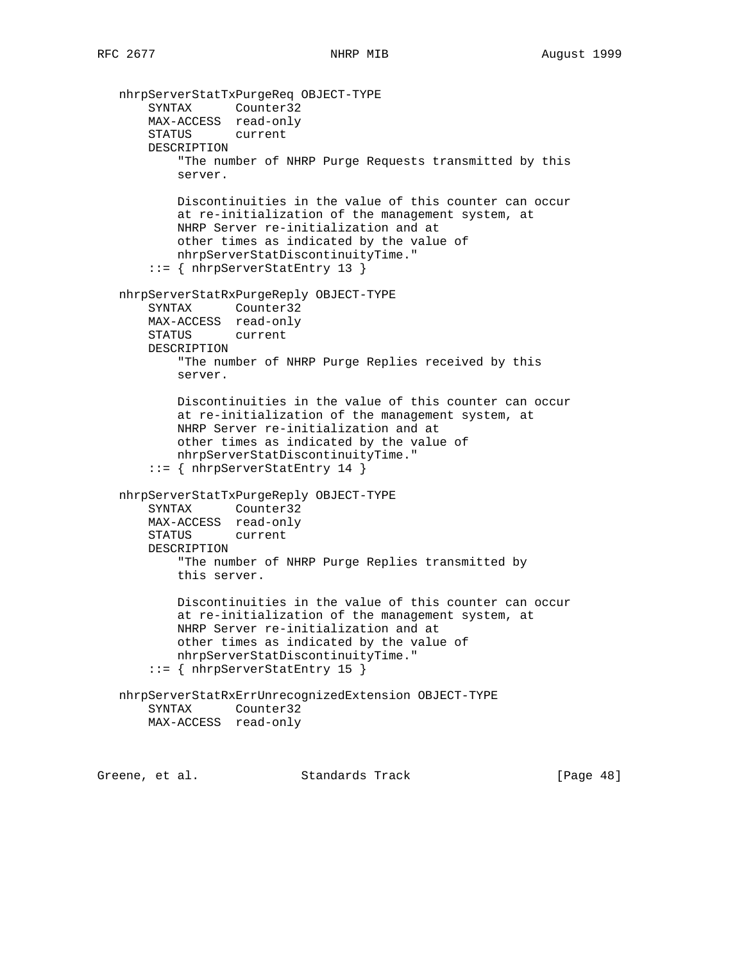```
 nhrpServerStatTxPurgeReq OBJECT-TYPE
 SYNTAX Counter32
 MAX-ACCESS read-only
       STATUS current
       DESCRIPTION
           "The number of NHRP Purge Requests transmitted by this
           server.
           Discontinuities in the value of this counter can occur
           at re-initialization of the management system, at
           NHRP Server re-initialization and at
           other times as indicated by the value of
           nhrpServerStatDiscontinuityTime."
        ::= { nhrpServerStatEntry 13 }
   nhrpServerStatRxPurgeReply OBJECT-TYPE
       SYNTAX Counter32
       MAX-ACCESS read-only
       STATUS current
       DESCRIPTION
           "The number of NHRP Purge Replies received by this
           server.
           Discontinuities in the value of this counter can occur
           at re-initialization of the management system, at
           NHRP Server re-initialization and at
           other times as indicated by the value of
           nhrpServerStatDiscontinuityTime."
        ::= { nhrpServerStatEntry 14 }
   nhrpServerStatTxPurgeReply OBJECT-TYPE
       SYNTAX Counter32
       MAX-ACCESS read-only
       STATUS current
       DESCRIPTION
           "The number of NHRP Purge Replies transmitted by
           this server.
           Discontinuities in the value of this counter can occur
           at re-initialization of the management system, at
           NHRP Server re-initialization and at
           other times as indicated by the value of
           nhrpServerStatDiscontinuityTime."
        ::= { nhrpServerStatEntry 15 }
   nhrpServerStatRxErrUnrecognizedExtension OBJECT-TYPE
       SYNTAX Counter32
       MAX-ACCESS read-only
Greene, et al. Standards Track [Page 48]
```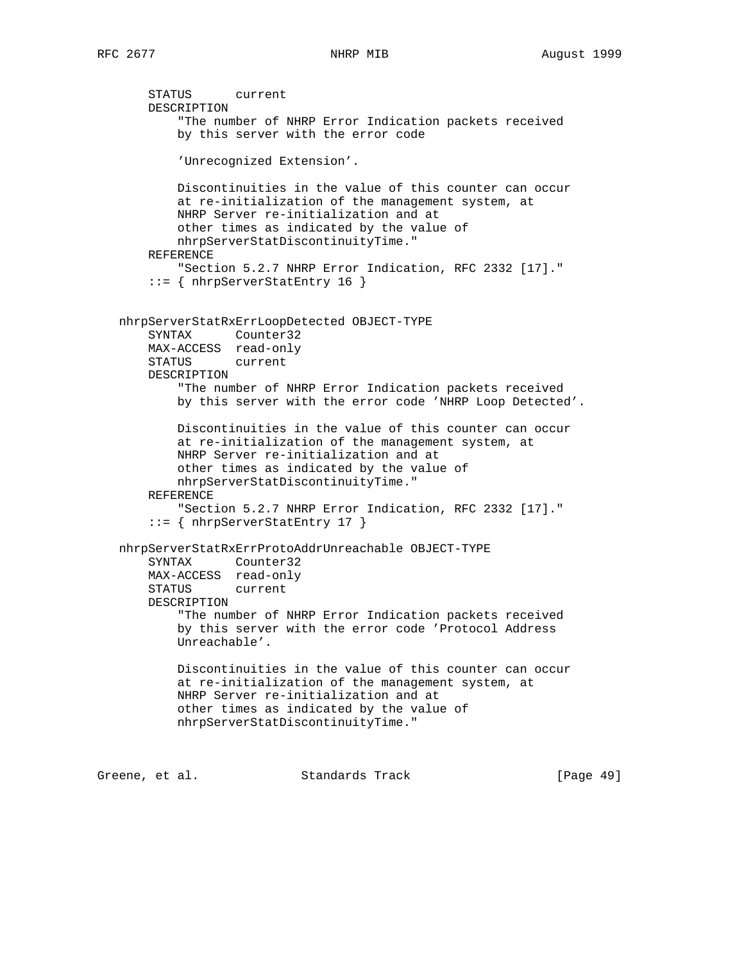```
 STATUS current
     DESCRIPTION
         "The number of NHRP Error Indication packets received
         by this server with the error code
         'Unrecognized Extension'.
         Discontinuities in the value of this counter can occur
         at re-initialization of the management system, at
         NHRP Server re-initialization and at
         other times as indicated by the value of
         nhrpServerStatDiscontinuityTime."
     REFERENCE
         "Section 5.2.7 NHRP Error Indication, RFC 2332 [17]."
     ::= { nhrpServerStatEntry 16 }
 nhrpServerStatRxErrLoopDetected OBJECT-TYPE
     SYNTAX Counter32
    MAX-ACCESS read-only
    STATUS current
    DESCRIPTION
         "The number of NHRP Error Indication packets received
         by this server with the error code 'NHRP Loop Detected'.
         Discontinuities in the value of this counter can occur
         at re-initialization of the management system, at
         NHRP Server re-initialization and at
         other times as indicated by the value of
         nhrpServerStatDiscontinuityTime."
    REFERENCE
         "Section 5.2.7 NHRP Error Indication, RFC 2332 [17]."
     ::= { nhrpServerStatEntry 17 }
 nhrpServerStatRxErrProtoAddrUnreachable OBJECT-TYPE
     SYNTAX Counter32
    MAX-ACCESS read-only
     STATUS current
     DESCRIPTION
         "The number of NHRP Error Indication packets received
         by this server with the error code 'Protocol Address
         Unreachable'.
         Discontinuities in the value of this counter can occur
         at re-initialization of the management system, at
         NHRP Server re-initialization and at
         other times as indicated by the value of
         nhrpServerStatDiscontinuityTime."
```
Greene, et al. Standards Track [Page 49]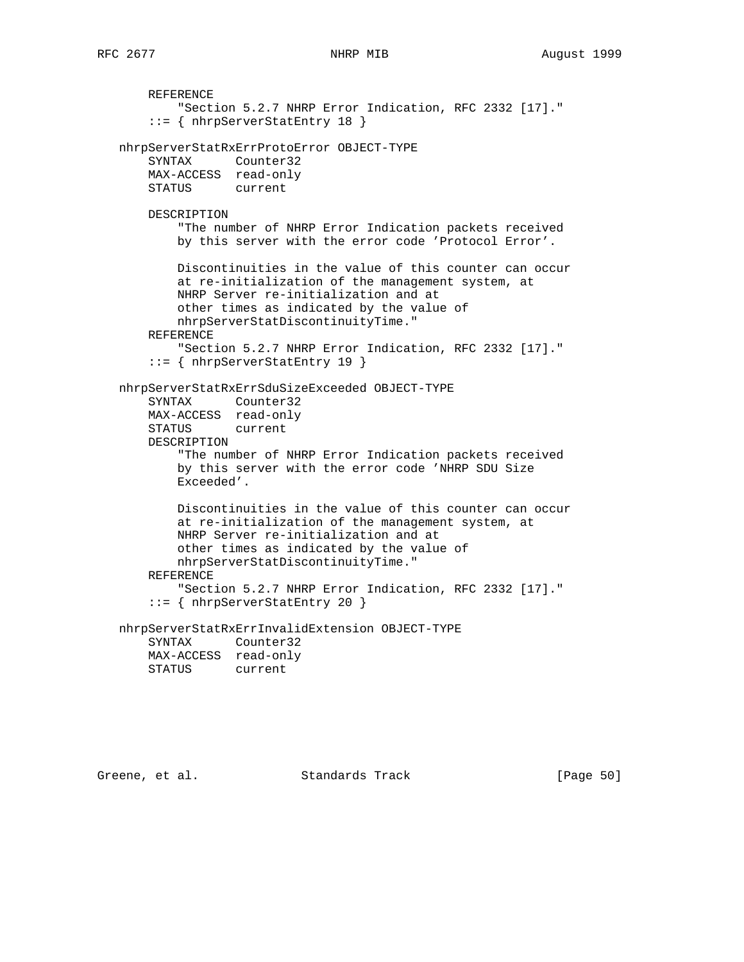REFERENCE "Section 5.2.7 NHRP Error Indication, RFC 2332 [17]." ::= { nhrpServerStatEntry 18 } nhrpServerStatRxErrProtoError OBJECT-TYPE SYNTAX Counter32 MAX-ACCESS read-only STATUS current DESCRIPTION "The number of NHRP Error Indication packets received by this server with the error code 'Protocol Error'. Discontinuities in the value of this counter can occur at re-initialization of the management system, at NHRP Server re-initialization and at other times as indicated by the value of nhrpServerStatDiscontinuityTime." REFERENCE "Section 5.2.7 NHRP Error Indication, RFC 2332 [17]." ::= { nhrpServerStatEntry 19 } nhrpServerStatRxErrSduSizeExceeded OBJECT-TYPE SYNTAX Counter32 MAX-ACCESS read-only STATUS current DESCRIPTION "The number of NHRP Error Indication packets received by this server with the error code 'NHRP SDU Size Exceeded'. Discontinuities in the value of this counter can occur at re-initialization of the management system, at NHRP Server re-initialization and at other times as indicated by the value of nhrpServerStatDiscontinuityTime." REFERENCE "Section 5.2.7 NHRP Error Indication, RFC 2332 [17]." ::= { nhrpServerStatEntry 20 } nhrpServerStatRxErrInvalidExtension OBJECT-TYPE SYNTAX Counter32

 MAX-ACCESS read-only STATUS current

Greene, et al. Standards Track [Page 50]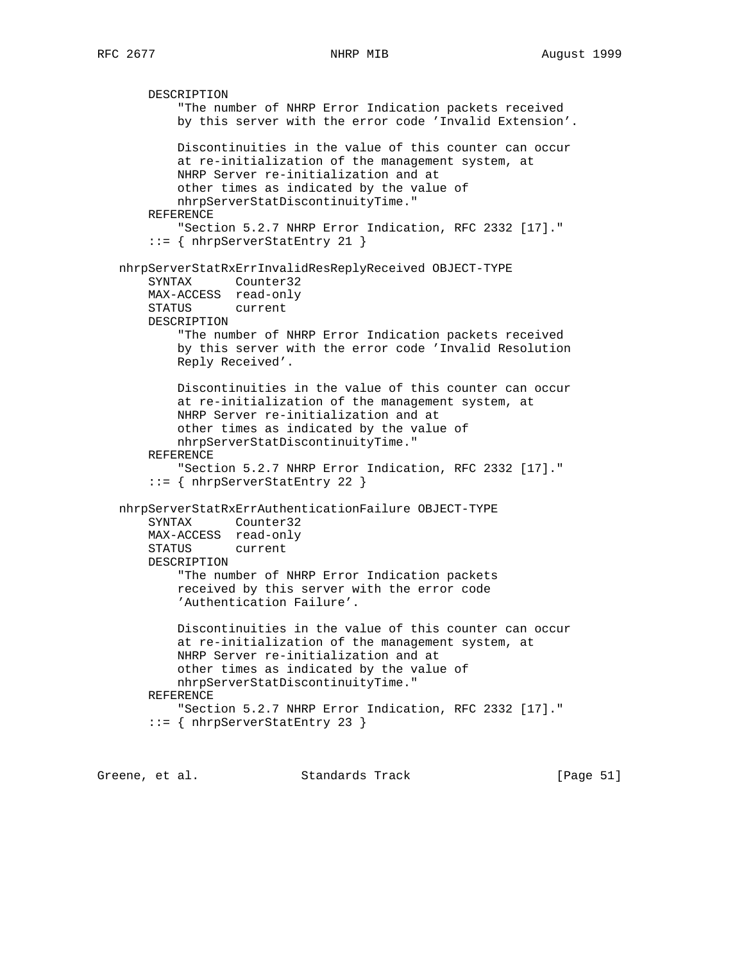DESCRIPTION "The number of NHRP Error Indication packets received by this server with the error code 'Invalid Extension'. Discontinuities in the value of this counter can occur at re-initialization of the management system, at NHRP Server re-initialization and at other times as indicated by the value of nhrpServerStatDiscontinuityTime." REFERENCE "Section 5.2.7 NHRP Error Indication, RFC 2332 [17]." ::= { nhrpServerStatEntry 21 } nhrpServerStatRxErrInvalidResReplyReceived OBJECT-TYPE SYNTAX Counter32 MAX-ACCESS read-only STATUS current DESCRIPTION "The number of NHRP Error Indication packets received by this server with the error code 'Invalid Resolution Reply Received'. Discontinuities in the value of this counter can occur at re-initialization of the management system, at NHRP Server re-initialization and at other times as indicated by the value of nhrpServerStatDiscontinuityTime." REFERENCE "Section 5.2.7 NHRP Error Indication, RFC 2332 [17]." ::= { nhrpServerStatEntry 22 } nhrpServerStatRxErrAuthenticationFailure OBJECT-TYPE SYNTAX Counter32 MAX-ACCESS read-only STATUS current DESCRIPTION "The number of NHRP Error Indication packets received by this server with the error code 'Authentication Failure'. Discontinuities in the value of this counter can occur at re-initialization of the management system, at NHRP Server re-initialization and at other times as indicated by the value of nhrpServerStatDiscontinuityTime." REFERENCE "Section 5.2.7 NHRP Error Indication, RFC 2332 [17]." ::= { nhrpServerStatEntry 23 }

Greene, et al. Standards Track [Page 51]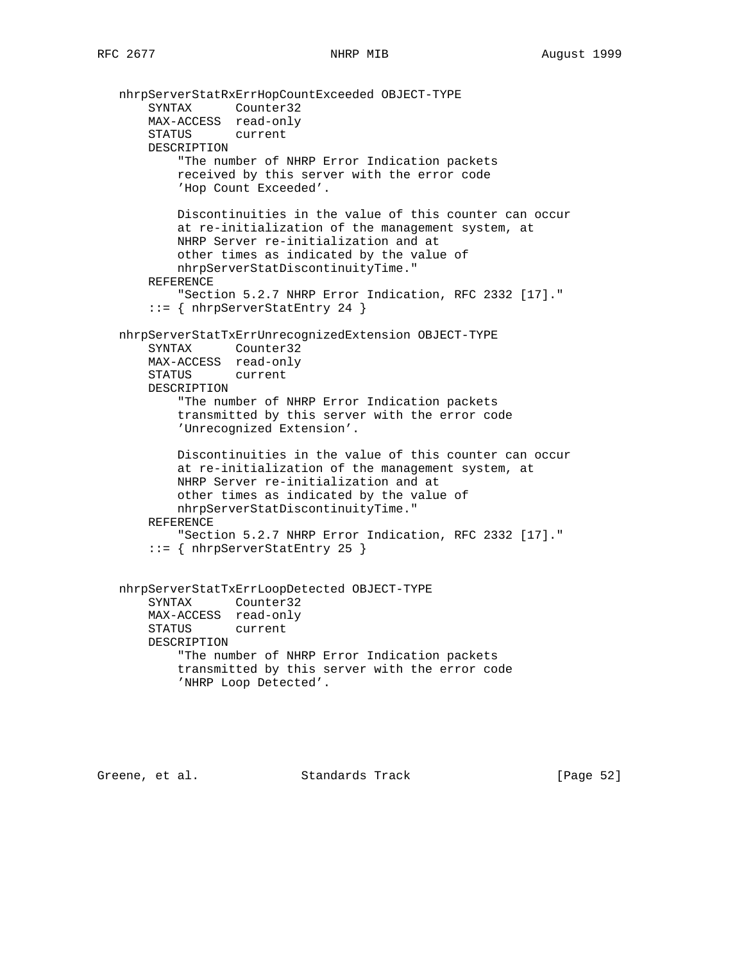```
 nhrpServerStatRxErrHopCountExceeded OBJECT-TYPE
 SYNTAX Counter32
 MAX-ACCESS read-only
       STATUS current
       DESCRIPTION
            "The number of NHRP Error Indication packets
           received by this server with the error code
           'Hop Count Exceeded'.
           Discontinuities in the value of this counter can occur
           at re-initialization of the management system, at
           NHRP Server re-initialization and at
           other times as indicated by the value of
           nhrpServerStatDiscontinuityTime."
       REFERENCE
           "Section 5.2.7 NHRP Error Indication, RFC 2332 [17]."
       ::= { nhrpServerStatEntry 24 }
   nhrpServerStatTxErrUnrecognizedExtension OBJECT-TYPE
       SYNTAX Counter32
       MAX-ACCESS read-only
       STATUS current
       DESCRIPTION
           "The number of NHRP Error Indication packets
           transmitted by this server with the error code
           'Unrecognized Extension'.
           Discontinuities in the value of this counter can occur
           at re-initialization of the management system, at
           NHRP Server re-initialization and at
           other times as indicated by the value of
           nhrpServerStatDiscontinuityTime."
       REFERENCE
           "Section 5.2.7 NHRP Error Indication, RFC 2332 [17]."
       ::= { nhrpServerStatEntry 25 }
   nhrpServerStatTxErrLoopDetected OBJECT-TYPE
       SYNTAX Counter32
       MAX-ACCESS read-only
       STATUS current
       DESCRIPTION
           "The number of NHRP Error Indication packets
           transmitted by this server with the error code
           'NHRP Loop Detected'.
```
Greene, et al. Standards Track [Page 52]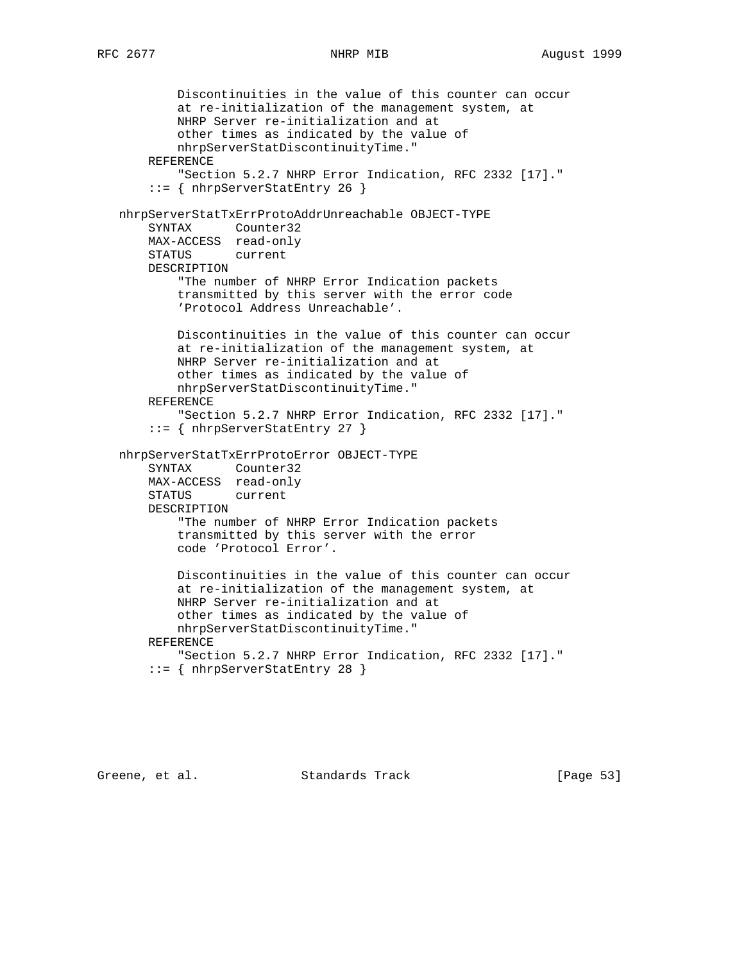```
 Discontinuities in the value of this counter can occur
           at re-initialization of the management system, at
           NHRP Server re-initialization and at
           other times as indicated by the value of
           nhrpServerStatDiscontinuityTime."
       REFERENCE
           "Section 5.2.7 NHRP Error Indication, RFC 2332 [17]."
        ::= { nhrpServerStatEntry 26 }
   nhrpServerStatTxErrProtoAddrUnreachable OBJECT-TYPE
       SYNTAX Counter32
       MAX-ACCESS read-only
       STATUS current
       DESCRIPTION
           "The number of NHRP Error Indication packets
           transmitted by this server with the error code
           'Protocol Address Unreachable'.
           Discontinuities in the value of this counter can occur
           at re-initialization of the management system, at
           NHRP Server re-initialization and at
           other times as indicated by the value of
           nhrpServerStatDiscontinuityTime."
       REFERENCE
           "Section 5.2.7 NHRP Error Indication, RFC 2332 [17]."
        ::= { nhrpServerStatEntry 27 }
   nhrpServerStatTxErrProtoError OBJECT-TYPE
 SYNTAX Counter32
 MAX-ACCESS read-only
       STATUS current
       DESCRIPTION
           "The number of NHRP Error Indication packets
           transmitted by this server with the error
           code 'Protocol Error'.
           Discontinuities in the value of this counter can occur
           at re-initialization of the management system, at
           NHRP Server re-initialization and at
           other times as indicated by the value of
           nhrpServerStatDiscontinuityTime."
       REFERENCE
           "Section 5.2.7 NHRP Error Indication, RFC 2332 [17]."
        ::= { nhrpServerStatEntry 28 }
```
Greene, et al. Standards Track [Page 53]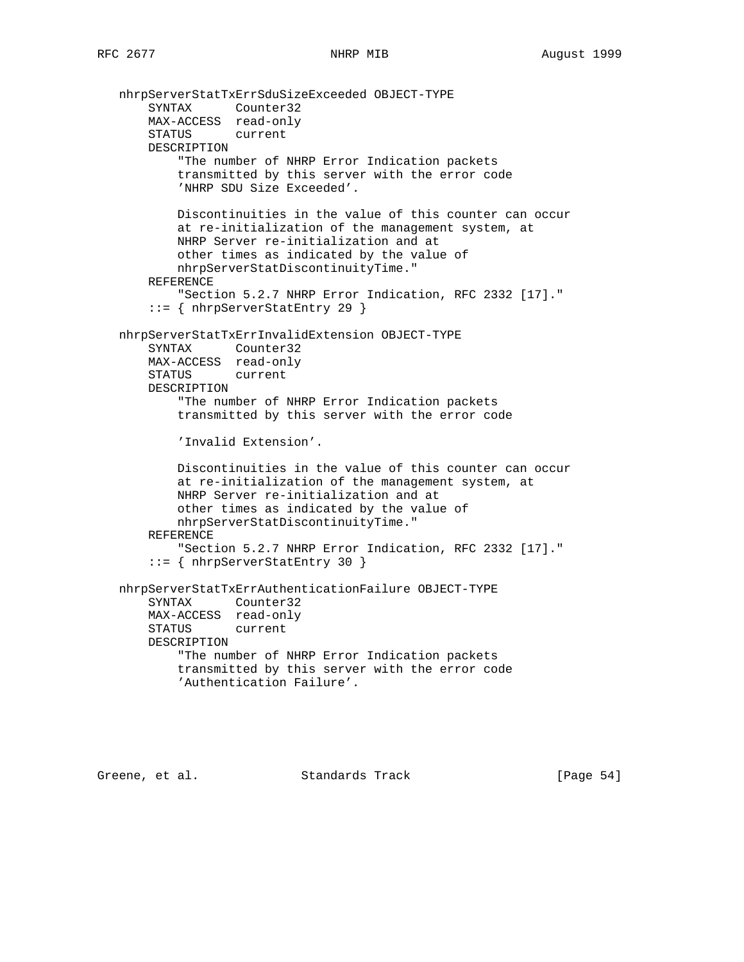```
 nhrpServerStatTxErrSduSizeExceeded OBJECT-TYPE
 SYNTAX Counter32
 MAX-ACCESS read-only
       STATUS current
       DESCRIPTION
            "The number of NHRP Error Indication packets
           transmitted by this server with the error code
           'NHRP SDU Size Exceeded'.
           Discontinuities in the value of this counter can occur
           at re-initialization of the management system, at
           NHRP Server re-initialization and at
           other times as indicated by the value of
           nhrpServerStatDiscontinuityTime."
       REFERENCE
           "Section 5.2.7 NHRP Error Indication, RFC 2332 [17]."
       ::= { nhrpServerStatEntry 29 }
   nhrpServerStatTxErrInvalidExtension OBJECT-TYPE
       SYNTAX Counter32
       MAX-ACCESS read-only
       STATUS current
       DESCRIPTION
           "The number of NHRP Error Indication packets
           transmitted by this server with the error code
           'Invalid Extension'.
           Discontinuities in the value of this counter can occur
           at re-initialization of the management system, at
           NHRP Server re-initialization and at
           other times as indicated by the value of
           nhrpServerStatDiscontinuityTime."
       REFERENCE
            "Section 5.2.7 NHRP Error Indication, RFC 2332 [17]."
       ::= { nhrpServerStatEntry 30 }
   nhrpServerStatTxErrAuthenticationFailure OBJECT-TYPE
       SYNTAX Counter32
       MAX-ACCESS read-only
       STATUS current
       DESCRIPTION
           "The number of NHRP Error Indication packets
           transmitted by this server with the error code
           'Authentication Failure'.
```
Greene, et al. Standards Track [Page 54]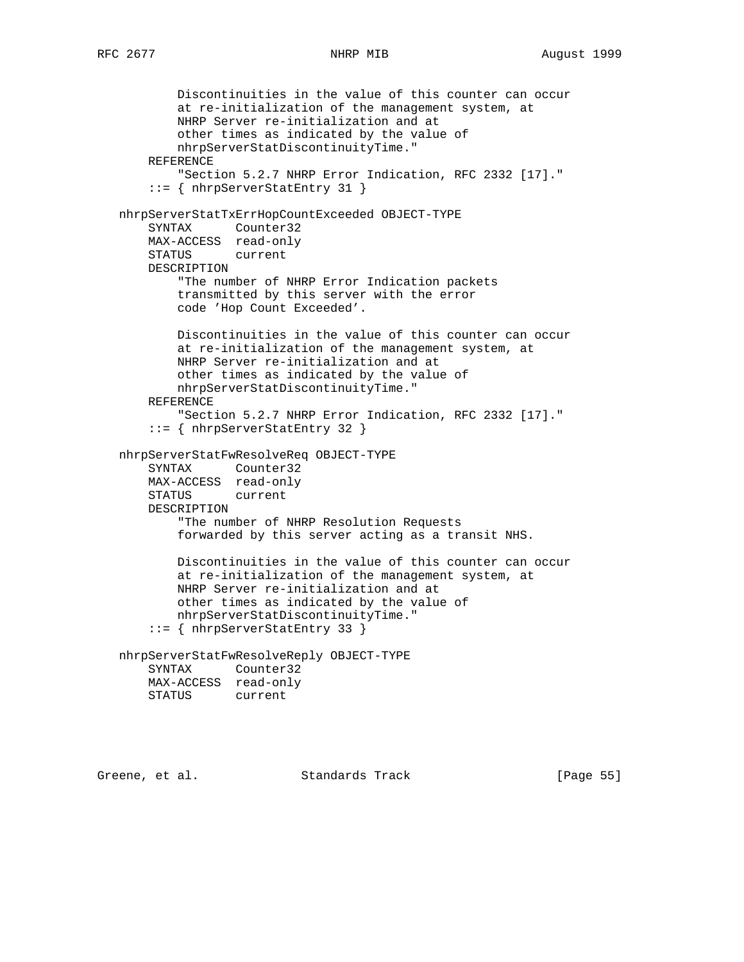```
 Discontinuities in the value of this counter can occur
           at re-initialization of the management system, at
           NHRP Server re-initialization and at
           other times as indicated by the value of
           nhrpServerStatDiscontinuityTime."
       REFERENCE
           "Section 5.2.7 NHRP Error Indication, RFC 2332 [17]."
       ::= { nhrpServerStatEntry 31 }
   nhrpServerStatTxErrHopCountExceeded OBJECT-TYPE
       SYNTAX Counter32
       MAX-ACCESS read-only
       STATUS current
       DESCRIPTION
           "The number of NHRP Error Indication packets
           transmitted by this server with the error
           code 'Hop Count Exceeded'.
           Discontinuities in the value of this counter can occur
           at re-initialization of the management system, at
           NHRP Server re-initialization and at
           other times as indicated by the value of
           nhrpServerStatDiscontinuityTime."
       REFERENCE
           "Section 5.2.7 NHRP Error Indication, RFC 2332 [17]."
       ::= { nhrpServerStatEntry 32 }
   nhrpServerStatFwResolveReq OBJECT-TYPE
 SYNTAX Counter32
 MAX-ACCESS read-only
       STATUS current
       DESCRIPTION
            "The number of NHRP Resolution Requests
           forwarded by this server acting as a transit NHS.
           Discontinuities in the value of this counter can occur
           at re-initialization of the management system, at
           NHRP Server re-initialization and at
           other times as indicated by the value of
           nhrpServerStatDiscontinuityTime."
       ::= { nhrpServerStatEntry 33 }
   nhrpServerStatFwResolveReply OBJECT-TYPE
       SYNTAX Counter32
       MAX-ACCESS read-only
       STATUS current
```
Greene, et al. Standards Track [Page 55]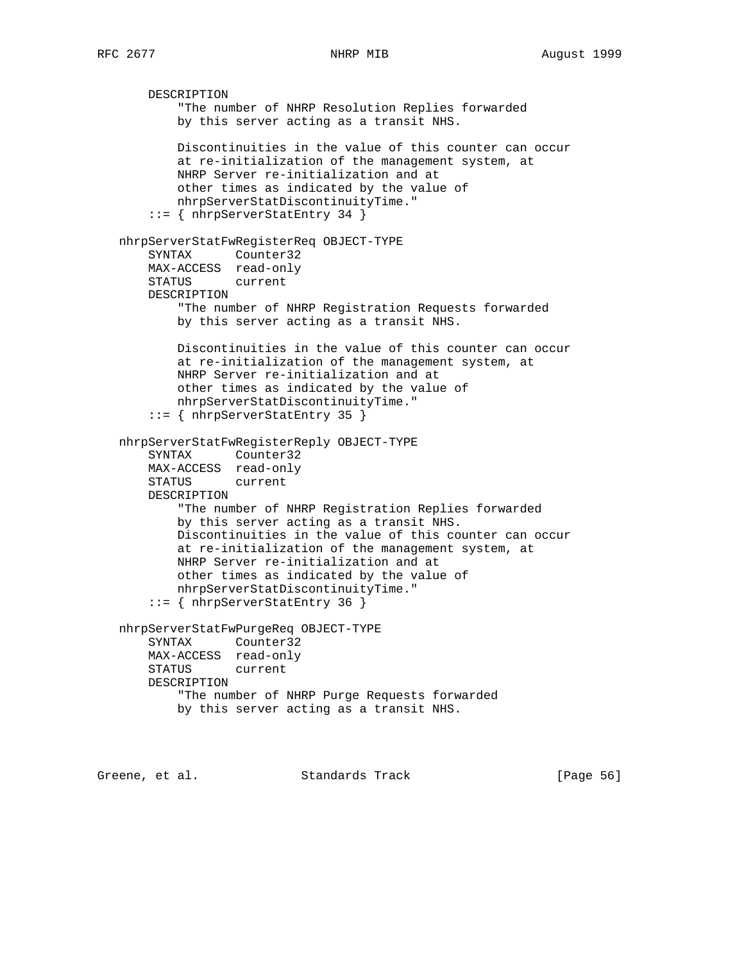DESCRIPTION "The number of NHRP Resolution Replies forwarded by this server acting as a transit NHS. Discontinuities in the value of this counter can occur at re-initialization of the management system, at NHRP Server re-initialization and at other times as indicated by the value of nhrpServerStatDiscontinuityTime." ::= { nhrpServerStatEntry 34 } nhrpServerStatFwRegisterReq OBJECT-TYPE SYNTAX Counter32 MAX-ACCESS read-only STATUS current DESCRIPTION "The number of NHRP Registration Requests forwarded by this server acting as a transit NHS. Discontinuities in the value of this counter can occur at re-initialization of the management system, at NHRP Server re-initialization and at other times as indicated by the value of nhrpServerStatDiscontinuityTime." ::= { nhrpServerStatEntry 35 } nhrpServerStatFwRegisterReply OBJECT-TYPE SYNTAX Counter32 MAX-ACCESS read-only STATUS current DESCRIPTION "The number of NHRP Registration Replies forwarded by this server acting as a transit NHS. Discontinuities in the value of this counter can occur at re-initialization of the management system, at NHRP Server re-initialization and at other times as indicated by the value of nhrpServerStatDiscontinuityTime." ::= { nhrpServerStatEntry 36 } nhrpServerStatFwPurgeReq OBJECT-TYPE SYNTAX Counter32 MAX-ACCESS read-only STATUS current DESCRIPTION "The number of NHRP Purge Requests forwarded by this server acting as a transit NHS.

Greene, et al. Standards Track [Page 56]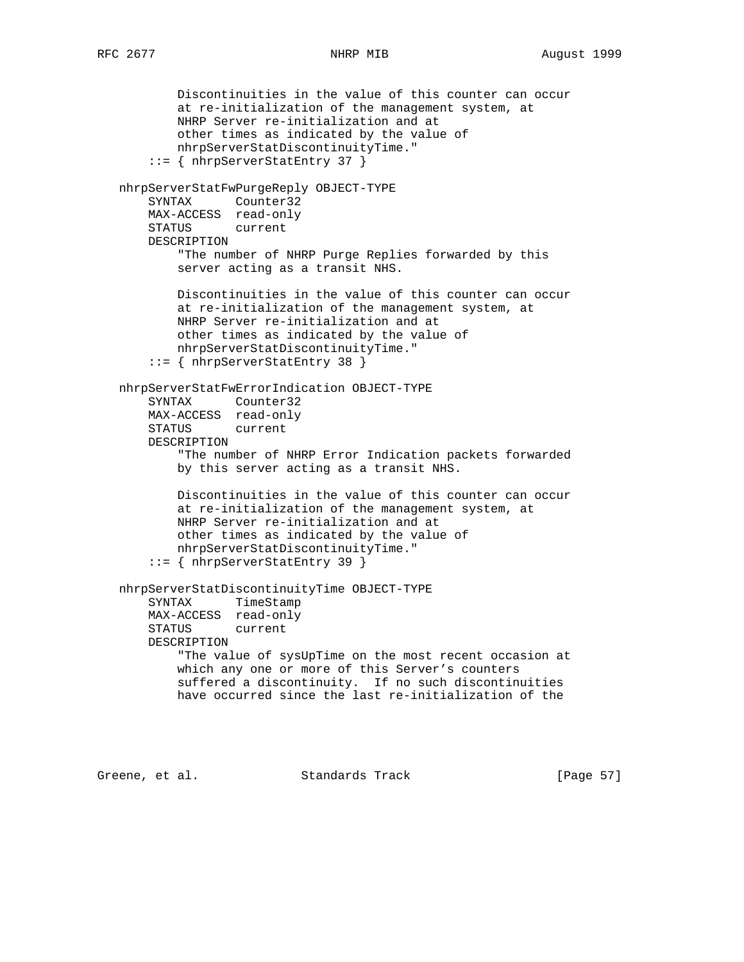```
 Discontinuities in the value of this counter can occur
           at re-initialization of the management system, at
           NHRP Server re-initialization and at
           other times as indicated by the value of
           nhrpServerStatDiscontinuityTime."
       ::= { nhrpServerStatEntry 37 }
   nhrpServerStatFwPurgeReply OBJECT-TYPE
       SYNTAX Counter32
       MAX-ACCESS read-only
       STATUS current
       DESCRIPTION
           "The number of NHRP Purge Replies forwarded by this
           server acting as a transit NHS.
           Discontinuities in the value of this counter can occur
           at re-initialization of the management system, at
           NHRP Server re-initialization and at
           other times as indicated by the value of
           nhrpServerStatDiscontinuityTime."
       ::= { nhrpServerStatEntry 38 }
   nhrpServerStatFwErrorIndication OBJECT-TYPE
       SYNTAX Counter32
       MAX-ACCESS read-only
 STATUS current
 DESCRIPTION
            "The number of NHRP Error Indication packets forwarded
           by this server acting as a transit NHS.
           Discontinuities in the value of this counter can occur
           at re-initialization of the management system, at
           NHRP Server re-initialization and at
           other times as indicated by the value of
           nhrpServerStatDiscontinuityTime."
       ::= { nhrpServerStatEntry 39 }
   nhrpServerStatDiscontinuityTime OBJECT-TYPE
       SYNTAX TimeStamp
       MAX-ACCESS read-only
       STATUS current
       DESCRIPTION
           "The value of sysUpTime on the most recent occasion at
           which any one or more of this Server's counters
           suffered a discontinuity. If no such discontinuities
           have occurred since the last re-initialization of the
```
Greene, et al. Standards Track [Page 57]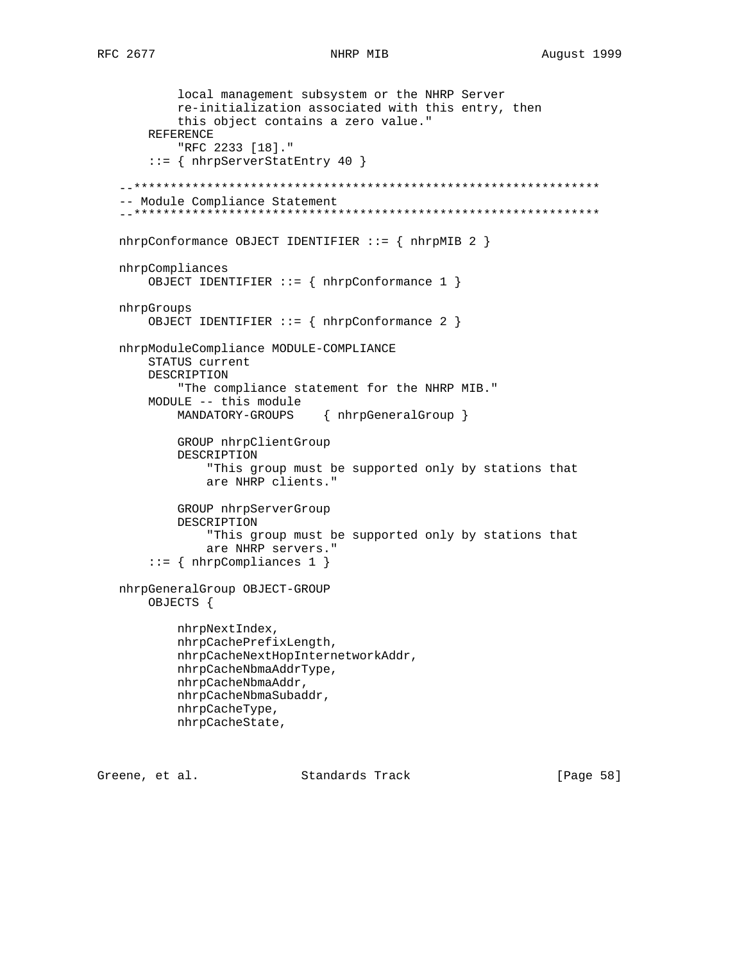```
 local management subsystem or the NHRP Server
         re-initialization associated with this entry, then
         this object contains a zero value."
     REFERENCE
         "RFC 2233 [18]."
     ::= { nhrpServerStatEntry 40 }
 --****************************************************************
 -- Module Compliance Statement
 --****************************************************************
 nhrpConformance OBJECT IDENTIFIER ::= { nhrpMIB 2 }
 nhrpCompliances
     OBJECT IDENTIFIER ::= { nhrpConformance 1 }
 nhrpGroups
     OBJECT IDENTIFIER ::= { nhrpConformance 2 }
 nhrpModuleCompliance MODULE-COMPLIANCE
     STATUS current
     DESCRIPTION
         "The compliance statement for the NHRP MIB."
     MODULE -- this module
         MANDATORY-GROUPS { nhrpGeneralGroup }
         GROUP nhrpClientGroup
         DESCRIPTION
             "This group must be supported only by stations that
             are NHRP clients."
         GROUP nhrpServerGroup
         DESCRIPTION
             "This group must be supported only by stations that
             are NHRP servers."
    ::= { nhrpCompliances 1 }
 nhrpGeneralGroup OBJECT-GROUP
     OBJECTS {
         nhrpNextIndex,
         nhrpCachePrefixLength,
         nhrpCacheNextHopInternetworkAddr,
         nhrpCacheNbmaAddrType,
         nhrpCacheNbmaAddr,
         nhrpCacheNbmaSubaddr,
         nhrpCacheType,
         nhrpCacheState,
```
Greene, et al. Standards Track [Page 58]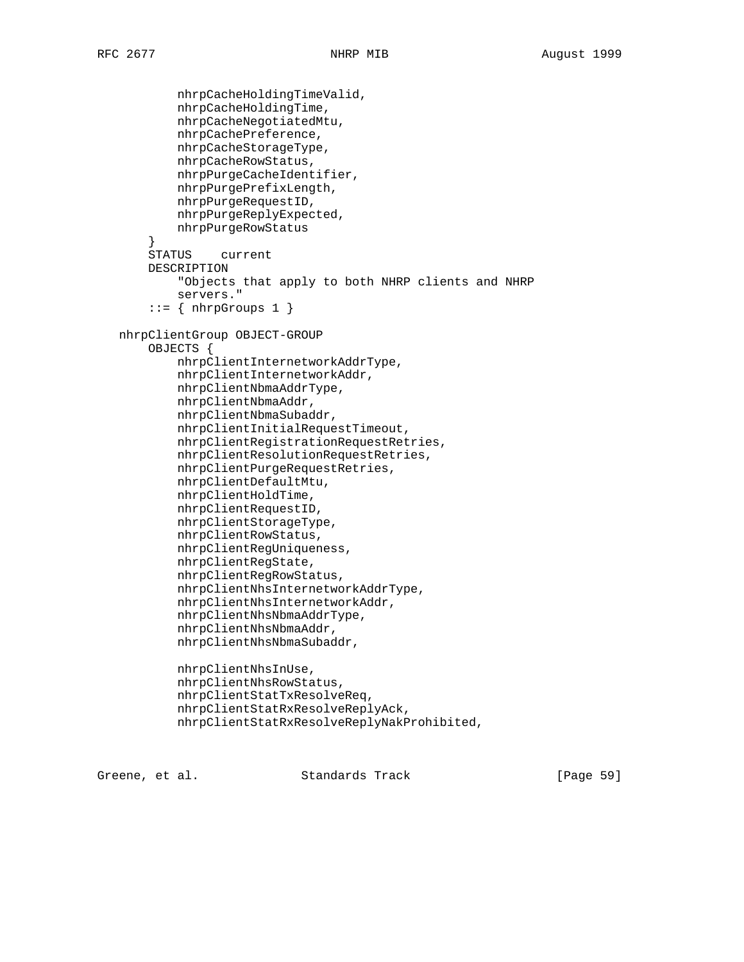```
 nhrpCacheHoldingTimeValid,
         nhrpCacheHoldingTime,
         nhrpCacheNegotiatedMtu,
         nhrpCachePreference,
         nhrpCacheStorageType,
         nhrpCacheRowStatus,
         nhrpPurgeCacheIdentifier,
         nhrpPurgePrefixLength,
         nhrpPurgeRequestID,
         nhrpPurgeReplyExpected,
         nhrpPurgeRowStatus
     }
     STATUS current
     DESCRIPTION
         "Objects that apply to both NHRP clients and NHRP
         servers."
    ::= \{ \nhrpGroups 1 \} nhrpClientGroup OBJECT-GROUP
     OBJECTS {
         nhrpClientInternetworkAddrType,
         nhrpClientInternetworkAddr,
         nhrpClientNbmaAddrType,
         nhrpClientNbmaAddr,
         nhrpClientNbmaSubaddr,
         nhrpClientInitialRequestTimeout,
         nhrpClientRegistrationRequestRetries,
         nhrpClientResolutionRequestRetries,
         nhrpClientPurgeRequestRetries,
         nhrpClientDefaultMtu,
         nhrpClientHoldTime,
         nhrpClientRequestID,
         nhrpClientStorageType,
         nhrpClientRowStatus,
         nhrpClientRegUniqueness,
         nhrpClientRegState,
         nhrpClientRegRowStatus,
         nhrpClientNhsInternetworkAddrType,
         nhrpClientNhsInternetworkAddr,
         nhrpClientNhsNbmaAddrType,
         nhrpClientNhsNbmaAddr,
         nhrpClientNhsNbmaSubaddr,
         nhrpClientNhsInUse,
         nhrpClientNhsRowStatus,
         nhrpClientStatTxResolveReq,
         nhrpClientStatRxResolveReplyAck,
         nhrpClientStatRxResolveReplyNakProhibited,
```
Greene, et al. Standards Track [Page 59]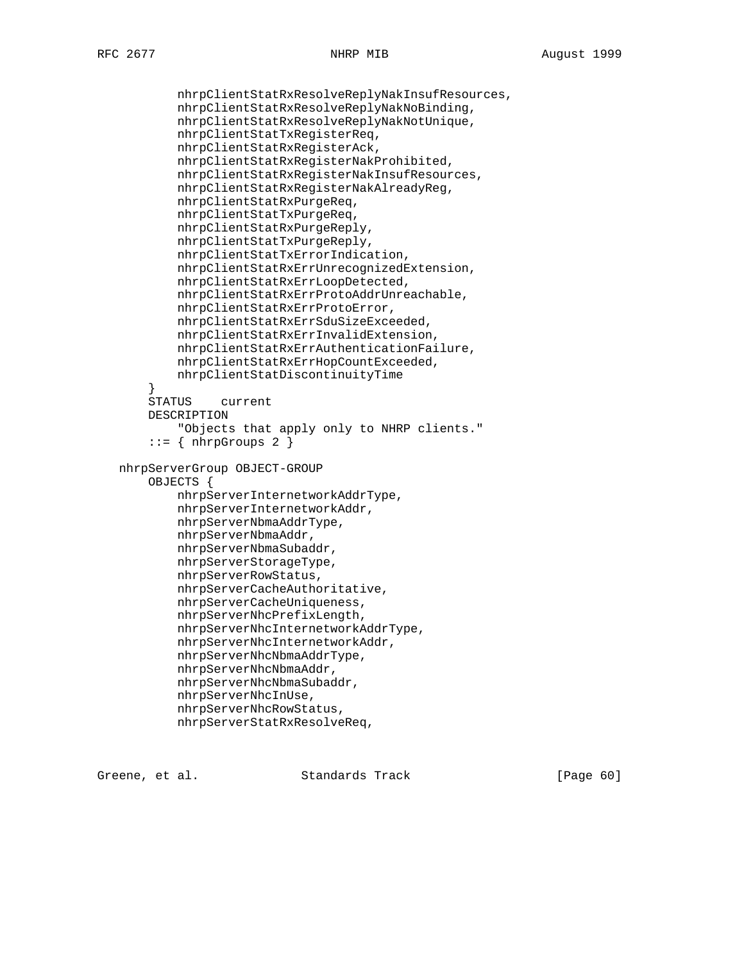```
 nhrpClientStatRxResolveReplyNakInsufResources,
            nhrpClientStatRxResolveReplyNakNoBinding,
            nhrpClientStatRxResolveReplyNakNotUnique,
            nhrpClientStatTxRegisterReq,
            nhrpClientStatRxRegisterAck,
            nhrpClientStatRxRegisterNakProhibited,
            nhrpClientStatRxRegisterNakInsufResources,
            nhrpClientStatRxRegisterNakAlreadyReg,
            nhrpClientStatRxPurgeReq,
            nhrpClientStatTxPurgeReq,
            nhrpClientStatRxPurgeReply,
            nhrpClientStatTxPurgeReply,
            nhrpClientStatTxErrorIndication,
            nhrpClientStatRxErrUnrecognizedExtension,
            nhrpClientStatRxErrLoopDetected,
            nhrpClientStatRxErrProtoAddrUnreachable,
            nhrpClientStatRxErrProtoError,
            nhrpClientStatRxErrSduSizeExceeded,
            nhrpClientStatRxErrInvalidExtension,
            nhrpClientStatRxErrAuthenticationFailure,
            nhrpClientStatRxErrHopCountExceeded,
            nhrpClientStatDiscontinuityTime
 }
        STATUS current
        DESCRIPTION
            "Objects that apply only to NHRP clients."
       ::= { nhrpGroups 2 }
   nhrpServerGroup OBJECT-GROUP
        OBJECTS {
            nhrpServerInternetworkAddrType,
            nhrpServerInternetworkAddr,
            nhrpServerNbmaAddrType,
            nhrpServerNbmaAddr,
            nhrpServerNbmaSubaddr,
            nhrpServerStorageType,
            nhrpServerRowStatus,
            nhrpServerCacheAuthoritative,
            nhrpServerCacheUniqueness,
            nhrpServerNhcPrefixLength,
            nhrpServerNhcInternetworkAddrType,
            nhrpServerNhcInternetworkAddr,
            nhrpServerNhcNbmaAddrType,
            nhrpServerNhcNbmaAddr,
            nhrpServerNhcNbmaSubaddr,
            nhrpServerNhcInUse,
            nhrpServerNhcRowStatus,
            nhrpServerStatRxResolveReq,
```
Greene, et al. Standards Track [Page 60]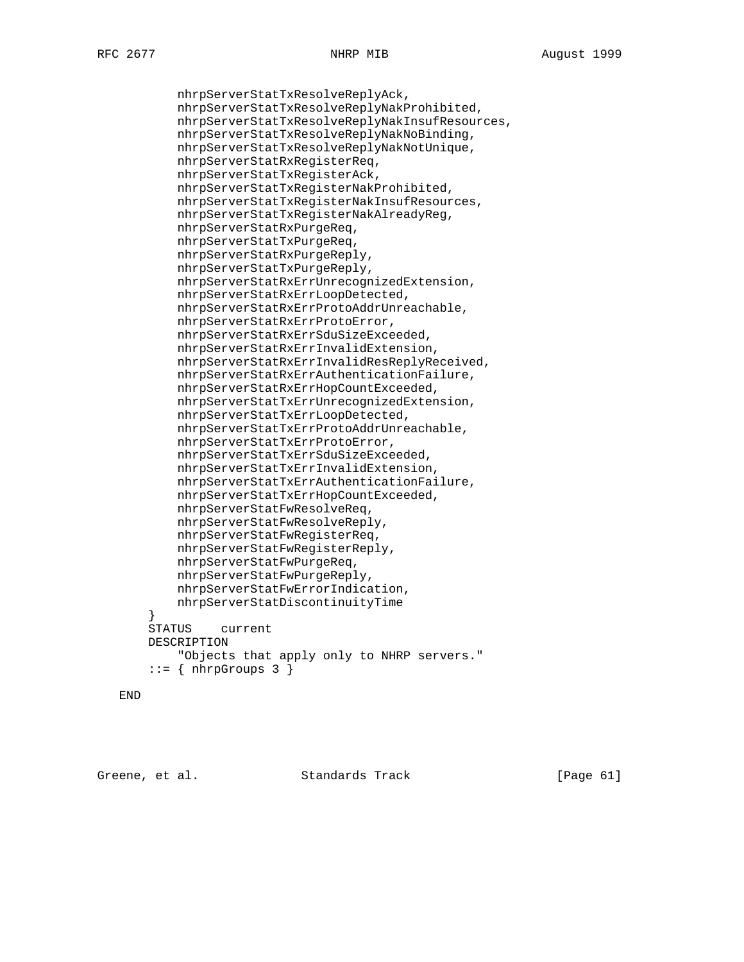nhrpServerStatTxResolveReplyAck, nhrpServerStatTxResolveReplyNakProhibited, nhrpServerStatTxResolveReplyNakInsufResources, nhrpServerStatTxResolveReplyNakNoBinding, nhrpServerStatTxResolveReplyNakNotUnique, nhrpServerStatRxRegisterReq, nhrpServerStatTxRegisterAck, nhrpServerStatTxRegisterNakProhibited, nhrpServerStatTxRegisterNakInsufResources, nhrpServerStatTxRegisterNakAlreadyReg, nhrpServerStatRxPurgeReq, nhrpServerStatTxPurgeReq, nhrpServerStatRxPurgeReply, nhrpServerStatTxPurgeReply, nhrpServerStatRxErrUnrecognizedExtension, nhrpServerStatRxErrLoopDetected, nhrpServerStatRxErrProtoAddrUnreachable, nhrpServerStatRxErrProtoError, nhrpServerStatRxErrSduSizeExceeded, nhrpServerStatRxErrInvalidExtension, nhrpServerStatRxErrInvalidResReplyReceived, nhrpServerStatRxErrAuthenticationFailure, nhrpServerStatRxErrHopCountExceeded, nhrpServerStatTxErrUnrecognizedExtension, nhrpServerStatTxErrLoopDetected, nhrpServerStatTxErrProtoAddrUnreachable, nhrpServerStatTxErrProtoError, nhrpServerStatTxErrSduSizeExceeded, nhrpServerStatTxErrInvalidExtension, nhrpServerStatTxErrAuthenticationFailure, nhrpServerStatTxErrHopCountExceeded, nhrpServerStatFwResolveReq, nhrpServerStatFwResolveReply, nhrpServerStatFwRegisterReq, nhrpServerStatFwRegisterReply, nhrpServerStatFwPurgeReq, nhrpServerStatFwPurgeReply, nhrpServerStatFwErrorIndication, nhrpServerStatDiscontinuityTime STATUS current DESCRIPTION "Objects that apply only to NHRP servers."  $::=$  { nhrpGroups 3 }

```
 END
```
}

Greene, et al. Standards Track [Page 61]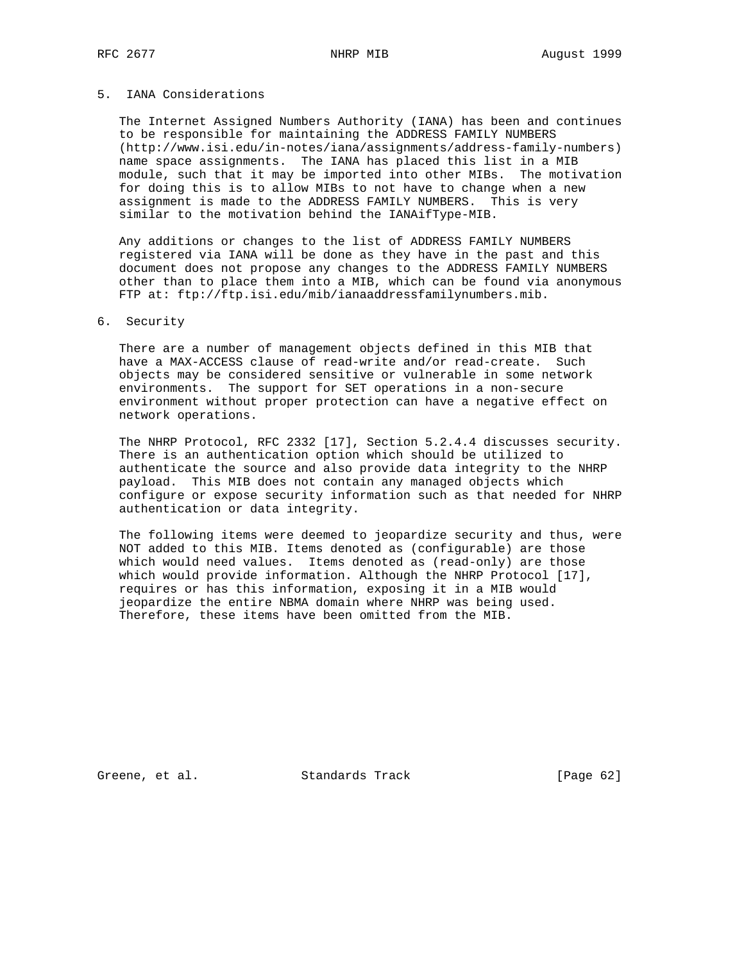# 5. IANA Considerations

 The Internet Assigned Numbers Authority (IANA) has been and continues to be responsible for maintaining the ADDRESS FAMILY NUMBERS (http://www.isi.edu/in-notes/iana/assignments/address-family-numbers) name space assignments. The IANA has placed this list in a MIB module, such that it may be imported into other MIBs. The motivation for doing this is to allow MIBs to not have to change when a new assignment is made to the ADDRESS FAMILY NUMBERS. This is very similar to the motivation behind the IANAifType-MIB.

 Any additions or changes to the list of ADDRESS FAMILY NUMBERS registered via IANA will be done as they have in the past and this document does not propose any changes to the ADDRESS FAMILY NUMBERS other than to place them into a MIB, which can be found via anonymous FTP at: ftp://ftp.isi.edu/mib/ianaaddressfamilynumbers.mib.

### 6. Security

 There are a number of management objects defined in this MIB that have a MAX-ACCESS clause of read-write and/or read-create. Such objects may be considered sensitive or vulnerable in some network environments. The support for SET operations in a non-secure environment without proper protection can have a negative effect on network operations.

 The NHRP Protocol, RFC 2332 [17], Section 5.2.4.4 discusses security. There is an authentication option which should be utilized to authenticate the source and also provide data integrity to the NHRP payload. This MIB does not contain any managed objects which configure or expose security information such as that needed for NHRP authentication or data integrity.

 The following items were deemed to jeopardize security and thus, were NOT added to this MIB. Items denoted as (configurable) are those which would need values. Items denoted as (read-only) are those which would provide information. Although the NHRP Protocol [17], requires or has this information, exposing it in a MIB would jeopardize the entire NBMA domain where NHRP was being used. Therefore, these items have been omitted from the MIB.

Greene, et al. Standards Track [Page 62]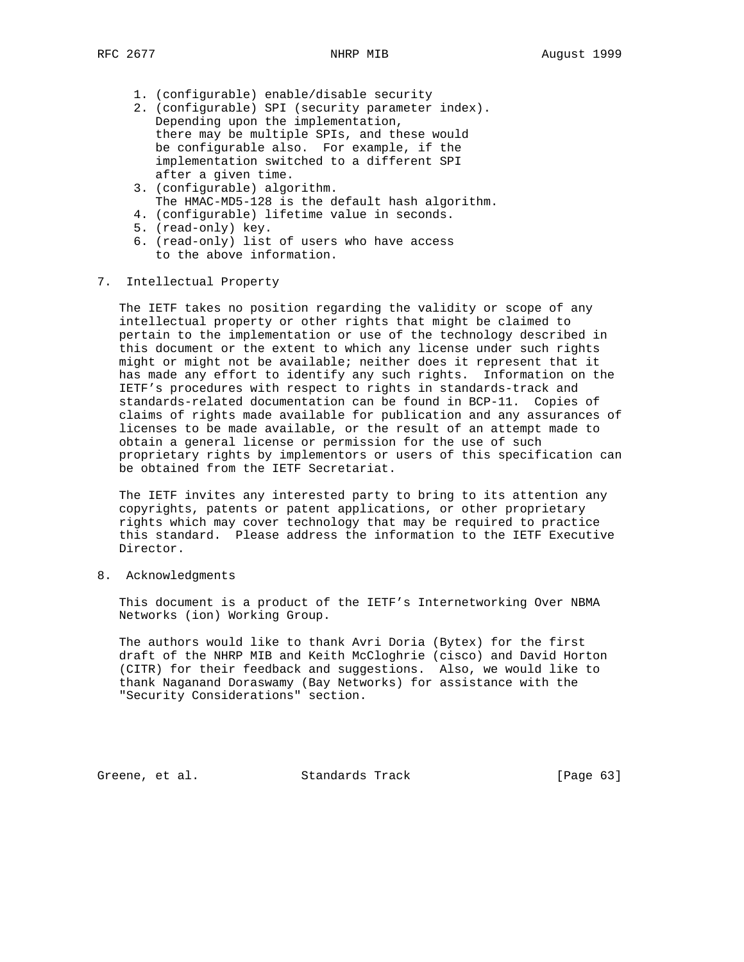- 1. (configurable) enable/disable security
- 2. (configurable) SPI (security parameter index). Depending upon the implementation, there may be multiple SPIs, and these would be configurable also. For example, if the implementation switched to a different SPI after a given time.
- 3. (configurable) algorithm. The HMAC-MD5-128 is the default hash algorithm.
- 4. (configurable) lifetime value in seconds.
- 5. (read-only) key.
- 6. (read-only) list of users who have access to the above information.

## 7. Intellectual Property

 The IETF takes no position regarding the validity or scope of any intellectual property or other rights that might be claimed to pertain to the implementation or use of the technology described in this document or the extent to which any license under such rights might or might not be available; neither does it represent that it has made any effort to identify any such rights. Information on the IETF's procedures with respect to rights in standards-track and standards-related documentation can be found in BCP-11. Copies of claims of rights made available for publication and any assurances of licenses to be made available, or the result of an attempt made to obtain a general license or permission for the use of such proprietary rights by implementors or users of this specification can be obtained from the IETF Secretariat.

 The IETF invites any interested party to bring to its attention any copyrights, patents or patent applications, or other proprietary rights which may cover technology that may be required to practice this standard. Please address the information to the IETF Executive Director.

8. Acknowledgments

 This document is a product of the IETF's Internetworking Over NBMA Networks (ion) Working Group.

 The authors would like to thank Avri Doria (Bytex) for the first draft of the NHRP MIB and Keith McCloghrie (cisco) and David Horton (CITR) for their feedback and suggestions. Also, we would like to thank Naganand Doraswamy (Bay Networks) for assistance with the "Security Considerations" section.

Greene, et al. Standards Track [Page 63]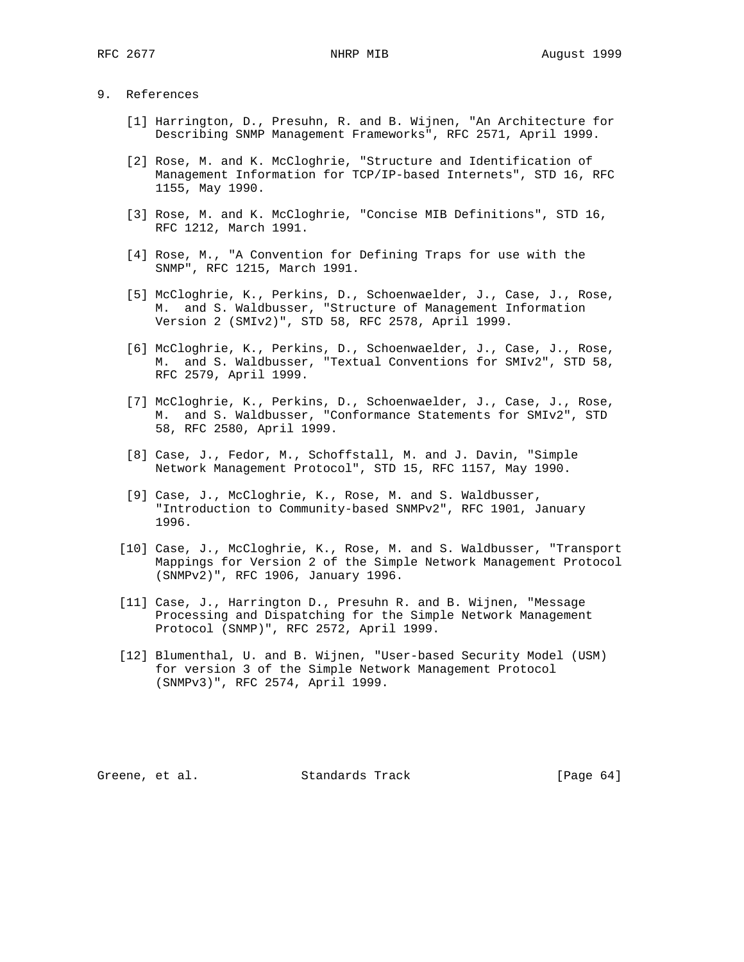## 9. References

- [1] Harrington, D., Presuhn, R. and B. Wijnen, "An Architecture for Describing SNMP Management Frameworks", RFC 2571, April 1999.
- [2] Rose, M. and K. McCloghrie, "Structure and Identification of Management Information for TCP/IP-based Internets", STD 16, RFC 1155, May 1990.
- [3] Rose, M. and K. McCloghrie, "Concise MIB Definitions", STD 16, RFC 1212, March 1991.
- [4] Rose, M., "A Convention for Defining Traps for use with the SNMP", RFC 1215, March 1991.
- [5] McCloghrie, K., Perkins, D., Schoenwaelder, J., Case, J., Rose, M. and S. Waldbusser, "Structure of Management Information Version 2 (SMIv2)", STD 58, RFC 2578, April 1999.
- [6] McCloghrie, K., Perkins, D., Schoenwaelder, J., Case, J., Rose, M. and S. Waldbusser, "Textual Conventions for SMIv2", STD 58, RFC 2579, April 1999.
- [7] McCloghrie, K., Perkins, D., Schoenwaelder, J., Case, J., Rose, M. and S. Waldbusser, "Conformance Statements for SMIv2", STD 58, RFC 2580, April 1999.
- [8] Case, J., Fedor, M., Schoffstall, M. and J. Davin, "Simple Network Management Protocol", STD 15, RFC 1157, May 1990.
- [9] Case, J., McCloghrie, K., Rose, M. and S. Waldbusser, "Introduction to Community-based SNMPv2", RFC 1901, January 1996.
- [10] Case, J., McCloghrie, K., Rose, M. and S. Waldbusser, "Transport Mappings for Version 2 of the Simple Network Management Protocol (SNMPv2)", RFC 1906, January 1996.
- [11] Case, J., Harrington D., Presuhn R. and B. Wijnen, "Message Processing and Dispatching for the Simple Network Management Protocol (SNMP)", RFC 2572, April 1999.
- [12] Blumenthal, U. and B. Wijnen, "User-based Security Model (USM) for version 3 of the Simple Network Management Protocol (SNMPv3)", RFC 2574, April 1999.

Greene, et al. Standards Track [Page 64]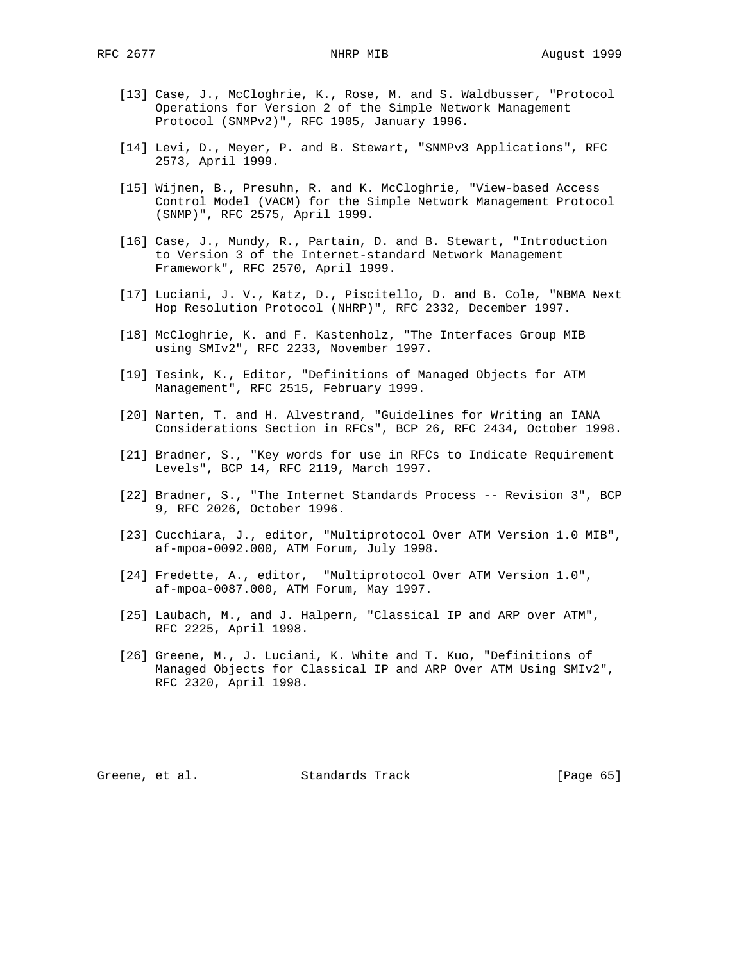- [13] Case, J., McCloghrie, K., Rose, M. and S. Waldbusser, "Protocol Operations for Version 2 of the Simple Network Management Protocol (SNMPv2)", RFC 1905, January 1996.
- [14] Levi, D., Meyer, P. and B. Stewart, "SNMPv3 Applications", RFC 2573, April 1999.
- [15] Wijnen, B., Presuhn, R. and K. McCloghrie, "View-based Access Control Model (VACM) for the Simple Network Management Protocol (SNMP)", RFC 2575, April 1999.
- [16] Case, J., Mundy, R., Partain, D. and B. Stewart, "Introduction to Version 3 of the Internet-standard Network Management Framework", RFC 2570, April 1999.
- [17] Luciani, J. V., Katz, D., Piscitello, D. and B. Cole, "NBMA Next Hop Resolution Protocol (NHRP)", RFC 2332, December 1997.
- [18] McCloghrie, K. and F. Kastenholz, "The Interfaces Group MIB using SMIv2", RFC 2233, November 1997.
- [19] Tesink, K., Editor, "Definitions of Managed Objects for ATM Management", RFC 2515, February 1999.
- [20] Narten, T. and H. Alvestrand, "Guidelines for Writing an IANA Considerations Section in RFCs", BCP 26, RFC 2434, October 1998.
- [21] Bradner, S., "Key words for use in RFCs to Indicate Requirement Levels", BCP 14, RFC 2119, March 1997.
- [22] Bradner, S., "The Internet Standards Process -- Revision 3", BCP 9, RFC 2026, October 1996.
- [23] Cucchiara, J., editor, "Multiprotocol Over ATM Version 1.0 MIB", af-mpoa-0092.000, ATM Forum, July 1998.
- [24] Fredette, A., editor, "Multiprotocol Over ATM Version 1.0", af-mpoa-0087.000, ATM Forum, May 1997.
- [25] Laubach, M., and J. Halpern, "Classical IP and ARP over ATM", RFC 2225, April 1998.
- [26] Greene, M., J. Luciani, K. White and T. Kuo, "Definitions of Managed Objects for Classical IP and ARP Over ATM Using SMIv2", RFC 2320, April 1998.

Greene, et al. Standards Track [Page 65]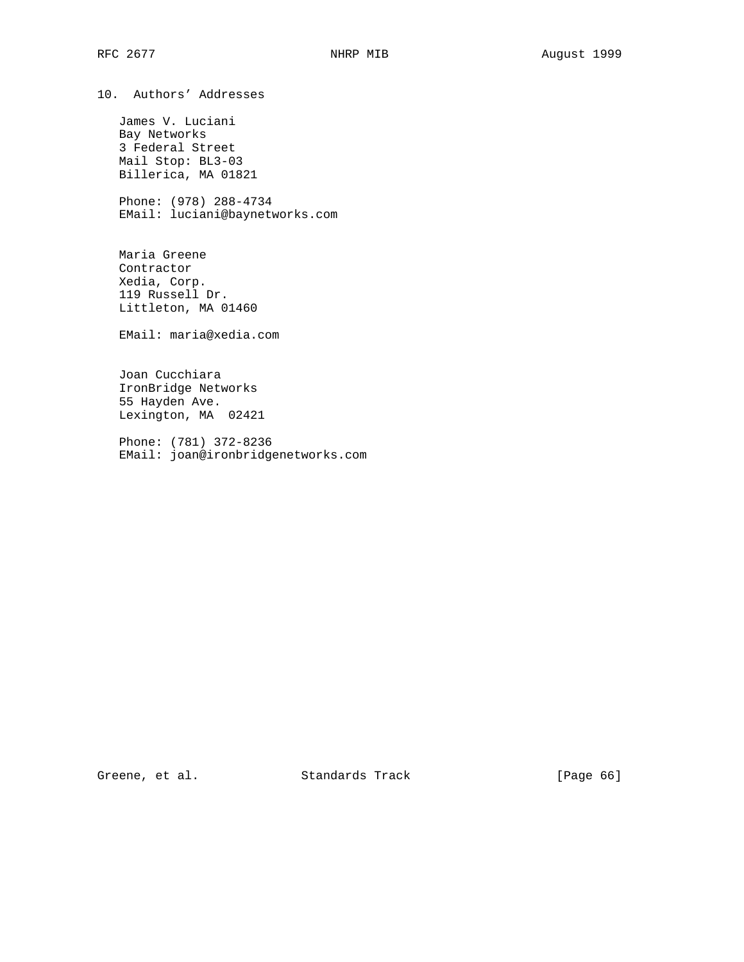10. Authors' Addresses

 James V. Luciani Bay Networks 3 Federal Street Mail Stop: BL3-03 Billerica, MA 01821

 Phone: (978) 288-4734 EMail: luciani@baynetworks.com

 Maria Greene Contractor Xedia, Corp. 119 Russell Dr. Littleton, MA 01460

EMail: maria@xedia.com

 Joan Cucchiara IronBridge Networks 55 Hayden Ave. Lexington, MA 02421

 Phone: (781) 372-8236 EMail: joan@ironbridgenetworks.com

Greene, et al. Standards Track [Page 66]